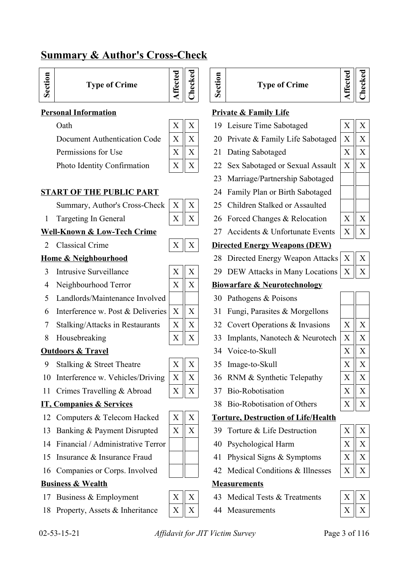## **Summary & Author's Cross-Check**

| <b>Type of Crime</b><br>Ο |
|---------------------------|
|---------------------------|

- 
- Permissions for Use X X 21 Dating Sabotaged X X

|   | X |
|---|---|
| X | X |
| X | X |
|   |   |

**Affe**

**cte d**

**Checked**

**Sectio n**

### **START OF THE PUBLIC PART** 24 Family Plan or Birth Sabotaged

Summary, Author's Cross-Check  $X \parallel X \parallel 25$  Children Stalked or Assaulted

### **Well-Known & Low-Tech Crime** 27 Accidents & Unfortunate Events  $\begin{bmatrix} X \end{bmatrix} X$

- 
- 
- 5 Landlords/Maintenance Involved | | 30 Pathogens & Poisons
- 6 Interference w. Post & Deliveries  $X \parallel X \parallel 31$  Fungi, Parasites & Morgellons
- 
- 

## **Outdoors & Travel** 34 Voice-to-Skull X X X

- 9 Stalking & Street Theatre  $\begin{array}{c|c} \begin{array}{c|c} \times \\ \end{array} & X \end{array}$   $\begin{array}{c|c} \begin{array}{c} \end{array} & 35 \end{array}$  Image-to-Skull  $\begin{array}{c|c} \end{array}$
- 10 Interference w. Vehicles/Driving  $X \parallel X \parallel 36$  RNM & Synthetic Telepathy  $X \parallel X$
- 11 Crimes Travelling & Abroad  $\begin{array}{|c|c|c|c|c|c|c|c|} \hline X & X & X \\ \hline \end{array}$

- 
- 13 Banking & Payment Disrupted  $\|X\|X\|$  39 Torture & Life Destruction
- 14 Financial / Administrative Terror 40 Psychological Harm
- 15 Insurance & Insurance Fraud  $|| \cdot ||$  41 Physical Signs & Symptoms
- 16 Companies or Corps. Involved  $\parallel \parallel$  42 Medical Conditions & Illnesses  $X \parallel X \parallel$

## **Business & Wealth Measurements**

- 
- 18 Property, Assets & Inheritance  $\|X\|X\|$  44 Measurements

| X           | X |  |
|-------------|---|--|
| $\mathbf x$ | X |  |
|             |   |  |
|             |   |  |
|             |   |  |



| ivieasuremen |
|--------------|
|              |
|              |

- 
- 

|  | <b>Type of Crime</b> |
|--|----------------------|
|--|----------------------|

| ٠. |
|----|
|    |

### **Personal Information Private & Family Life**

- Oath X X 19 Leisure Time Sabotaged X X
- Document Authentication Code  $\|X\|X\|$  20 Private & Family Life Sabotaged  $\|X\|X$ 
	-
- Photo Identity Confirmation  $\|X\|X\|$  22 Sex Sabotaged or Sexual Assault  $\|X\|X$ 
	- 23 Marriage/Partnership Sabotaged
	-
	-
- 1 Targeting In General X X 26 Forced Changes & Relocation X X
	-

### 2 Classical Crime  $X \parallel X \parallel$  Directed Energy Weapons (DEW)

- **Home & Neighbourhood** 28 Directed Energy Weapon Attacks  $X \parallel X$ 
	- 3 Intrusive Surveillance  $\boxed{X \mid X}$  29 DEW Attacks in Many Locations  $\boxed{X \mid X}$

### 4 Neighbourhood Terror  $X \parallel X \parallel B$ **iowarfare & Neurotechnology**

- 
- 
- 7 Stalking/Attacks in Restaurants  $\|X\|X\|$  32 Covert Operations & Invasions  $\|X\|X$
- 8 Housebreaking  $X \parallel X \parallel 33$  Implants, Nanotech & Neurotech  $X \parallel X$ 
	-
	-
	-
	-
- **IT, Companies & Services** 38 Bio-Robotisation of Others

#### 12 Computers & Telecom Hacked  $\begin{bmatrix} X & Y \end{bmatrix}$  **Torture, Destruction of Life/Health**

- 
- 
- 
- 

- 17 Business & Employment  $\begin{array}{|c|c|c|c|c|c|} \hline X & X & X \end{array}$  Medical Tests & Treatments
	-

| X              | X |
|----------------|---|
|                |   |
| $\overline{X}$ | X |
| X              | X |
| X              | X |
|                |   |

02-53-15-21 *Affidavit for JIT Victim Survey* Page 3 of 116

|   | X | $\mathbf{X}$ |  |
|---|---|--------------|--|
|   |   |              |  |
| 5 | Х | X            |  |
|   | X | X            |  |
|   | Х | X            |  |
|   |   |              |  |

|   | X | X |  |
|---|---|---|--|
|   | X | Χ |  |
|   |   |   |  |
| ; | Х | Χ |  |
|   | Χ | Χ |  |
|   |   |   |  |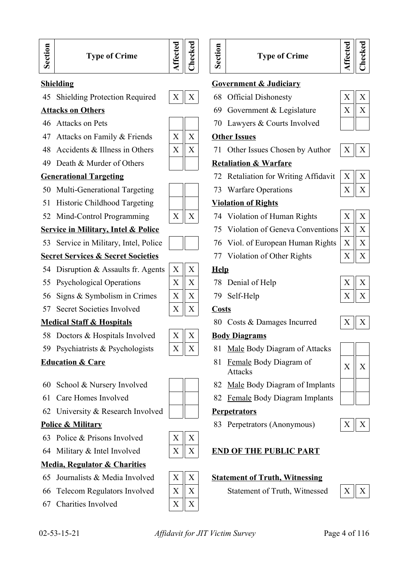

45 Shielding Protection Required  $\begin{array}{|c|c|c|c|c|c|} \hline X & X & 68 & \text{Official Display} \end{array}$ 

- 
- 47 Attacks on Family & Friends  $\|X\|X\|$  Other Issues
- 
- 49 Death & Murder of Others **Retaliation & Warfare**

- 50 Multi-Generational Targeting  $|| \cdot ||$  73 Warfare Operations  $|| \times || \times$
- 51 Historic Childhood Targeting **Violation of Rights**
- 52 Mind-Control Programming X X 74 Violation of Human Rights X X

53 Service in Military, Intel, Police | | | 76 Viol. of European Human Rights

## **Secret Services & Secret Societies** 77 Violation of Other Rights

- 54 Disruption & Assaults fr. Agents  $X \parallel X$  **Help**
- 55 Psychological Operations  $X \mid X \mid X$  78 Denial of Help
- 56 Signs & Symbolism in Crimes X X 79 Self-Help X X
- 57 Secret Societies Involved  $X \parallel X \parallel$  Costs

- 58 Doctors & Hospitals Involved  $\|X\|X\|$  **Body Diagrams**
- 

- 
- 
- 62 University & Research Involved **Perpetrators**

- 63 Police & Prisons Involved  $\begin{array}{c|c}\nX & X\n\end{array}$
- 

### **Media, Regulator & Charities**

- 
- 
- 67 Charities Involved  $X \parallel X$



## **Type of Crime**



#### **Shielding Government & Judiciary**

- 
- **Attacks on Others** 69 Government & Legislature  $X \parallel X$
- 46 Attacks on Pets 70 Lawyers & Courts Involved

48 Accidents & Illness in Others X X 71 Other Issues Chosen by Author X X

- **Generational Targeting** 72 Retaliation for Writing Affidavit  $\begin{bmatrix} X \end{bmatrix} X$ 
	-

- 
- **Service in Military, Intel & Police** 75 Violation of Geneva Conventions
	-
	-

- 
- 

**Medical Staff & Hospitals** 80 Costs & Damages Incurred

- 59 Psychiatrists & Psychologists  $\begin{array}{|c|c|c|c|c|c|} \hline X & X & \text{Male Body Diagram of Attacks} \end{array}$
- **Education & Care**  $81$  Female Body Diagram of  $X \parallel X$
- 60 School & Nursery Involved  $\parallel$  | 82 <u>Male</u> Body Diagram of Implants
- 61 Care Homes Involved  $\parallel$  82 Female Body Diagram Implants

**Police & Military** 83 Perpetrators (Anonymous)  $\begin{array}{c|c} \begin{array}{c} \begin{array}{c} \begin{array}{c} \end{array} \\ \end{array} & \begin{array}{c} \end{array} \\ \end{array} & \begin{array}{c} \end{array} \end{array} & \begin{array}{c} \begin{array}{c} \end{array} \\ \end{array} & \begin{array}{c} \end{array} \end{array}$ 

### 64 Military & Intel Involved X X **END OF THE PUBLIC PART**

#### 65 Journalists & Media Involved  $\|X\|X\|$  Statement of Truth, Witnessing

66 Telecom Regulators Involved  $\|X\|X$  Statement of Truth, Witnessed  $\|X\|X$ 





| X | X |
|---|---|
| X | X |
| X | X |
| X | X |

|--|--|--|

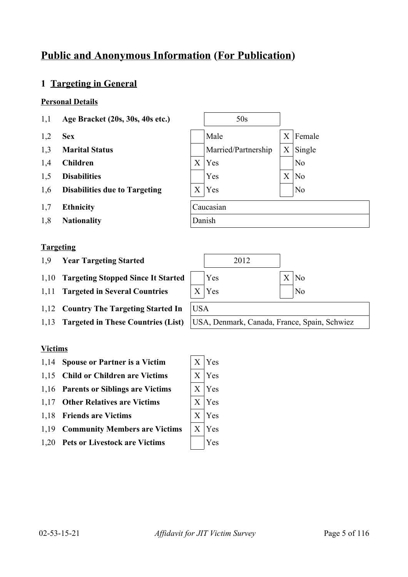# **Public and Anonymous Information (For Publication)**

## **1 Targeting in General**

### **Personal Details**

- 1,1 **Age Bracket (20s, 30s, 40s etc.)** 50s
- 
- 
- 
- 
- 
- 1,7 **Ethnicity** Caucasian
- 1,8 **Nationality** Danish

### **Targeting**

- 1,9 **Year Targeting Started** 2012
- 1,10 **Targeting Stopped Since It Started** | Yes X No
- 1,11 **Targeted in Several Countries** X Yes No
- 1,12 **Country The Targeting Started In** USA
- 

### **Victims**

- 1,14 **Spouse or Partner is a Victim**
- 1,15 **Child or Children are Victims**
- 1,16 **Parents or Siblings are Victims**
- 1,17 Other Relatives are Victims
- 1,18 **Friends are Victims**
- 1,19 **Community Members are Victims**
- 1,20 **Pets or Livestock are Victims**





| X       | Yes |
|---------|-----|
| X       | Yes |
| X       | Yes |
| $\rm X$ | Yes |
| X       | Yes |
| X       | Yes |
|         | Yes |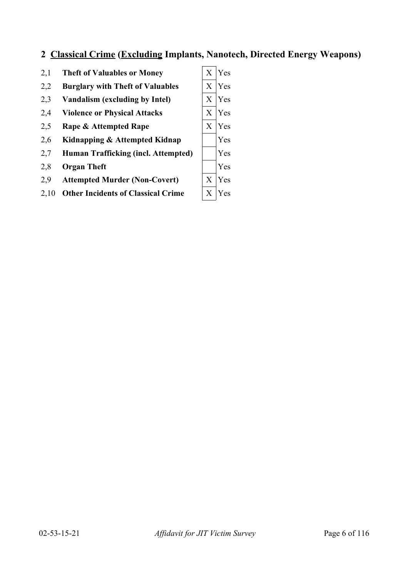## **2 Classical Crime (Excluding Implants, Nanotech, Directed Energy Weapons)**

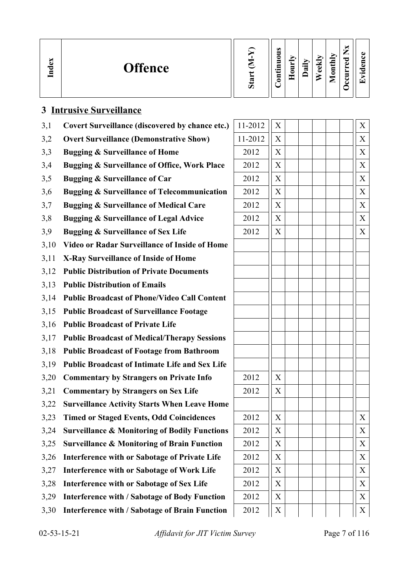| $\mathbf{e}$<br><b>Offence</b><br>$\tilde{a}$ | Ö | $\omega$<br>0<br>▬<br>۔۔<br>5 | ∍<br>⊏ | ੶ਫ਼ | ≂<br>نه<br>Ō | nthly<br>0<br>உ | P<br>C) | $\cdot$ $-$<br>$\overline{\phantom{0}}$ |
|-----------------------------------------------|---|-------------------------------|--------|-----|--------------|-----------------|---------|-----------------------------------------|
|-----------------------------------------------|---|-------------------------------|--------|-----|--------------|-----------------|---------|-----------------------------------------|

| 3,1  | Covert Surveillance (discovered by chance etc.)          | 11-2012 | X           |  | X |
|------|----------------------------------------------------------|---------|-------------|--|---|
| 3,2  | <b>Overt Surveillance (Demonstrative Show)</b>           | 11-2012 | X           |  | X |
| 3,3  | <b>Bugging &amp; Surveillance of Home</b>                | 2012    | X           |  | X |
| 3,4  | <b>Bugging &amp; Surveillance of Office, Work Place</b>  | 2012    | X           |  | X |
| 3,5  | <b>Bugging &amp; Surveillance of Car</b>                 | 2012    | X           |  | X |
| 3,6  | <b>Bugging &amp; Surveillance of Telecommunication</b>   | 2012    | X           |  | X |
| 3,7  | <b>Bugging &amp; Surveillance of Medical Care</b>        | 2012    | X           |  | X |
| 3,8  | <b>Bugging &amp; Surveillance of Legal Advice</b>        | 2012    | X           |  | X |
| 3,9  | <b>Bugging &amp; Surveillance of Sex Life</b>            | 2012    | $\mathbf X$ |  | X |
| 3,10 | <b>Video or Radar Surveillance of Inside of Home</b>     |         |             |  |   |
| 3,11 | <b>X-Ray Surveillance of Inside of Home</b>              |         |             |  |   |
| 3,12 | <b>Public Distribution of Private Documents</b>          |         |             |  |   |
| 3,13 | <b>Public Distribution of Emails</b>                     |         |             |  |   |
| 3,14 | <b>Public Broadcast of Phone/Video Call Content</b>      |         |             |  |   |
| 3,15 | <b>Public Broadcast of Surveillance Footage</b>          |         |             |  |   |
| 3,16 | <b>Public Broadcast of Private Life</b>                  |         |             |  |   |
| 3,17 | <b>Public Broadcast of Medical/Therapy Sessions</b>      |         |             |  |   |
| 3,18 | <b>Public Broadcast of Footage from Bathroom</b>         |         |             |  |   |
| 3,19 | <b>Public Broadcast of Intimate Life and Sex Life</b>    |         |             |  |   |
| 3,20 | <b>Commentary by Strangers on Private Info</b>           | 2012    | X           |  |   |
| 3,21 | <b>Commentary by Strangers on Sex Life</b>               | 2012    | X           |  |   |
| 3,22 | <b>Surveillance Activity Starts When Leave Home</b>      |         |             |  |   |
| 3,23 | <b>Timed or Staged Events, Odd Coincidences</b>          | 2012    | X           |  | X |
| 3,24 | <b>Surveillance &amp; Monitoring of Bodily Functions</b> | 2012    | X           |  | X |
| 3,25 | <b>Surveillance &amp; Monitoring of Brain Function</b>   | 2012    | X           |  | X |
| 3,26 | Interference with or Sabotage of Private Life            | 2012    | X           |  | X |
| 3,27 | <b>Interference with or Sabotage of Work Life</b>        | 2012    | X           |  | X |
| 3,28 | Interference with or Sabotage of Sex Life                | 2012    | X           |  | X |
| 3,29 | <b>Interference with / Sabotage of Body Function</b>     | 2012    | X           |  | X |
| 3,30 | <b>Interference with / Sabotage of Brain Function</b>    | 2012    | X           |  | X |

**3 Intrusive Surveillance**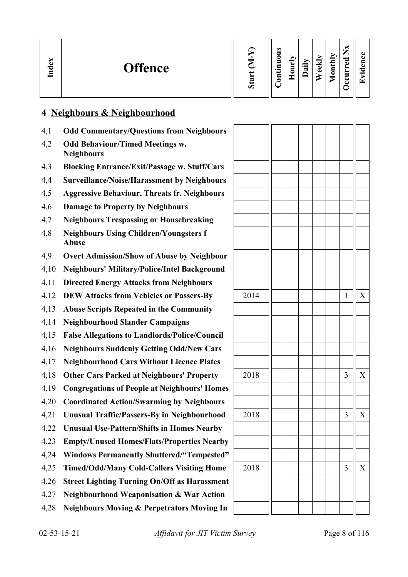| ×<br>്ധ<br>Ě | <b>Offence</b> | 2<br>Ω | $\bullet$<br>∊<br>−<br>$\bullet$ and<br>−<br>∊ | $\overline{\phantom{a}}$<br>▬<br>$\blacksquare$ | ੶ਫ਼ | eekly | onthly<br>−<br>► | _<br>P<br>ω<br>-<br>c | $\cdot$ $-$ |
|--------------|----------------|--------|------------------------------------------------|-------------------------------------------------|-----|-------|------------------|-----------------------|-------------|
|--------------|----------------|--------|------------------------------------------------|-------------------------------------------------|-----|-------|------------------|-----------------------|-------------|

## **4 Neighbours & Neighbourhood**

- 4,1 **Odd Commentary/Questions from Neighbours**
- 4,2 **Odd Behaviour/Timed Meetings w. Neighbours**
- 4,3 **Blocking Entrance/Exit/Passage w. Stuff/Cars**
- 4,4 **Surveillance/Noise/Harassment by Neighbours**
- 4,5 **Aggressive Behaviour, Threats fr. Neighbours**
- 4,6 **Damage to Property by Neighbours**
- 4,7 **Neighbours Trespassing or Housebreaking**
- 4,8 **Neighbours Using Children/Youngsters f Abuse**
- 4,9 **Overt Admission/Show of Abuse by Neighbour**
- 4,10 **Neighbours' Military/Police/Intel Background**
- 4,11 **Directed Energy Attacks from Neighbours**
- 4,12 **DEW Attacks from Vehicles or Passers-By**
- 4,13 **Abuse Scripts Repeated in the Community**
- 4,14 **Neighbourhood Slander Campaigns**
- 4,15 **False Allegations to Landlords/Police/Council**
- 4,16 **Neighbours Suddenly Getting Odd/New Cars**
- 4,17 **Neighbourhood Cars Without Licence Plates**
- 4,18 Other Cars Parked at Neighbours' Property
- 4,19 **Congregations of People at Neighbours' Homes**
- 4,20 **Coordinated Action/Swarming by Neighbours**
- 4,21 **Unusual Traffic/Passers-By in Neighbourhood**
- 4,22 **Unusual Use-Pattern/Shifts in Homes Nearby**
- 4,23 **Empty/Unused Homes/Flats/Properties Nearby**
- 4,24 **Windows Permanently Shuttered/"Tempested"**
- 4,25 **Timed/Odd/Many Cold-Callers Visiting Home**
- 4,26 **Street Lighting Turning On/Off as Harassment**
- 4,27 **Neighbourhood Weaponisation & War Action**
- 4,28 **Neighbours Moving & Perpetrators Moving In**

| 2014 |  |  | $\mathbf{1}$            | $\mathbf X$           |
|------|--|--|-------------------------|-----------------------|
|      |  |  |                         |                       |
|      |  |  |                         |                       |
|      |  |  |                         |                       |
|      |  |  |                         |                       |
|      |  |  |                         |                       |
| 2018 |  |  | $\overline{\mathbf{3}}$ | $\mathbf X$           |
|      |  |  |                         |                       |
|      |  |  |                         |                       |
| 2018 |  |  | $\overline{\mathbf{3}}$ | $\overline{\text{X}}$ |
|      |  |  |                         |                       |
|      |  |  |                         |                       |
|      |  |  |                         |                       |
| 2018 |  |  | $\mathfrak{Z}$          | $\mathbf X$           |
|      |  |  |                         |                       |
|      |  |  |                         |                       |
|      |  |  |                         |                       |
|      |  |  |                         |                       |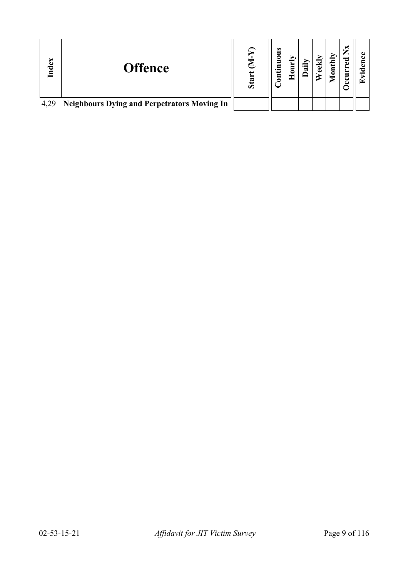| Index | <b>Offence</b>                                     | Sta | s<br>ᄛ<br>5<br>.Ξ<br>5 | ਜ਼ | $_{\text{outhly}}$ | ರ<br>Ì | ↽ |
|-------|----------------------------------------------------|-----|------------------------|----|--------------------|--------|---|
| 4,29  | <b>Neighbours Dying and Perpetrators Moving In</b> |     |                        |    |                    |        |   |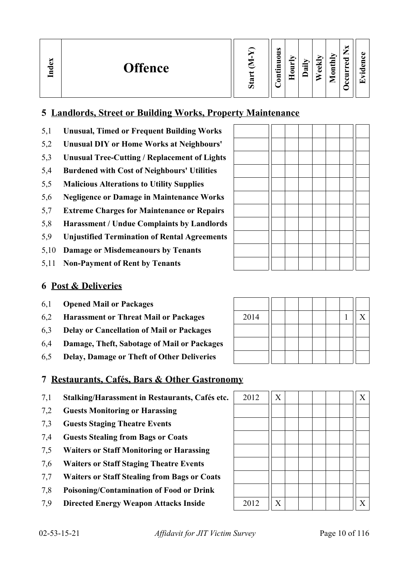| м<br>نە<br><b>Offence</b><br>ರ<br>⋴ | ┍ | ω<br>_<br>0<br>➢<br>5<br>▄<br>Ξ<br>≕۰<br>c<br>Ξ<br>◓ | r,<br>$\overline{\phantom{a}}$<br>⊶<br>ده.<br>ದ<br>d١ | $\tilde{}$<br>⇁<br>_<br>$\overline{\phantom{a}}$<br>ాం<br>ω<br>≖<br>$\bar{\mathbf{g}}$<br>−<br>◡<br>⊏<br>౿ | $\bullet$ .<br>$\overline{ }$ |
|-------------------------------------|---|------------------------------------------------------|-------------------------------------------------------|------------------------------------------------------------------------------------------------------------|-------------------------------|
|-------------------------------------|---|------------------------------------------------------|-------------------------------------------------------|------------------------------------------------------------------------------------------------------------|-------------------------------|

## **5 Landlords, Street or Building Works, Property Maintenance**

- 5,1 **Unusual, Timed or Frequent Building Works**
- 5,2 **Unusual DIY or Home Works at Neighbours'**
- 5,3 **Unusual Tree-Cutting / Replacement of Lights**
- 5,4 **Burdened with Cost of Neighbours' Utilities**
- 5,5 **Malicious Alterations to Utility Supplies**
- 5,6 **Negligence or Damage in Maintenance Works**
- 5,7 **Extreme Charges for Maintenance or Repairs**
- 5,8 **Harassment / Undue Complaints by Landlords**
- 5,9 **Unjustified Termination of Rental Agreements**
- 5,10 **Damage or Misdemeanours by Tenants**
- 5,11 **Non-Payment of Rent by Tenants**

<u> International Property</u>

 $\overline{\phantom{a}}$ Τ Т  $\top$ 

## **6 Post & Deliveries**

- 6,1 **Opened Mail or Packages**
- 6,2 **Harassment or Threat Mail or Packages**
- 6,3 **Delay or Cancellation of Mail or Packages**
- 6,4 **Damage, Theft, Sabotage of Mail or Packages**
- 6,5 **Delay, Damage or Theft of Other Deliveries**

| 2014 |  |  |  | $\boldsymbol{X}$ |
|------|--|--|--|------------------|
|      |  |  |  |                  |
|      |  |  |  |                  |
|      |  |  |  |                  |

## **7 Restaurants, Cafés, Bars & Other Gastronomy**

- 7,1 **Stalking/Harassment in Restaurants, Cafés etc.**
- 7,2 **Guests Monitoring or Harassing**
- 7,3 **Guests Staging Theatre Events**
- 7,4 **Guests Stealing from Bags or Coats**
- 7,5 **Waiters or Staff Monitoring or Harassing**
- 7,6 **Waiters or Staff Staging Theatre Events**
- 7,7 **Waiters or Staff Stealing from Bags or Coats**
- 7,8 **Poisoning/Contamination of Food or Drink**
- 7,9 **Directed Energy Weapon Attacks Inside**

| 2012 | $\mathbf X$ |  |  | $\boldsymbol{\mathrm{X}}$ |
|------|-------------|--|--|---------------------------|
|      |             |  |  |                           |
|      |             |  |  |                           |
|      |             |  |  |                           |
|      |             |  |  |                           |
|      |             |  |  |                           |
|      |             |  |  |                           |
|      |             |  |  |                           |
| 2012 | $\mathbf X$ |  |  | $\mathbf X$               |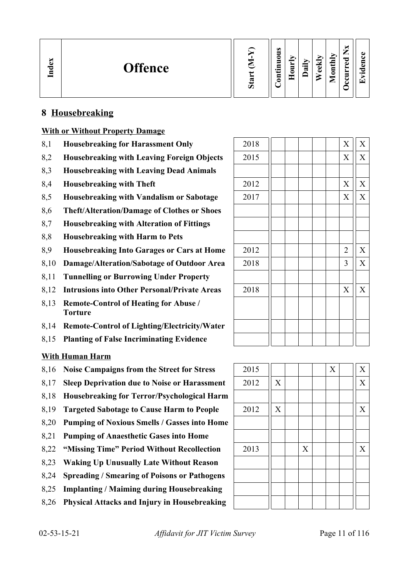| Index<br><b>Offence</b> | s.<br>∽ | ω<br>-<br>c<br>5<br>⊏<br>−،<br>3 | -<br>⇒<br>c | ∽<br>$\cdot$ $\,$<br>ದ | ₩<br>ക<br>ച | Îц<br>$\overline{5}$<br>▱ | ∼<br>–<br>痴<br>≂<br>ه<br>↩<br>ے | a.<br>а.<br>~⊂<br>$\bullet$<br>$\mathsf{L}$ |
|-------------------------|---------|----------------------------------|-------------|------------------------|-------------|---------------------------|---------------------------------|---------------------------------------------|
|-------------------------|---------|----------------------------------|-------------|------------------------|-------------|---------------------------|---------------------------------|---------------------------------------------|

## **8 Housebreaking**

#### **With or Without Property Damage**

- 8,1 **Housebreaking for Harassment Only**
- 8,2 **Housebreaking with Leaving Foreign Objects**
- 8,3 **Housebreaking with Leaving Dead Animals**
- 8.4 **Housebreaking with Theft**
- 8,5 **Housebreaking with Vandalism or Sabotage**
- 8,6 **Theft/Alteration/Damage of Clothes or Shoes**
- 8,7 **Housebreaking with Alteration of Fittings**
- 8,8 **Housebreaking with Harm to Pets**
- 8,9 **Housebreaking Into Garages or Cars at Home**
- 8,10 **Damage/Alteration/Sabotage of Outdoor Area**
- 8,11 **Tunnelling or Burrowing Under Property**
- 8.12 **Intrusions into Other Personal/Private Areas**
- 8,13 **Remote-Control of Heating for Abuse / Torture**
- 8,14 **Remote-Control of Lighting/Electricity/Water**
- 8,15 **Planting of False Incriminating Evidence**

### **With Human Harm**

- 8,16 **Noise Campaigns from the Street for Stress** 2015 X X
- 8,17 **Sleep Deprivation due to Noise or Harassment** 2012 X X
- 8,18 **Housebreaking for Terror/Psychological Harm**
- 8.19 **Targeted Sabotage to Cause Harm to People** 2012  $||X|| + ||X|| + ||X||$
- 8,20 **Pumping of Noxious Smells / Gasses into Home**
- 8,21 **Pumping of Anaesthetic Gases into Home**
- 8,22 **"Missing Time" Period Without Recollection** 2013 X X
- 8,23 **Waking Up Unusually Late Without Reason**
- 8,24 **Spreading / Smearing of Poisons or Pathogens**
- 8,25 **Implanting / Maiming during Housebreaking**
- 8,26 **Physical Attacks and Injury in Housebreaking**

| 2018 |  |  | X                | $\mathbf X$    |
|------|--|--|------------------|----------------|
| 2015 |  |  | $\mathbf X$      | $\overline{X}$ |
|      |  |  |                  |                |
| 2012 |  |  | $\boldsymbol{X}$ | $\mathbf X$    |
| 2017 |  |  | X                | $\overline{X}$ |
|      |  |  |                  |                |
|      |  |  |                  |                |
|      |  |  |                  |                |
| 2012 |  |  | $\overline{2}$   | $\mathbf X$    |
| 2018 |  |  | 3                | $\overline{X}$ |
|      |  |  |                  |                |
| 2018 |  |  | X                | $\bar{X}$      |
|      |  |  |                  |                |
|      |  |  |                  |                |
|      |  |  |                  |                |
|      |  |  |                  |                |

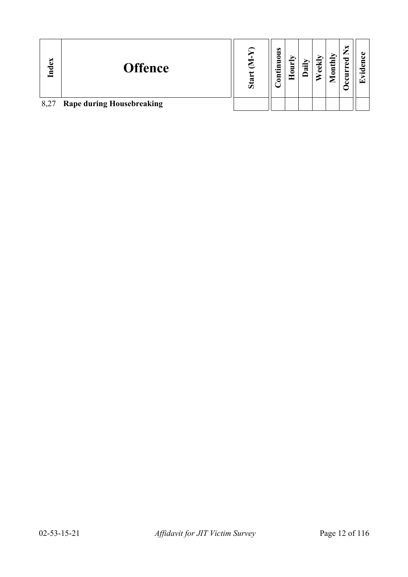| Index | <b>Offence</b>                   | Sta | $\bullet$<br>3<br>5<br>ίĤ<br>$\overline{\mathbf{5}}$ | ┍ | ਼ੁਰੂ | ⊻<br>පි | onthly<br>⋍ | ×<br>⇁<br><u>.</u><br>ಕ<br>È<br>౿ | $\bullet$ $\blacksquare$<br>œ |
|-------|----------------------------------|-----|------------------------------------------------------|---|------|---------|-------------|-----------------------------------|-------------------------------|
| 8,27  | <b>Rape during Housebreaking</b> |     |                                                      |   |      |         |             |                                   |                               |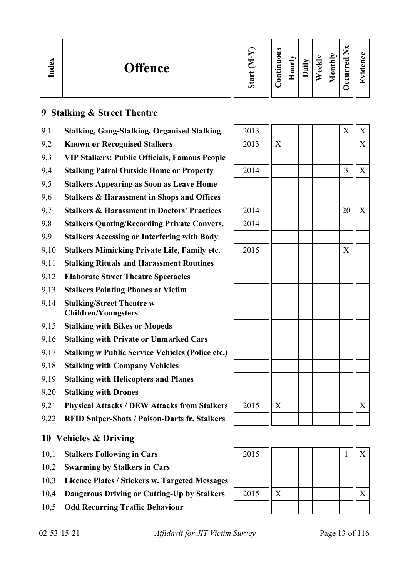| ×<br>്ധ<br><b>Offence</b><br>$\mathbf{d}$ | ರಾ<br>Ò | $\bullet$<br>5<br>0<br>5<br>⊟<br>∙⊨<br>5 | ≖ | ➤.<br>$\cdot$ $-$<br>∾ | ₩<br>نه<br>D | onthly<br>◚ | ×<br>–<br>_<br>ರ<br>ω<br>►<br>►<br>−<br>ల<br>് | $\bullet$<br>⊆ |
|-------------------------------------------|---------|------------------------------------------|---|------------------------|--------------|-------------|------------------------------------------------|----------------|
|-------------------------------------------|---------|------------------------------------------|---|------------------------|--------------|-------------|------------------------------------------------|----------------|

## **9 Stalking & Street Theatre**

- 9,1 **Stalking, Gang-Stalking, Organised Stalking**
- 9,2 **Known or Recognised Stalkers**
- 9,3 **VIP Stalkers: Public Officials, Famous People**
- 9,4 **Stalking Patrol Outside Home or Property**
- 9,5 **Stalkers Appearing as Soon as Leave Home**
- 9,6 **Stalkers & Harassment in Shops and Offices**
- 9.7 **Stalkers & Harassment in Doctors' Practices**
- 9,8 **Stalkers Quoting/Recording Private Convers.**
- 9,9 **Stalkers Accessing or Interfering with Body**
- 9,10 **Stalkers Mimicking Private Life, Family etc.**
- 9,11 **Stalking Rituals and Harassment Routines**
- 9,12 **Elaborate Street Theatre Spectacles**
- 9,13 **Stalkers Pointing Phones at Victim**
- 9,14 **Stalking/Street Theatre w Children/Youngsters**
- 9,15 **Stalking with Bikes or Mopeds**
- 9,16 **Stalking with Private or Unmarked Cars**
- 9,17 **Stalking w Public Service Vehicles (Police etc.)**
- 9,18 **Stalking with Company Vehicles**
- 9,19 **Stalking with Helicopters and Planes**
- 9,20 **Stalking with Drones**
- 9,21 **Physical Attacks / DEW Attacks from Stalkers**
- 9,22 **RFID Sniper-Shots / Poison-Darts fr. Stalkers**

## **10 Vehicles & Driving**

- 10,1 **Stalkers Following in Cars**
- 10,2 **Swarming by Stalkers in Cars**
- 10,3 **Licence Plates / Stickers w. Targeted Messages**
- 10,4 **Dangerous Driving or Cutting-Up by Stalkers**
- 10,5 **Odd Recurring Traffic Behaviour**

| 2013 |                |  |  | $\bar{X}$      | $\mathbf{X}$              |
|------|----------------|--|--|----------------|---------------------------|
| 2013 | $\overline{X}$ |  |  |                | $\overline{\overline{X}}$ |
|      |                |  |  |                |                           |
| 2014 |                |  |  | 3              | $\mathbf X$               |
|      |                |  |  |                |                           |
|      |                |  |  |                |                           |
| 2014 |                |  |  | 20             | $\overline{X}$            |
| 2014 |                |  |  |                |                           |
|      |                |  |  |                |                           |
| 2015 |                |  |  | $\overline{X}$ |                           |
|      |                |  |  |                |                           |
|      |                |  |  |                |                           |
|      |                |  |  |                |                           |
|      |                |  |  |                |                           |
|      |                |  |  |                |                           |
|      |                |  |  |                |                           |
|      |                |  |  |                |                           |
|      |                |  |  |                |                           |
|      |                |  |  |                |                           |
|      |                |  |  |                |                           |
|      |                |  |  |                |                           |
| 2015 | $\overline{X}$ |  |  |                | X                         |
|      |                |  |  |                |                           |

| 2015 |  |  |  |  |
|------|--|--|--|--|
|      |  |  |  |  |
|      |  |  |  |  |
| 2015 |  |  |  |  |
|      |  |  |  |  |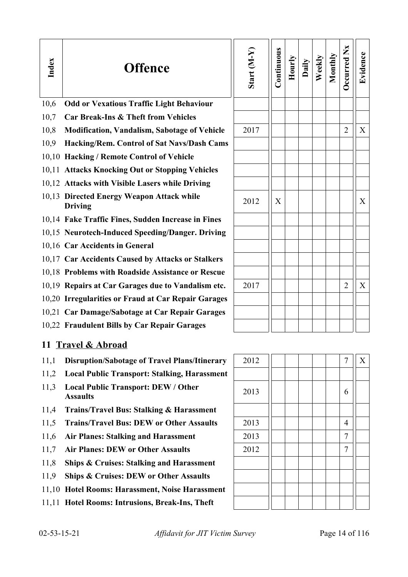| Index | <b>Offence</b>                                                | Start $(M-Y)$ | Continuous | Hourly | Daily | Weekly | Monthly | Occurred Nx    | Evidence |
|-------|---------------------------------------------------------------|---------------|------------|--------|-------|--------|---------|----------------|----------|
| 10,6  | <b>Odd or Vexatious Traffic Light Behaviour</b>               |               |            |        |       |        |         |                |          |
| 10,7  | <b>Car Break-Ins &amp; Theft from Vehicles</b>                |               |            |        |       |        |         |                |          |
| 10,8  | <b>Modification, Vandalism, Sabotage of Vehicle</b>           | 2017          |            |        |       |        |         | 2              | X        |
| 10,9  | Hacking/Rem. Control of Sat Navs/Dash Cams                    |               |            |        |       |        |         |                |          |
|       | 10,10 Hacking / Remote Control of Vehicle                     |               |            |        |       |        |         |                |          |
|       | 10,11 Attacks Knocking Out or Stopping Vehicles               |               |            |        |       |        |         |                |          |
|       | 10,12 Attacks with Visible Lasers while Driving               |               |            |        |       |        |         |                |          |
|       | 10,13 Directed Energy Weapon Attack while<br><b>Driving</b>   | 2012          | X          |        |       |        |         |                | X        |
|       | 10,14 Fake Traffic Fines, Sudden Increase in Fines            |               |            |        |       |        |         |                |          |
|       | 10,15 Neurotech-Induced Speeding/Danger. Driving              |               |            |        |       |        |         |                |          |
|       | 10,16 Car Accidents in General                                |               |            |        |       |        |         |                |          |
|       | 10,17 Car Accidents Caused by Attacks or Stalkers             |               |            |        |       |        |         |                |          |
|       | 10,18 Problems with Roadside Assistance or Rescue             |               |            |        |       |        |         |                |          |
|       | 10,19 Repairs at Car Garages due to Vandalism etc.            | 2017          |            |        |       |        |         | $\overline{2}$ | X        |
|       | 10,20 Irregularities or Fraud at Car Repair Garages           |               |            |        |       |        |         |                |          |
|       | 10,21 Car Damage/Sabotage at Car Repair Garages               |               |            |        |       |        |         |                |          |
|       | 10,22 Fraudulent Bills by Car Repair Garages                  |               |            |        |       |        |         |                |          |
|       | 11 Travel & Abroad                                            |               |            |        |       |        |         |                |          |
| 11,1  | <b>Disruption/Sabotage of Travel Plans/Itinerary</b>          | 2012          |            |        |       |        |         | 7              | X        |
| 11,2  | <b>Local Public Transport: Stalking, Harassment</b>           |               |            |        |       |        |         |                |          |
| 11,3  | <b>Local Public Transport: DEW / Other</b><br><b>Assaults</b> | 2013          |            |        |       |        |         | 6              |          |
| 11,4  | <b>Trains/Travel Bus: Stalking &amp; Harassment</b>           |               |            |        |       |        |         |                |          |
| 11,5  | <b>Trains/Travel Bus: DEW or Other Assaults</b>               | 2013          |            |        |       |        |         | 4              |          |
| 11,6  | <b>Air Planes: Stalking and Harassment</b>                    | 2013          |            |        |       |        |         | 7              |          |
| 11,7  | <b>Air Planes: DEW or Other Assaults</b>                      | 2012          |            |        |       |        |         | 7              |          |
| 11,8  | <b>Ships &amp; Cruises: Stalking and Harassment</b>           |               |            |        |       |        |         |                |          |
| 11,9  | <b>Ships &amp; Cruises: DEW or Other Assaults</b>             |               |            |        |       |        |         |                |          |
|       | 11,10 Hotel Rooms: Harassment, Noise Harassment               |               |            |        |       |        |         |                |          |

11,11 **Hotel Rooms: Intrusions, Break-Ins, Theft**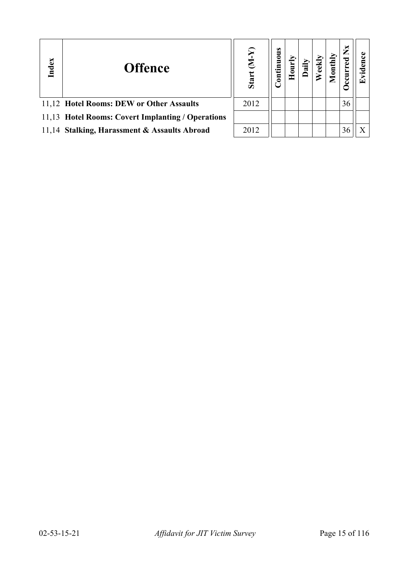| Index | <b>Offence</b>                                    | ⋝<br>E<br>Start | uous<br>$\mathbf{g}$ |  | $\overline{a}$ | ž  | ⊡ |
|-------|---------------------------------------------------|-----------------|----------------------|--|----------------|----|---|
|       | 11,12 Hotel Rooms: DEW or Other Assaults          | 2012            |                      |  |                | 36 |   |
|       | 11,13 Hotel Rooms: Covert Implanting / Operations |                 |                      |  |                |    |   |
|       | 11,14 Stalking, Harassment & Assaults Abroad      | 2012            |                      |  |                | 36 |   |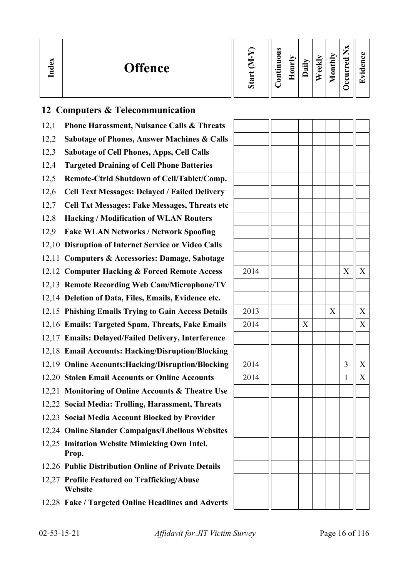| ∽<br>്ധ<br>$\mathbf{I}_{\mathbf{n}\mathbf{d}}$ | <b>Offence</b> | w<br>Ο | $\omega$<br>0<br>−<br>─<br>∙⊨<br>5<br>$\overline{\phantom{a}}$ | - | ੶ਫ਼ | ≂<br>نه<br>ه | nthly<br>c<br>உ | _<br>ರ<br>ω<br>−<br>∼<br>▀<br>ఽ<br>ت | പ<br>$\bullet$ $\blacksquare$<br>$\overline{\phantom{0}}$ |
|------------------------------------------------|----------------|--------|----------------------------------------------------------------|---|-----|--------------|-----------------|--------------------------------------|-----------------------------------------------------------|
|------------------------------------------------|----------------|--------|----------------------------------------------------------------|---|-----|--------------|-----------------|--------------------------------------|-----------------------------------------------------------|

## **12 Computers & Telecommunication**

- 12,1 **Phone Harassment, Nuisance Calls & Threats**
- 12,2 **Sabotage of Phones, Answer Machines & Calls**
- 12,3 **Sabotage of Cell Phones, Apps, Cell Calls**
- 12,4 **Targeted Draining of Cell Phone Batteries**
- 12,5 **Remote-Ctrld Shutdown of Cell/Tablet/Comp.**
- 12,6 **Cell Text Messages: Delayed / Failed Delivery**
- 12,7 **Cell Txt Messages: Fake Messages, Threats etc**
- 12,8 **Hacking / Modification of WLAN Routers**
- 12,9 **Fake WLAN Networks / Network Spoofing**
- 12,10 **Disruption of Internet Service or Video Calls**
- 12,11 **Computers & Accessories: Damage, Sabotage**
- 12,12 Computer Hacking & Forced Remote Access
- 12,13 **Remote Recording Web Cam/Microphone/TV**
- 12,14 **Deletion of Data, Files, Emails, Evidence etc.**
- 12,15 **Phishing Emails Trying to Gain Access Details**
- 12,16 **Emails: Targeted Spam, Threats, Fake Emails**
- 12,17 **Emails: Delayed/Failed Delivery, Interference**
- 12,18 **Email Accounts: Hacking/Disruption/Blocking**
- 12,19 Online Accounts: Hacking/Disruption/Blocking
- 12,20 Stolen Email Accounts or Online Accounts
- 12,21 **Monitoring of Online Accounts & Theatre Use**
- 12,22 **Social Media: Trolling, Harassment, Threats**
- 12,23 **Social Media Account Blocked by Provider**
- 12,24 **Online Slander Campaigns/Libellous Websites**
- 12,25 **Imitation Website Mimicking Own Intel. Prop.**
- 12,26 **Public Distribution Online of Private Details**
- 12,27 **Profile Featured on Trafficking/Abuse Website**
- 12,28 **Fake / Targeted Online Headlines and Adverts**

| 2014 |  |             |             | $\mathbf X$             | $\mathbf X$                        |
|------|--|-------------|-------------|-------------------------|------------------------------------|
|      |  |             |             |                         |                                    |
|      |  |             |             |                         |                                    |
|      |  |             |             |                         |                                    |
| 2013 |  |             | $\mathbf X$ |                         | $\mathbf X$                        |
| 2014 |  | $\mathbf X$ |             |                         | $\overline{\overline{\mathbf{X}}}$ |
|      |  |             |             |                         |                                    |
|      |  |             |             |                         |                                    |
|      |  |             |             |                         |                                    |
| 2014 |  |             |             | $\overline{\mathbf{3}}$ | $\mathbf{X}$                       |
| 2014 |  |             |             | $\mathbf 1$             | $\mathbf{X}$                       |
|      |  |             |             |                         |                                    |
|      |  |             |             |                         |                                    |
|      |  |             |             |                         |                                    |
|      |  |             |             |                         |                                    |
|      |  |             |             |                         |                                    |
|      |  |             |             |                         |                                    |
|      |  |             |             |                         |                                    |
|      |  |             |             |                         |                                    |
|      |  |             |             |                         |                                    |
|      |  |             |             |                         |                                    |
|      |  |             |             |                         |                                    |
|      |  |             |             |                         |                                    |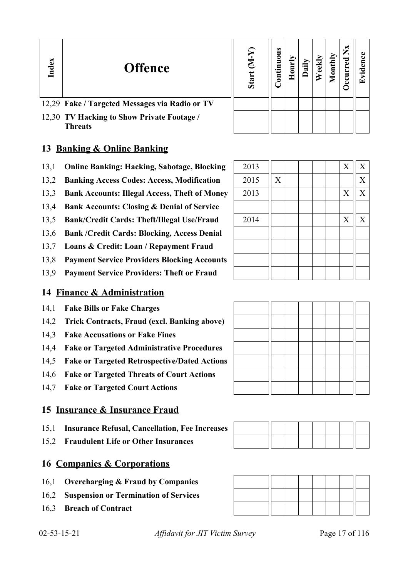#### **In dexOffence Sta rt (M-Y) Contin uous Hourly D Weekly aily Monthly OccurredNxEvid ence**12,29 **Fake / Targeted Messages via Radio or TV** 12,30 **TV Hacking to Show Private Footage / Threats**

## **13 Banking & Online Banking**

- 13,1 **Online Banking: Hacking, Sabotage, Blocking** 2013  $||$   $||$   $||$   $||$   $||$   $||$   $||$   $X||$   $X$
- 13,2 **Banking Access Codes: Access, Modification**
- 13,3 **Bank Accounts: Illegal Access, Theft of Money**
- 13,4 **Bank Accounts: Closing & Denial of Service**
- 13,5 **Bank/Credit Cards: Theft/Illegal Use/Fraud**
- 13,6 **Bank /Credit Cards: Blocking, Access Denial**
- 13,7 **Loans & Credit: Loan / Repayment Fraud**
- 13,8 **Payment Service Providers Blocking Accounts**
- 13,9 **Payment Service Providers: Theft or Fraud**

## **14 Finance & Administration**

- 14,1 **Fake Bills or Fake Charges**
- 14,2 **Trick Contracts, Fraud (excl. Banking above)**
- 14,3 **Fake Accusations or Fake Fines**
- 14,4 **Fake or Targeted Administrative Procedures**
- 14,5 **Fake or Targeted Retrospective/Dated Actions**
- 14,6 **Fake or Targeted Threats of Court Actions**
- 14,7 **Fake or Targeted Court Actions**

## **15 Insurance & Insurance Fraud**

- 15,1 **Insurance Refusal, Cancellation, Fee Increases**
- 15,2 **Fraudulent Life or Other Insurances**

## **16 Companies & Corporations**

- 16,1 **Overcharging & Fraud by Companies**
- 16,2 **Suspension or Termination of Services**
- 16,3 **Breach of Contract**



| 2015 | $\boldsymbol{\mathrm{X}}$ |  |  |             | $\mathbf X$ |
|------|---------------------------|--|--|-------------|-------------|
| 2013 |                           |  |  | $\mathbf X$ | $\mathbf X$ |
|      |                           |  |  |             |             |
| 2014 |                           |  |  | $\mathbf X$ | $\mathbf X$ |
|      |                           |  |  |             |             |
|      |                           |  |  |             |             |
|      |                           |  |  |             |             |
|      |                           |  |  |             |             |
|      |                           |  |  |             |             |
|      |                           |  |  |             |             |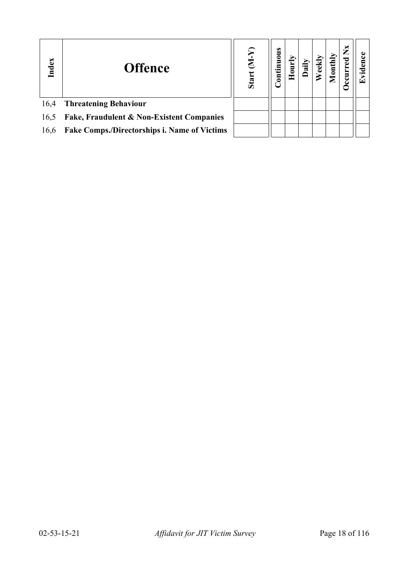| Index | <b>Offence</b>                               | ନ୍ମ<br>E<br>Start | Continuous | ੶ਫ਼ | $_{\rm l}$ | $\mathbf{X}$<br>ccurred |  |
|-------|----------------------------------------------|-------------------|------------|-----|------------|-------------------------|--|
| 16,4  | <b>Threatening Behaviour</b>                 |                   |            |     |            |                         |  |
| 16,5  | Fake, Fraudulent & Non-Existent Companies    |                   |            |     |            |                         |  |
| 16,6  | Fake Comps./Directorships i. Name of Victims |                   |            |     |            |                         |  |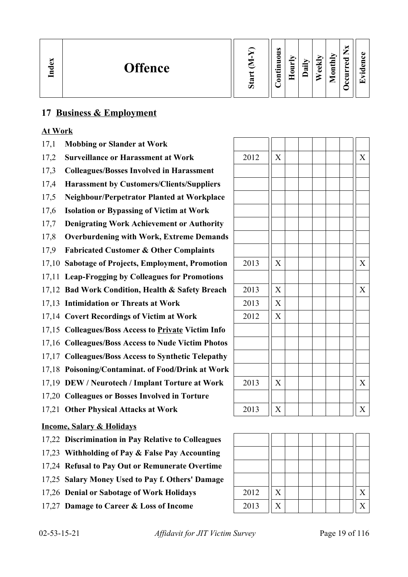| EX<br>ಕ<br>⊟ | <b>Offence</b> | ರಾ | $\omega$<br>∍<br>0<br>5<br>5<br>.⊐<br>⊟<br>۵ | _<br>∼<br>5<br>0<br>− | ⊵<br>$\cdot$ $-$<br>≂ | ◡<br>$\omega$<br>ω | ⊵<br>ᆯ<br>پ<br>$\overline{\mathbf{g}}$<br>_ | ⇁<br>_<br>ு.<br>مە<br>۰<br>┙ | C.<br>. е.<br>$\bullet$ $\blacksquare$<br>$\left(\mathbf{r}\right)$ |
|--------------|----------------|----|----------------------------------------------|-----------------------|-----------------------|--------------------|---------------------------------------------|------------------------------|---------------------------------------------------------------------|
|--------------|----------------|----|----------------------------------------------|-----------------------|-----------------------|--------------------|---------------------------------------------|------------------------------|---------------------------------------------------------------------|

## **17 Business & Employment**

#### **At Work**

- 17,1 **Mobbing or Slander at Work**
- 17,2 **Surveillance or Harassment at Work**
- 17,3 **Colleagues/Bosses Involved in Harassment**
- 17,4 **Harassment by Customers/Clients/Suppliers**
- 17,5 **Neighbour/Perpetrator Planted at Workplace**
- 17,6 **Isolation or Bypassing of Victim at Work**
- 17,7 **Denigrating Work Achievement or Authority**
- 17,8 **Overburdening with Work, Extreme Demands**
- 17,9 **Fabricated Customer & Other Complaints**
- 17,10 Sabotage of Projects, Employment, Promotion
- 17,11 **Leap-Frogging by Colleagues for Promotions**
- 17,12 **Bad Work Condition, Health & Safety Breach**
- 17,13 **Intimidation or Threats at Work**
- 17,14 Covert Recordings of Victim at Work
- 17,15 **Colleagues/Boss Access to Private Victim Info**
- 17,16 **Colleagues/Boss Access to Nude Victim Photos**
- 17,17 **Colleagues/Boss Access to Synthetic Telepathy**
- 17,18 **Poisoning/Contaminat. of Food/Drink at Work**
- 17,19 **DEW / Neurotech / Implant Torture at Work**
- 17,20 **Colleagues or Bosses Involved in Torture**
- 17,21 **Other Physical Attacks at Work** 2013  $\|X\|$  | | | | |

#### **Income, Salary & Holidays**

- 17,22 **Discrimination in Pay Relative to Colleagues**
- 17,23 **Withholding of Pay & False Pay Accounting**
- 17,24 **Refusal to Pay Out or Remunerate Overtime**
- 17,25 **Salary Money Used to Pay f. Others' Damage**
- 17,26 **Denial or Sabotage of Work Holidays** 2012  $\|X\|$  | | | |  $\|X\|$
- 17,27 **Damage to Career & Loss of Income** 2013 X X

| 2012 | $\overline{X}$          |  |  | $\overline{X}$        |
|------|-------------------------|--|--|-----------------------|
|      |                         |  |  |                       |
|      |                         |  |  |                       |
|      |                         |  |  |                       |
|      |                         |  |  |                       |
|      |                         |  |  |                       |
|      |                         |  |  |                       |
|      |                         |  |  |                       |
| 2013 | $\overline{X}$          |  |  | X                     |
|      |                         |  |  |                       |
| 2013 | X                       |  |  | $\overline{X}$        |
| 2013 | $\overline{\mathbf{X}}$ |  |  |                       |
| 2012 | $\overline{X}$          |  |  |                       |
|      |                         |  |  |                       |
|      |                         |  |  |                       |
|      |                         |  |  |                       |
|      |                         |  |  |                       |
| 2013 | $\overline{X}$          |  |  | $\overline{X}$        |
|      |                         |  |  |                       |
| 2013 | $\overline{X}$          |  |  | $\overline{\text{X}}$ |

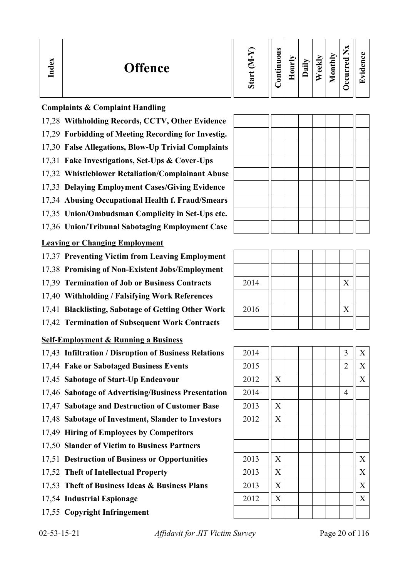| ×<br>്ധ<br><b>Offence</b><br>Ind | w<br>ÜΩ | $\bullet$<br>Ξ<br>0<br>5<br>.특<br>5 | −<br>⊏<br><u>гт</u> | ∽<br>$\bullet$ $\blacksquare$<br>≂ | ⊷<br>نه<br>م | onthly<br>▱ | м<br>╺<br>ರ<br>Φ<br>►<br>5<br>◡ | 61<br>~<br>$\bullet$ m<br>$\overline{ }$ |
|----------------------------------|---------|-------------------------------------|---------------------|------------------------------------|--------------|-------------|---------------------------------|------------------------------------------|
|----------------------------------|---------|-------------------------------------|---------------------|------------------------------------|--------------|-------------|---------------------------------|------------------------------------------|

#### **Complaints & Complaint Handling**

- 17,28 **Withholding Records, CCTV, Other Evidence**
- 17,29 **Forbidding of Meeting Recording for Investig.**
- 17,30 **False Allegations, Blow-Up Trivial Complaints**
- 17,31 **Fake Investigations, Set-Ups & Cover-Ups**
- 17,32 **Whistleblower Retaliation/Complainant Abuse**
- 17,33 **Delaying Employment Cases/Giving Evidence**
- 17,34 **Abusing Occupational Health f. Fraud/Smears**
- 17,35 **Union/Ombudsman Complicity in Set-Ups etc.**
- 17,36 **Union/Tribunal Sabotaging Employment Case**

### **Leaving or Changing Employment**

- 17,37 **Preventing Victim from Leaving Employment**
- 17,38 **Promising of Non-Existent Jobs/Employment**
- 17.39 **Termination of Job or Business Contracts**
- 17,40 **Withholding / Falsifying Work References**
- 17,41 **Blacklisting, Sabotage of Getting Other Work**
- 17,42 **Termination of Subsequent Work Contracts**

## **Self-Employment & Running a Business**

- 17,43 **Infiltration / Disruption of Business Relations**
- 17,44 Fake or Sabotaged Business Events
- 17,45 **Sabotage of Start-Up Endeavour**
- 17,46 Sabotage of Advertising/Business Presentation
- 17,47 Sabotage and Destruction of Customer Base
- 17,48 Sabotage of Investment, Slander to Investors
- 17,49 **Hiring of Employees by Competitors**
- 17,50 **Slander of Victim to Business Partners**
- 17,51 **Destruction of Business or Opportunities**
- 17,52 Theft of Intellectual Property
- 17,53 Theft of Business Ideas & Business Plans
- 17,54 **Industrial Espionage**
- 17,55 **Copyright Infringement**

| $02 - 53 - 15 - 21$ |
|---------------------|
|---------------------|

Affidavit for JIT Victim Survey Page 20 of 116

| 2014 |  |  | X |  |
|------|--|--|---|--|
|      |  |  |   |  |
| 2016 |  |  | X |  |
|      |  |  |   |  |

| 2014 |                           |  |  | 3              | X                         |
|------|---------------------------|--|--|----------------|---------------------------|
| 2015 |                           |  |  | $\overline{2}$ | X                         |
| 2012 | X                         |  |  |                | $\boldsymbol{X}$          |
| 2014 |                           |  |  | $\overline{4}$ |                           |
| 2013 | $\boldsymbol{\mathrm{X}}$ |  |  |                |                           |
| 2012 | $\boldsymbol{\mathrm{X}}$ |  |  |                |                           |
|      |                           |  |  |                |                           |
|      |                           |  |  |                |                           |
| 2013 | $\boldsymbol{\mathrm{X}}$ |  |  |                | X                         |
| 2013 | $\boldsymbol{\mathrm{X}}$ |  |  |                | $\boldsymbol{\mathrm{X}}$ |
| 2013 | $\boldsymbol{\mathrm{X}}$ |  |  |                | X                         |
| 2012 | X                         |  |  |                | X                         |
|      |                           |  |  |                |                           |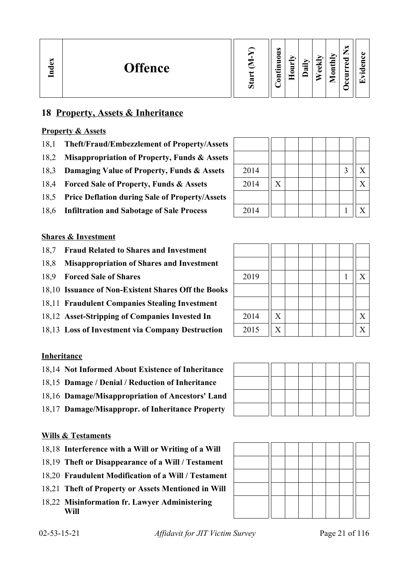| ×<br>نه<br><u>Ind</u> | <b>Offence</b> | ∽<br>∾ | ω<br>0<br>5<br>5<br>$\cdot$ $-$<br>⊟<br>۵ | −<br>▬<br>-<br>c<br>$\tau$ | ➢<br>$\cdot$ $-$<br>ಷ | м<br>$\omega$<br>ده | Иų<br>ند<br>Ē | –<br>−<br>P<br>م<br>$\overline{\phantom{a}}$<br>$\overline{\phantom{a}}$ | Œ<br>п<br><u>т.</u><br>$\bullet$ m<br>Γ÷ |
|-----------------------|----------------|--------|-------------------------------------------|----------------------------|-----------------------|---------------------|---------------|--------------------------------------------------------------------------|------------------------------------------|
|-----------------------|----------------|--------|-------------------------------------------|----------------------------|-----------------------|---------------------|---------------|--------------------------------------------------------------------------|------------------------------------------|

## **18 Property, Assets & Inheritance**

#### **Property & Assets**

- 18,1 **Theft/Fraud/Embezzlement of Property/Assets**
- 18,2 **Misappropriation of Property, Funds & Assets**
- 18,3 **Damaging Value of Property, Funds & Assets**
- 18,4 **Forced Sale of Property, Funds & Assets**
- 18,5 **Price Deflation during Sale of Property/Assets**
- 18,6 **Infiltration and Sabotage of Sale Process**

#### **Shares & Investment**

- 18,7 **Fraud Related to Shares and Investment**
- 18,8 **Misappropriation of Shares and Investment**
- 18.9 **Forced Sale of Shares**
- 18,10 **Issuance of Non-Existent Shares Off the Books**
- 18,11 **Fraudulent Companies Stealing Investment**
- 18,12 Asset-Stripping of Companies Invested In
- 18,13 Loss of Investment via Company Destruction

#### **Inheritance**

- 18,14 **Not Informed About Existence of Inheritance**
- 18,15 **Damage / Denial / Reduction of Inheritance**
- 18,16 **Damage/Misappropriation of Ancestors' Land**
- 18,17 **Damage/Misappropr. of Inheritance Property**

#### **Wills & Testaments**

- 18,18 **Interference with a Will or Writing of a Will**
- 18,19 **Theft or Disappearance of a Will / Testament**
- 18,20 **Fraudulent Modification of a Will / Testament**
- 18,21 **Theft of Property or Assets Mentioned in Will**
- 18,22 **Misinformation fr. Lawyer Administering Will**

| 2014 |   |  |  | 3 | X |
|------|---|--|--|---|---|
| 2014 | X |  |  |   | Χ |
|      |   |  |  |   |   |
| 2014 |   |  |  |   | Х |

| 2019 |                |  |  | X |
|------|----------------|--|--|---|
| 2014 | $\mathbf X$    |  |  | X |
| 2015 | $\overline{X}$ |  |  | X |



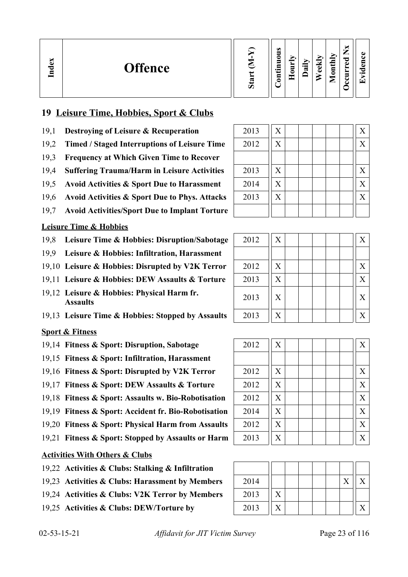| dex<br><b>Offence</b><br>▭ | Ď | $\omega$<br>▬<br>0<br>5<br>르.<br>5 | ↘<br>m<br>−<br>5<br>c | ∽<br>≔<br>∾ | ↝<br>ω<br>Ō | onthly<br>⊂ | ∼<br>–<br>_<br>ு<br>ه<br>➤<br>↩<br>ບ | а.<br>$\bullet$ $\blacksquare$<br>i ₩i |
|----------------------------|---|------------------------------------|-----------------------|-------------|-------------|-------------|--------------------------------------|----------------------------------------|
|----------------------------|---|------------------------------------|-----------------------|-------------|-------------|-------------|--------------------------------------|----------------------------------------|

### **19 Leisure Time, Hobbies, Sport & Clubs**

- 19,1 **Destroying of Leisure & Recuperation**
- 19,2 Timed / Staged Interruptions of Leisure Time
- 19,3 **Frequency at Which Given Time to Recover**
- 19,4 **Suffering Trauma/Harm in Leisure Activities**
- 19,5 Avoid Activities & Sport Due to Harassment
- 19,6 Avoid Activities & Sport Due to Phys. Attacks
- 19,7 **Avoid Activities/Sport Due to Implant Torture**

#### **Leisure Time & Hobbies**

- 19,8 Leisure Time & Hobbies: Disruption/Sabotage
- 19,9 **Leisure & Hobbies: Infiltration, Harassment**
- 19,10 Leisure & Hobbies: Disrupted by V2K Terror
- 19.11 Leisure & Hobbies: DEW Assaults & Torture
- 19,12 **Leisure & Hobbies: Physical Harm fr.**  Assaults **2013** X  $\begin{bmatrix} 2013 & 2013 & 2013 \end{bmatrix}$  X  $\begin{bmatrix} 2 & 2013 & 2013 & 2013 \end{bmatrix}$  X  $\begin{bmatrix} 2 & 2013 & 2013 & 2013 & 2013 \end{bmatrix}$
- 19,13 Leisure Time & Hobbies: Stopped by Assaults

#### **Sport & Fitness**

- 19,14 Fitness & Sport: Disruption, Sabotage
- 19,15 **Fitness & Sport: Infiltration, Harassment**
- 19,16 Fitness & Sport: Disrupted by V2K Terror
- 19,17 Fitness & Sport: DEW Assaults & Torture
- 19,18 **Fitness & Sport: Assaults w. Bio-Robotisation**
- 19,19 **Fitness & Sport: Accident fr. Bio-Robotisation**
- 19,20 Fitness & Sport: Physical Harm from Assaults
- 19,21 **Fitness & Sport: Stopped by Assaults or Harm**

### **Activities With Others & Clubs**

- 19,22 **Activities & Clubs: Stalking & Infiltration**
- 19,23 Activities & Clubs: Harassment by Members
- 19,24 Activities & Clubs: V2K Terror by Members
- 19,25 Activities & Clubs: DEW/Torture by

| 2013 | $\boldsymbol{\mathrm{X}}$ | X                 |
|------|---------------------------|-------------------|
| 2012 | X                         | X                 |
|      |                           |                   |
| 2013 | $\boldsymbol{\mathrm{X}}$ | X                 |
| 2014 | X                         | $\rm\overline{X}$ |
| 2013 | $\boldsymbol{\mathrm{X}}$ | X                 |
|      |                           |                   |

| 2012 | X | X |
|------|---|---|
|      |   |   |
| 2012 | X | X |
| 2013 | X | X |
| 2013 | X | X |
| 2013 | X | X |

| 2012 | $\boldsymbol{\mathrm{X}}$ | X |
|------|---------------------------|---|
|      |                           |   |
| 2012 | $\boldsymbol{\mathrm{X}}$ | X |
| 2012 | $\boldsymbol{\mathrm{X}}$ | X |
| 2012 | $\boldsymbol{\mathrm{X}}$ | X |
| 2014 | $\boldsymbol{\mathrm{X}}$ | X |
| 2012 | $\boldsymbol{\mathrm{X}}$ | X |
| 2013 | X                         | X |

| 2014 |  |  |  |  |
|------|--|--|--|--|
| 2013 |  |  |  |  |
| 2013 |  |  |  |  |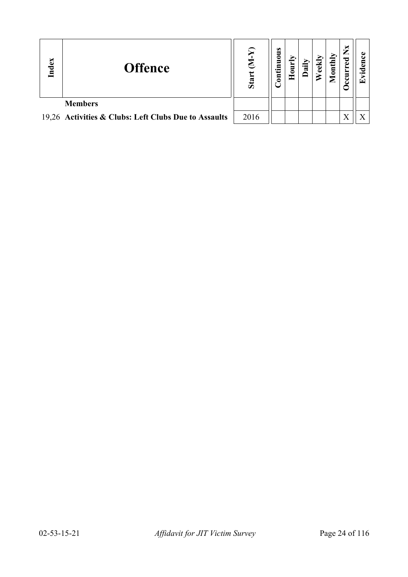| Index | <b>Offence</b>                                       | $\Omega$<br>Star | ontinuous | 0<br>Ξ | ≂ | ed | $\text{until}$ | ×<br>⇁<br>ಕ<br>ccuri | P<br>$\bullet$ $\blacksquare$<br>⊡ |
|-------|------------------------------------------------------|------------------|-----------|--------|---|----|----------------|----------------------|------------------------------------|
|       | <b>Members</b>                                       |                  |           |        |   |    |                |                      |                                    |
|       | 19,26 Activities & Clubs: Left Clubs Due to Assaults | 2016             |           |        |   |    |                |                      |                                    |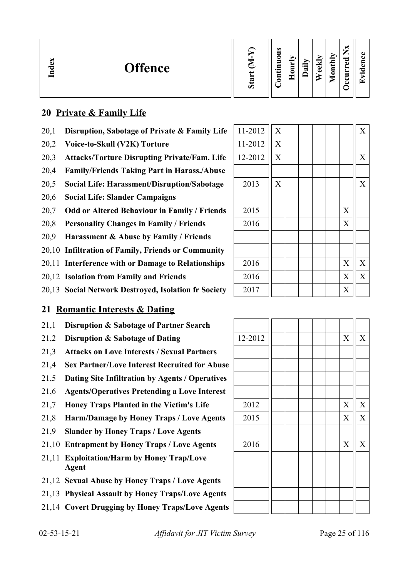| ്ല<br><b>Offence</b><br>ᇢ<br>Ē | ω<br>−<br>_<br>É<br>0<br>ెం<br>5<br>М<br>ω<br>. .<br>ω<br>⊏<br>$\overline{5}$<br>د.<br>≂<br>ω<br>►<br>-<br>3<br>▱<br>Ξ. | $\bullet$<br>÷ |
|--------------------------------|-------------------------------------------------------------------------------------------------------------------------|----------------|
|--------------------------------|-------------------------------------------------------------------------------------------------------------------------|----------------|

## **20 Private & Family Life**

- 20,1 **Disruption, Sabotage of Private & Family Life**
- 20,2 Voice-to-Skull (V2K) Torture
- 20,3 Attacks/Torture Disrupting Private/Fam. Life
- 20,4 **Family/Friends Taking Part in Harass./Abuse**
- 20,5 **Social Life: Harassment/Disruption/Sabotage** 2013 X X
- 20,6 **Social Life: Slander Campaigns**
- 20,7 Odd or Altered Behaviour in Family / Friends
- 20,8 **Personality Changes in Family / Friends**
- 20,9 **Harassment & Abuse by Family / Friends**
- 20,10 **Infiltration of Family, Friends or Community**
- 20,11 **Interference with or Damage to Relationships**
- 20,12 **Isolation from Family and Friends**
- 20,13 **Social Network Destroyed, Isolation fr Society**

## **21 Romantic Interests & Dating**

- 21,1 **Disruption & Sabotage of Partner Search**
- 21,2 **Disruption & Sabotage of Dating**
- 21,3 **Attacks on Love Interests / Sexual Partners**
- 21,4 **Sex Partner/Love Interest Recruited for Abuse**
- 21,5 **Dating Site Infiltration by Agents / Operatives**
- 21,6 **Agents/Operatives Pretending a Love Interest**
- 21,7 **Honey Traps Planted in the Victim's Life**
- 21,8 **Harm/Damage by Honey Traps / Love Agents**
- 21,9 **Slander by Honey Traps / Love Agents**
- 21,10 **Entrapment by Honey Traps / Love Agents**
- 21,11 **Exploitation/Harm by Honey Trap/Love Agent**
- 21,12 **Sexual Abuse by Honey Traps / Love Agents**
- 21,13 **Physical Assault by Honey Traps/Love Agents**
- 21,14 **Covert Drugging by Honey Traps/Love Agents**

| 11-2012 | X                         |  |  |                  | $\overline{X}$            |
|---------|---------------------------|--|--|------------------|---------------------------|
| 11-2012 | $\boldsymbol{\mathrm{X}}$ |  |  |                  |                           |
| 12-2012 | $\boldsymbol{\mathrm{X}}$ |  |  |                  | $\boldsymbol{\mathrm{X}}$ |
|         |                           |  |  |                  |                           |
| 2013    | X                         |  |  |                  | $\boldsymbol{X}$          |
|         |                           |  |  |                  |                           |
| 2015    |                           |  |  | X                |                           |
| 2016    |                           |  |  | X                |                           |
|         |                           |  |  |                  |                           |
|         |                           |  |  |                  |                           |
| 2016    |                           |  |  | $\boldsymbol{X}$ | $\boldsymbol{\mathrm{X}}$ |
| 2016    |                           |  |  | X                | $\boldsymbol{\mathrm{X}}$ |
| 2017    |                           |  |  | X                |                           |

| 12-2012 |  |  | $\overline{X}$ | $\mathbf X$    |
|---------|--|--|----------------|----------------|
|         |  |  |                |                |
|         |  |  |                |                |
|         |  |  |                |                |
|         |  |  |                |                |
| 2012    |  |  | $\mathbf X$    | $\overline{X}$ |
| 2015    |  |  | X              | $\mathbf X$    |
|         |  |  |                |                |
| 2016    |  |  | X              | $\mathbf X$    |
|         |  |  |                |                |
|         |  |  |                |                |
|         |  |  |                |                |
|         |  |  |                |                |
|         |  |  |                |                |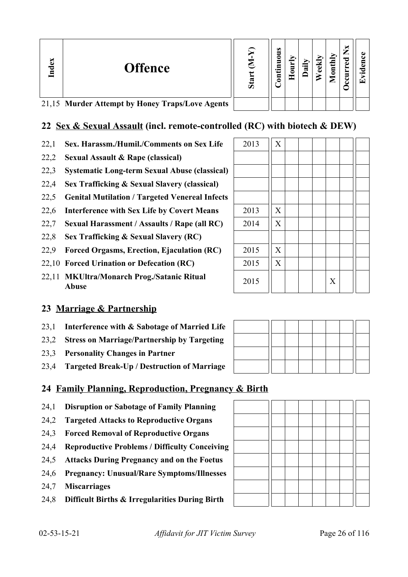| Index | <b>Offence</b>                                  | S <sub>ta</sub> | s<br>∍<br>٥<br>등 | ੰਡ | Ξ<br>$\bar{\mathbf{g}}$ | ಕ<br>5<br>ں |  |
|-------|-------------------------------------------------|-----------------|------------------|----|-------------------------|-------------|--|
|       | 21,15 Murder Attempt by Honey Traps/Love Agents |                 |                  |    |                         |             |  |

## **22 Sex & Sexual Assault (incl. remote-controlled (RC) with biotech & DEW)**

- 22,1 **Sex. Harassm./Humil./Comments on Sex Life**  $\begin{array}{|c|c|c|c|c|} \hline 2013 & X & \hline \end{array}$
- 22,2 **Sexual Assault & Rape (classical)**
- 22,3 **Systematic Long-term Sexual Abuse (classical)**
- 22,4 **Sex Trafficking & Sexual Slavery (classical)**
- 22,5 **Genital Mutilation / Targeted Venereal Infects**
- 22,6 Interference with Sex Life by Covert Means
- 22,7 **Sexual Harassment / Assaults / Rape (all RC)**
- 22,8 **Sex Trafficking & Sexual Slavery (RC)**
- 22,9 **Forced Orgasms, Erection, Ejaculation (RC)**
- 22,10 **Forced Urination or Defecation (RC)**
- 22,11 **MKUltra/Monarch Prog./Satanic Ritual Abuse** <sup>2015</sup> <sup>X</sup>

## **23 Marriage & Partnership**

- 23,1 **Interference with & Sabotage of Married Life**
- 23,2 **Stress on Marriage/Partnership by Targeting**
- 23,3 **Personality Changes in Partner**
- 23,4 **Targeted Break-Up / Destruction of Marriage**

## **24 Family Planning, Reproduction, Pregnancy & Birth**

- 24,1 **Disruption or Sabotage of Family Planning**
- 24,2 **Targeted Attacks to Reproductive Organs**
- 24,3 **Forced Removal of Reproductive Organs**
- 24,4 **Reproductive Problems / Difficulty Conceiving**
- 24,5 **Attacks During Pregnancy and on the Foetus**
- 24,6 **Pregnancy: Unusual/Rare Symptoms/Illnesses**
- 24,7 **Miscarriages**
- 24,8 **Difficult Births & Irregularities During Birth**

| 2013 | $\mathbf X$               |  |   |  |  |
|------|---------------------------|--|---|--|--|
| 2014 | $\boldsymbol{\mathrm{X}}$ |  |   |  |  |
|      |                           |  |   |  |  |
| 2015 | $\boldsymbol{\mathrm{X}}$ |  |   |  |  |
| 2015 | $\overline{X}$            |  |   |  |  |
| 2015 |                           |  | X |  |  |
|      |                           |  |   |  |  |
|      |                           |  |   |  |  |

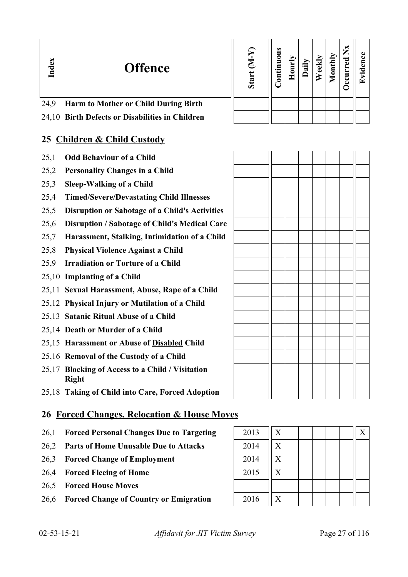| Index | <b>Offence</b>                                  | Stai | s |  |  | × | ' T |
|-------|-------------------------------------------------|------|---|--|--|---|-----|
| 24,9  | <b>Harm to Mother or Child During Birth</b>     |      |   |  |  |   |     |
|       | 24,10 Birth Defects or Disabilities in Children |      |   |  |  |   |     |

## **25 Children & Child Custody**

- 25,1 **Odd Behaviour of a Child**
- 25,2 **Personality Changes in a Child**
- 25,3 **Sleep-Walking of a Child**
- 25,4 **Timed/Severe/Devastating Child Illnesses**
- 25,5 **Disruption or Sabotage of a Child's Activities**
- 25,6 **Disruption / Sabotage of Child's Medical Care**
- 25,7 **Harassment, Stalking, Intimidation of a Child**
- 25,8 **Physical Violence Against a Child**
- 25,9 **Irradiation or Torture of a Child**
- 25,10 **Implanting of a Child**
- 25,11 **Sexual Harassment, Abuse, Rape of a Child**
- 25,12 **Physical Injury or Mutilation of a Child**
- 25,13 **Satanic Ritual Abuse of a Child**
- 25,14 **Death or Murder of a Child**
- 25,15 **Harassment or Abuse of Disabled Child**
- 25,16 **Removal of the Custody of a Child**
- 25,17 **Blocking of Access to a Child / Visitation Right**
- 25,18 **Taking of Child into Care, Forced Adoption**

## **26 Forced Changes, Relocation & House Moves**

- 26.1 **Forced Personal Changes Due to Targeting**
- 26,2 **Parts of Home Unusable Due to Attacks**
- 26,3 **Forced Change of Employment**
- 26,4 **Forced Fleeing of Home**
- 26,5 **Forced House Moves**
- 26,6 **Forced Change of Country or Emigration**

| 2013 | X              | X |
|------|----------------|---|
| 2014 | X              |   |
| 2014 | X              |   |
| 2015 | X              |   |
|      |                |   |
| 2016 | $\overline{X}$ |   |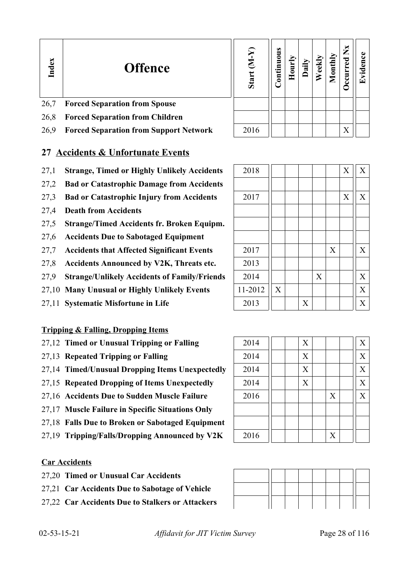| Index | <b>Offence</b>                         | Star | uous<br>$\ddot{a}$<br>$\bar{\mathbf{e}}$ |  | $\bar{\rm g}$ | M<br>हु<br>urr<br>౿ | r <del>⊤</del> |
|-------|----------------------------------------|------|------------------------------------------|--|---------------|---------------------|----------------|
| 26,7  | <b>Forced Separation from Spouse</b>   |      |                                          |  |               |                     |                |
| 26,8  | <b>Forced Separation from Children</b> |      |                                          |  |               |                     |                |
|       |                                        |      |                                          |  |               |                     |                |

26,9 **Forced Separation from Support Network** 2016 X

## **27 Accidents & Unfortunate Events**

- 27,1 **Strange, Timed or Highly Unlikely Accidents**
- 27,2 **Bad or Catastrophic Damage from Accidents**
- 27,3 **Bad or Catastrophic Injury from Accidents**
- 27,4 **Death from Accidents**
- 27,5 **Strange/Timed Accidents fr. Broken Equipm.**
- 27,6 **Accidents Due to Sabotaged Equipment**
- 27,7 Accidents that Affected Significant Events
- 27,8 Accidents Announced by V2K, Threats etc.
- 27,9 **Strange/Unlikely Accidents of Family/Friends**
- 27,10 Many Unusual or Highly Unlikely Events
- 27,11 Systematic Misfortune in Life

### **Tripping & Falling, Dropping Items**

- 27,12 **Timed or Unusual Tripping or Falling**
- 27,13 **Repeated Tripping or Falling**
- 27,14 **Timed/Unusual Dropping Items Unexpectedly**
- 27,15 **Repeated Dropping of Items Unexpectedly**
- 27,16 Accidents Due to Sudden Muscle Failure
- 27,17 **Muscle Failure in Specific Situations Only**
- 27,18 **Falls Due to Broken or Sabotaged Equipment**
- 27,19 Tripping/Falls/Dropping Announced by V2K

### **Car Accidents**

- 27,20 **Timed or Unusual Car Accidents**
- 27,21 **Car Accidents Due to Sabotage of Vehicle**
- 27,22 **Car Accidents Due to Stalkers or Attackers**

| 2018    |                           |                           |   |   | X                | $\boldsymbol{\mathrm{X}}$ |
|---------|---------------------------|---------------------------|---|---|------------------|---------------------------|
|         |                           |                           |   |   |                  |                           |
| 2017    |                           |                           |   |   | $\boldsymbol{X}$ | $\mathbf X$               |
|         |                           |                           |   |   |                  |                           |
|         |                           |                           |   |   |                  |                           |
|         |                           |                           |   |   |                  |                           |
| 2017    |                           |                           |   | X |                  | $\mathbf X$               |
| 2013    |                           |                           |   |   |                  |                           |
| 2014    |                           |                           | X |   |                  | X                         |
| 11-2012 | $\boldsymbol{\mathrm{X}}$ |                           |   |   |                  | $\boldsymbol{X}$          |
| 2013    |                           | $\boldsymbol{\mathrm{X}}$ |   |   |                  | X                         |

| 2014 |  | X |   | X                |
|------|--|---|---|------------------|
| 2014 |  | X |   | X                |
| 2014 |  | X |   | X                |
| 2014 |  | X |   | X                |
| 2016 |  |   | X | $\boldsymbol{X}$ |
|      |  |   |   |                  |
|      |  |   |   |                  |
| 2016 |  |   | X |                  |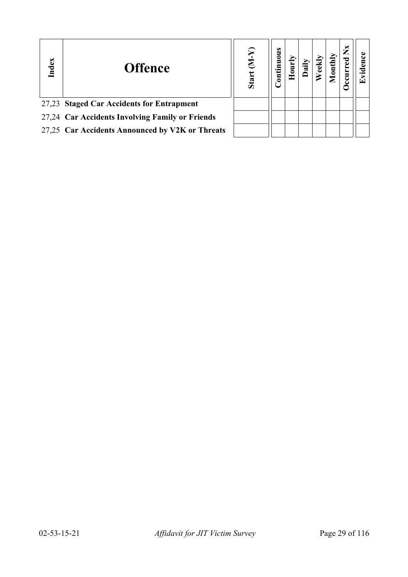| Index | <b>Offence</b>                                  | Star | $\bf{S}$ |  |  | × |  |
|-------|-------------------------------------------------|------|----------|--|--|---|--|
|       | 27,23 Staged Car Accidents for Entrapment       |      |          |  |  |   |  |
|       | 27,24 Car Accidents Involving Family or Friends |      |          |  |  |   |  |
|       | 27,25 Car Accidents Announced by V2K or Threats |      |          |  |  |   |  |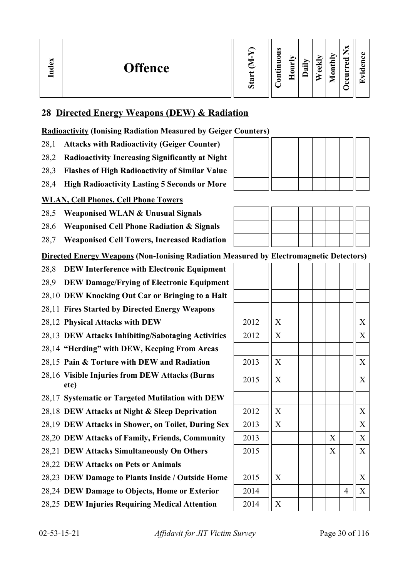| ി<br><b>Offence</b><br>ᇰ<br>⊟ | ∾<br>Ō | $\bullet$<br>0<br>$\bullet$<br>- | ► | n<br>੶ਜ਼ | ≂<br>ω<br>ω | nthly<br>۵<br>◚ | ∼<br>_<br>ರ<br>ω<br>►<br>-<br>င | $\bullet$<br>▼ |
|-------------------------------|--------|----------------------------------|---|----------|-------------|-----------------|---------------------------------|----------------|
|-------------------------------|--------|----------------------------------|---|----------|-------------|-----------------|---------------------------------|----------------|

## **28 Directed Energy Weapons (DEW) & Radiation**

**Radioactivity (Ionising Radiation Measured by Geiger Counters)**

- 28,1 **Attacks with Radioactivity (Geiger Counter)**
- 28,2 **Radioactivity Increasing Significantly at Night**
- 28,3 **Flashes of High Radioactivity of Similar Value**
- 28,4 **High Radioactivity Lasting 5 Seconds or More**

## **WLAN, Cell Phones, Cell Phone Towers**

- 28,5 **Weaponised WLAN & Unusual Signals**
- 28,6 **Weaponised Cell Phone Radiation & Signals**
- 28,7 **Weaponised Cell Towers, Increased Radiation**

**Directed Energy Weapons (Non-Ionising Radiation Measured by Electromagnetic Detectors)**

- 28,8 **DEW Interference with Electronic Equipment**
- 28,9 **DEW Damage/Frying of Electronic Equipment**
- 28,10 **DEW Knocking Out Car or Bringing to a Halt**
- 28,11 **Fires Started by Directed Energy Weapons**
- 28,12 **Physical Attacks with DEW**
- 28,13 **DEW Attacks Inhibiting/Sabotaging Activities**
- 28,14 **"Herding" with DEW, Keeping From Areas**
- 28,15 Pain & Torture with DEW and Radiation
- 28,16 **Visible Injuries from DEW Attacks (Burns etc)** <sup>2015</sup> <sup>X</sup> <sup>X</sup>
- 28,17 **Systematic or Targeted Mutilation with DEW**
- 28,18 **DEW Attacks at Night & Sleep Deprivation**
- 28.19 **DEW Attacks in Shower, on Toilet, During Sex**
- 28,20 DEW Attacks of Family, Friends, Community
- 28,21 DEW Attacks Simultaneously On Others
- 28,22 **DEW Attacks on Pets or Animals**
- 28,23 **DEW Damage to Plants Inside / Outside Home**
- 28,24 DEW Damage to Objects, Home or Exterior
- 28,25 **DEW Injuries Requiring Medical Attention**



|                           | ా |                           |                | - ,                       |
|---------------------------|---|---------------------------|----------------|---------------------------|
|                           |   |                           |                |                           |
|                           |   |                           |                |                           |
|                           |   |                           |                |                           |
|                           |   |                           |                |                           |
| $\boldsymbol{\mathrm{X}}$ |   |                           |                | $\boldsymbol{\mathrm{X}}$ |
| $\overline{X}$            |   |                           |                | $\overline{X}$            |
|                           |   |                           |                |                           |
| $\boldsymbol{\mathrm{X}}$ |   |                           |                | $\mathbf X$               |
| $\overline{X}$            |   |                           |                | X                         |
|                           |   |                           |                |                           |
| X                         |   |                           |                | X                         |
| $\overline{X}$            |   |                           |                | $\overline{X}$            |
|                           |   | $\boldsymbol{\mathrm{X}}$ |                | $\overline{X}$            |
|                           |   | $\overline{X}$            |                | $\overline{X}$            |
|                           |   |                           |                |                           |
| X                         |   |                           |                | $\mathbf X$               |
|                           |   |                           | $\overline{4}$ | $\overline{X}$            |
| X                         |   |                           |                |                           |
|                           |   |                           |                |                           |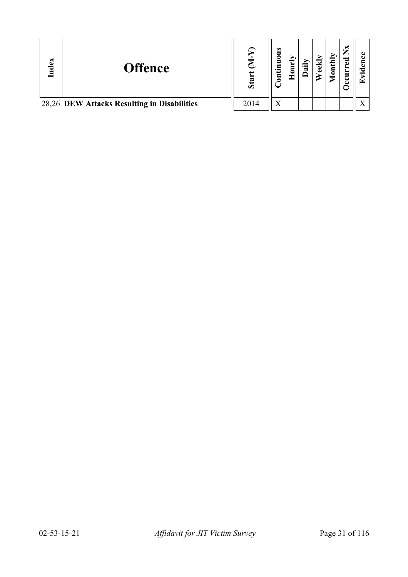| Index | <b>Offence</b>                              | Stai | $\bullet$<br>ᄛ<br>۵<br>tin<br>5 | w | ΥĪ<br>Ē | ×<br>ಕ | $\bullet$<br>œ |
|-------|---------------------------------------------|------|---------------------------------|---|---------|--------|----------------|
|       | 28,26 DEW Attacks Resulting in Disabilities | 2014 | $\mathbf{v}$                    |   |         |        |                |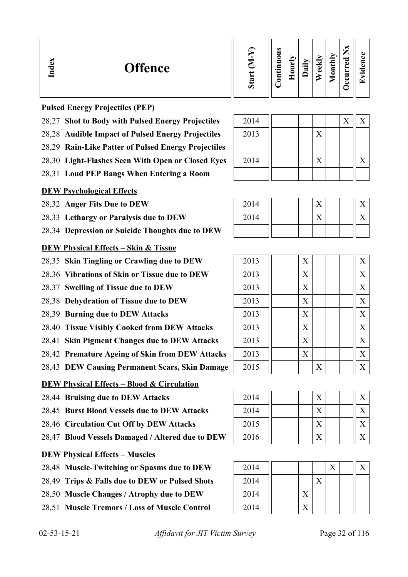| نه<br><b>Offence</b><br>ē<br>.⊟ | œ<br>Ο | $\omega$<br>0<br>▀<br>$\overline{\phantom{0}}$<br>Ξ | 5<br>_ | ੰਡ | ≂<br>ಕ<br>ω | onthly<br>▱ | ≂<br>ω<br>− | $\overline{\phantom{0}}$<br>$\overline{\phantom{0}}$ |
|---------------------------------|--------|-----------------------------------------------------|--------|----|-------------|-------------|-------------|------------------------------------------------------|
|---------------------------------|--------|-----------------------------------------------------|--------|----|-------------|-------------|-------------|------------------------------------------------------|

#### **Pulsed Energy Projectiles (PEP)**

- 28,27 Shot to Body with Pulsed Energy Projectiles
- 28,28 Audible Impact of Pulsed Energy Projectiles
- 28,29 **Rain-Like Patter of Pulsed Energy Projectiles**
- 28,30 Light-Flashes Seen With Open or Closed Eyes
- 28,31 **Loud PEP Bangs When Entering a Room**

### **DEW Psychological Effects**

28,32 Anger Fits Due to DEW

- 28,33 Lethargy or Paralysis due to DEW
- 28,34 **Depression or Suicide Thoughts due to DEW**

### **DEW Physical Effects – Skin & Tissue**

- 28,35 Skin Tingling or Crawling due to DEW
- 28,36 Vibrations of Skin or Tissue due to DEW
- 28,37 Swelling of Tissue due to DEW
- 28,38 Dehydration of Tissue due to DEW
- 28,39 **Burning due to DEW Attacks**
- 28,40 Tissue Visibly Cooked from DEW Attacks
- 28,41 Skin Pigment Changes due to DEW Attacks
- 28,42 Premature Ageing of Skin from DEW Attacks
- 28,43 **DEW Causing Permanent Scars, Skin Damage**

### **DEW Physical Effects – Blood & Circulation**

- 28,44 **Bruising due to DEW Attacks**
- 28,45 **Burst Blood Vessels due to DEW Attacks**
- 28,46 Circulation Cut Off by DEW Attacks
- 28,47 **Blood Vessels Damaged / Altered due to DEW**

## **DEW Physical Effects – Muscles**

- 28,48 Muscle-Twitching or Spasms due to DEW
- 28,49 **Trips & Falls due to DEW or Pulsed Shots**
- 28,50 Muscle Changes / Atrophy due to DEW
- 28,51 Muscle Tremors / Loss of Muscle Control

| 2014 |  |   | X | X |
|------|--|---|---|---|
| 2013 |  | Y |   |   |
|      |  |   |   |   |
| 2014 |  | X |   | X |
|      |  |   |   |   |

| 2014 |  |   |  |  |
|------|--|---|--|--|
| 2014 |  | ∕ |  |  |
|      |  |   |  |  |

| 2013 |  | X |   |  | X                |
|------|--|---|---|--|------------------|
| 2013 |  | X |   |  | X                |
| 2013 |  | X |   |  | X                |
| 2013 |  | X |   |  | X                |
| 2013 |  | X |   |  | $\boldsymbol{X}$ |
| 2013 |  | X |   |  | $\boldsymbol{X}$ |
| 2013 |  | X |   |  | X                |
| 2013 |  | X |   |  | X                |
| 2015 |  |   | X |  | X                |

| 2014 |  | $\rm\overline{X}$ |  |  |
|------|--|-------------------|--|--|
| 2014 |  | X                 |  |  |
| 2015 |  | X                 |  |  |
| 2016 |  |                   |  |  |

| 2014 |  |  |  |  |
|------|--|--|--|--|
| 2014 |  |  |  |  |
| 2014 |  |  |  |  |
| 2014 |  |  |  |  |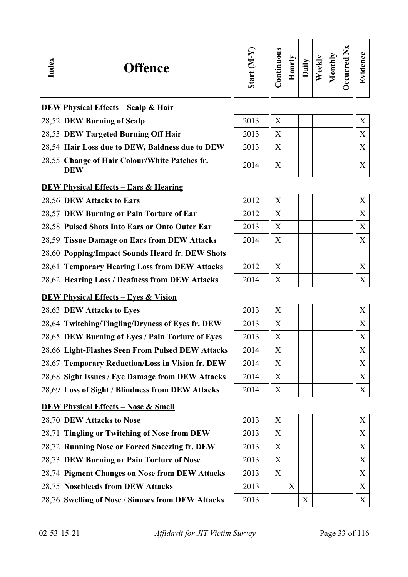| Index<br><b>Offence</b><br>Ø | <b>S</b><br>0<br>-<br>$\cdot$ $-$<br>5 | 5<br>c | ੶ਜ਼ | ≂<br>ಕ<br>ω | $t$ hly<br>Ē | –<br>_<br>ಾ<br>ه<br>∼<br>▬<br>ت | c۱<br>O)<br>$\bullet$ $\blacksquare$ |
|------------------------------|----------------------------------------|--------|-----|-------------|--------------|---------------------------------|--------------------------------------|
|------------------------------|----------------------------------------|--------|-----|-------------|--------------|---------------------------------|--------------------------------------|

### **DEW Physical Effects – Scalp & Hair**

- 28,52 **DEW Burning of Scalp**
- 28,53 DEW Targeted Burning Off Hair
- 28,54 Hair Loss due to DEW, Baldness due to DEW
- 28,55 Change of Hair Colour/White Patches fr.  $2014$   $\begin{bmatrix} x & 1 \end{bmatrix}$   $\begin{bmatrix} x & 1 \end{bmatrix}$   $\begin{bmatrix} x & 1 \end{bmatrix}$   $\begin{bmatrix} x & 1 \end{bmatrix}$

#### **DEW Physical Effects – Ears & Hearing**

28.56 **DEW Attacks to Ears** 

28,57 **DEW Burning or Pain Torture of Ear** 

28,58 Pulsed Shots Into Ears or Onto Outer Ear

28,59 Tissue Damage on Ears from DEW Attacks

28,60 **Popping/Impact Sounds Heard fr. DEW Shots**

28,61 **Temporary Hearing Loss from DEW Attacks** 

28,62 **Hearing Loss / Deafness from DEW Attacks** 

#### **DEW Physical Effects – Eyes & Vision**

28,63 **DEW Attacks to Eyes** 

- 28,64 Twitching/Tingling/Dryness of Eyes fr. DEW
- 28,65 **DEW Burning of Eyes / Pain Torture of Eyes**
- 28,66 Light-Flashes Seen From Pulsed DEW Attacks
- 28,67 Temporary Reduction/Loss in Vision fr. DEW

28,68 Sight Issues / Eye Damage from DEW Attacks

28,69 Loss of Sight / Blindness from DEW Attacks

#### **DEW Physical Effects – Nose & Smell**

- 28,70 **DEW Attacks to Nose**
- 28,71 Tingling or Twitching of Nose from DEW
- 28,72 **Running Nose or Forced Sneezing fr. DEW**
- 28,73 DEW Burning or Pain Torture of Nose
- 28,74 **Pigment Changes on Nose from DEW Attacks**
- 28,75 Nosebleeds from DEW Attacks
- 28,76 Swelling of Nose / Sinuses from DEW Attacks

| 2013 | X                 | X              |
|------|-------------------|----------------|
| 2013 | $\rm\overline{X}$ | X              |
| 2013 | X                 | $\overline{X}$ |
| 2014 | X                 | X              |

| 2012 | X                         | X                 |
|------|---------------------------|-------------------|
| 2012 | X                         | X                 |
| 2013 | X                         | $\rm X$           |
| 2014 | X                         | X                 |
|      |                           |                   |
| 2012 | $\boldsymbol{\mathrm{X}}$ | X                 |
| 2014 | X                         | $\rm\overline{X}$ |

| 2013 | X | X       |
|------|---|---------|
| 2013 | X | X       |
| 2013 | X | X       |
| 2014 | X | X       |
| 2014 | X | X       |
| 2014 | X | X       |
| 2014 | X | $\rm X$ |

| 2013 | X |   |                   |  | X |
|------|---|---|-------------------|--|---|
| 2013 | X |   |                   |  | X |
| 2013 | X |   |                   |  | X |
| 2013 | X |   |                   |  | X |
| 2013 | X |   |                   |  | X |
| 2013 |   | X |                   |  | X |
| 2013 |   |   | $\rm\overline{X}$ |  | X |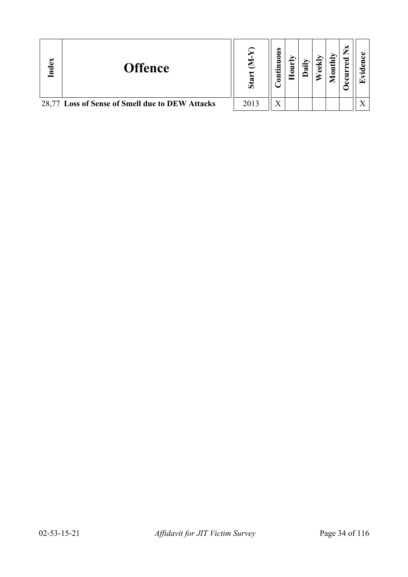| Index | <b>Offence</b>                                  | $\mathbf{S}\mathbf{a}$ | s<br>5<br>5<br>₫Ē<br>$\mathbf{S}$ | ಷ | ΥĮμ<br>$\bar{\mathsf{g}}$ | ×<br>ರ<br>Φ<br>ပ | ГŦ |
|-------|-------------------------------------------------|------------------------|-----------------------------------|---|---------------------------|------------------|----|
|       | 28,77 Loss of Sense of Smell due to DEW Attacks | 2013                   | $\rm X$                           |   |                           |                  |    |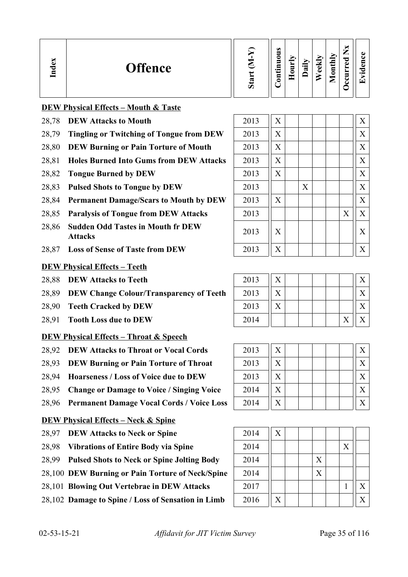| Œ<br><b>Offence</b><br>77 | ∾<br>σ | $\bullet$<br>-<br>0<br>▬<br>$\bullet$<br>▭<br>ā<br>. . | ∽<br>−<br>_<br>٥ | ∽<br>급 | ₹<br>$\Phi$ | onthly<br>╺<br>▱ | –<br>∸<br>ರ<br>$\Phi$<br>∼<br>▀<br>ت<br>౿ | c۱<br>$\cdot$ $-$<br>$\overline{\phantom{0}}$ |
|---------------------------|--------|--------------------------------------------------------|------------------|--------|-------------|------------------|-------------------------------------------|-----------------------------------------------|
|---------------------------|--------|--------------------------------------------------------|------------------|--------|-------------|------------------|-------------------------------------------|-----------------------------------------------|

#### **DEW Physical Effects – Mouth & Taste**

- 28.78 **DEW Attacks to Mouth**
- 28,79 **Tingling or Twitching of Tongue from DEW**
- 28,80 **DEW Burning or Pain Torture of Mouth**
- 28,81 **Holes Burned Into Gums from DEW Attacks**
- 28,82 **Tongue Burned by DEW**
- 28,83 **Pulsed Shots to Tongue by DEW**
- 28,84 Permanent Damage/Scars to Mouth by DEW
- 28,85 **Paralysis of Tongue from DEW Attacks**
- 28,86 **Sudden Odd Tastes in Mouth fr DEW**
- 28,87 Loss of Sense of Taste from DEW

#### **DEW Physical Effects – Teeth**

- 28,88 **DEW Attacks to Teeth**
- 28,89 **DEW Change Colour/Transparency of Teeth**
- 28,90 **Teeth Cracked by DEW**
- 28,91 **Tooth Loss due to DEW**

#### **DEW Physical Effects – Throat & Speech**

- 28,92 **DEW Attacks to Throat or Vocal Cords**
- 28,93 **DEW Burning or Pain Torture of Throat**
- 28,94 **Hoarseness / Loss of Voice due to DEW**
- 28,95 Change or Damage to Voice / Singing Voice
- 28,96 **Permanent Damage Vocal Cords / Voice Loss**

#### **DEW Physical Effects – Neck & Spine**

- 28,97 **DEW Attacks to Neck or Spine**
- 28,98 Vibrations of Entire Body via Spine
- 28,99 **Pulsed Shots to Neck or Spine Jolting Body**
- 28,100 **DEW Burning or Pain Torture of Neck/Spine**
- 28,101 **Blowing Out Vertebrae in DEW Attacks**
- 28,102 Damage to Spine / Loss of Sensation in Limb

| 2013 | X |   |   | X |
|------|---|---|---|---|
| 2013 | X |   |   | X |
| 2013 | X |   |   | X |
| 2013 | X |   |   | X |
| 2013 | X |   |   | X |
| 2013 |   | X |   | X |
| 2013 | X |   |   | X |
| 2013 |   |   | X | X |
| 2013 | X |   |   | X |
| 2013 | X |   |   | X |
|      |   |   |   |   |

| 2013 |  |  |  |  |
|------|--|--|--|--|
| 2013 |  |  |  |  |
| 2013 |  |  |  |  |
| 2014 |  |  |  |  |

| 2013 | X | Х |
|------|---|---|
| 2013 | X | X |
| 2013 | X | X |
| 2014 | X | X |
| 2014 | X |   |

| 2014 | X |  |   |   |   |
|------|---|--|---|---|---|
| 2014 |   |  |   | X |   |
| 2014 |   |  | X |   |   |
| 2014 |   |  | X |   |   |
| 2017 |   |  |   |   | X |
| 2016 | X |  |   |   | Χ |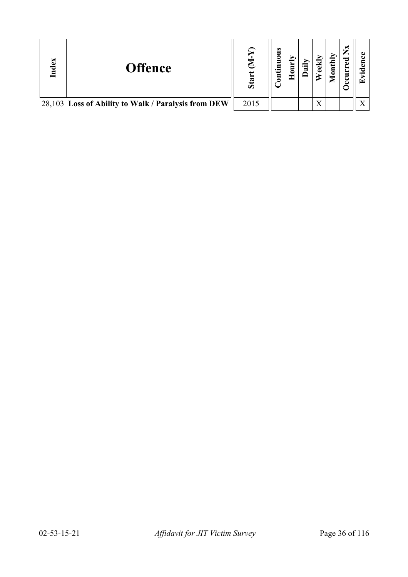| $\mathbf{g}$<br>਼ਰ | <b>Offence</b>                                      | S <sub>ta</sub> | s<br>tinuou<br>$\mathbf{S}$ | ∾ |              | $\mathbf{t}$<br>$\bar{\mathsf{g}}$ | ×<br>್ಪಾ | $\bullet$ m<br>Œ |
|--------------------|-----------------------------------------------------|-----------------|-----------------------------|---|--------------|------------------------------------|----------|------------------|
|                    | 28,103 Loss of Ability to Walk / Paralysis from DEW | 2015            |                             |   | $\mathbf{v}$ |                                    |          |                  |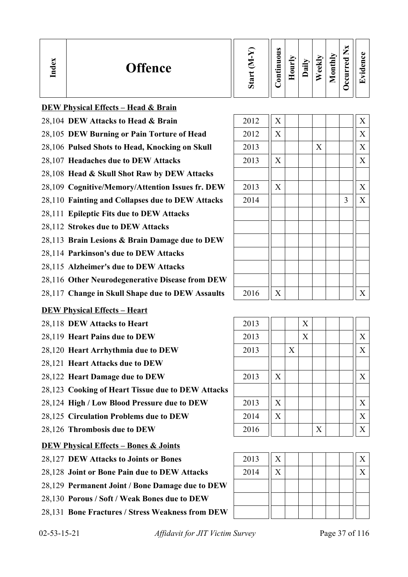| $\bullet$<br>CD 3<br>onthly<br>–<br>0<br>ಾ<br>⊽<br>E<br>ه<br><b>Offence</b><br>न्न<br>Ę<br>O)<br>ھ<br>↽<br><b>T</b><br>−<br>$\cdot$ $\,$<br>ته<br>∼<br>–<br>$\bullet$ $\blacksquare$<br>-<br>5 |
|------------------------------------------------------------------------------------------------------------------------------------------------------------------------------------------------|
|------------------------------------------------------------------------------------------------------------------------------------------------------------------------------------------------|

|  | <b>DEW Physical Effects – Head &amp; Brain</b> |  |  |
|--|------------------------------------------------|--|--|
|  |                                                |  |  |

- 28,104 **DEW Attacks to Head & Brain** 2012  $\overline{X}$   $\overline{X}$   $\overline{X}$
- 28,105 **DEW Burning or Pain Torture of Head**
- 28,106 Pulsed Shots to Head, Knocking on Skull
- 28,107 **Headaches due to DEW Attacks**
- 28,108 **Head & Skull Shot Raw by DEW Attacks**
- 28,109 Cognitive/Memory/Attention Issues fr. DEW
- 28,110 Fainting and Collapses due to DEW Attacks
- 28,111 **Epileptic Fits due to DEW Attacks**
- 28,112 **Strokes due to DEW Attacks**
- 28,113 **Brain Lesions & Brain Damage due to DEW**
- 28,114 **Parkinson's due to DEW Attacks**
- 28,115 **Alzheimer's due to DEW Attacks**
- 28,116 **Other Neurodegenerative Disease from DEW**
- 28,117 Change in Skull Shape due to DEW Assaults

### **DEW Physical Effects – Heart**

- 28,118 **DEW Attacks to Heart**
- 28,119 **Heart Pains due to DEW**
- 28,120 **Heart Arrhythmia due to DEW**
- 28,121 **Heart Attacks due to DEW**
- **28,122 Heart Damage due to DEW**
- 28,123 **Cooking of Heart Tissue due to DEW Attacks**
- 28,124 **High / Low Blood Pressure due to DEW**
- 28,125 Circulation Problems due to DEW
- 28,126 **Thrombosis due to DEW**

## **DEW Physical Effects – Bones & Joints**

- 28,127 **DEW Attacks to Joints or Bones**
- 28,128 **Joint or Bone Pain due to DEW Attacks**
- 28,129 **Permanent Joint / Bone Damage due to DEW**
- 28,130 **Porous / Soft / Weak Bones due to DEW**
- 28,131 **Bone Fractures / Stress Weakness from DEW**

| 2012 | $\mathbf X$    |                |                           |   | $\overline{X}$ |
|------|----------------|----------------|---------------------------|---|----------------|
| 2013 |                |                | $\boldsymbol{\mathrm{X}}$ |   | $\overline{X}$ |
| 2013 | $\mathbf X$    |                |                           |   | $\mathbf X$    |
|      |                |                |                           |   |                |
| 2013 | X              |                |                           |   | $\overline{X}$ |
| 2014 |                |                |                           | 3 | $\mathbf X$    |
|      |                |                |                           |   |                |
|      |                |                |                           |   |                |
|      |                |                |                           |   |                |
|      |                |                |                           |   |                |
|      |                |                |                           |   |                |
|      |                |                |                           |   |                |
| 2016 | $\overline{X}$ |                |                           |   | $\overline{X}$ |
|      |                |                |                           |   |                |
| 2013 |                | $\overline{X}$ |                           |   |                |
|      |                |                |                           |   |                |

| 2013 |   |   | X |   |  |   |
|------|---|---|---|---|--|---|
| 2013 |   |   | X |   |  | X |
| 2013 |   | X |   |   |  | X |
|      |   |   |   |   |  |   |
| 2013 | X |   |   |   |  | X |
|      |   |   |   |   |  |   |
| 2013 | X |   |   |   |  | X |
| 2014 | X |   |   |   |  | X |
| 2016 |   |   |   | X |  | X |

| 2013 | X |  |  |  |
|------|---|--|--|--|
| 2014 | X |  |  |  |
|      |   |  |  |  |
|      |   |  |  |  |
|      |   |  |  |  |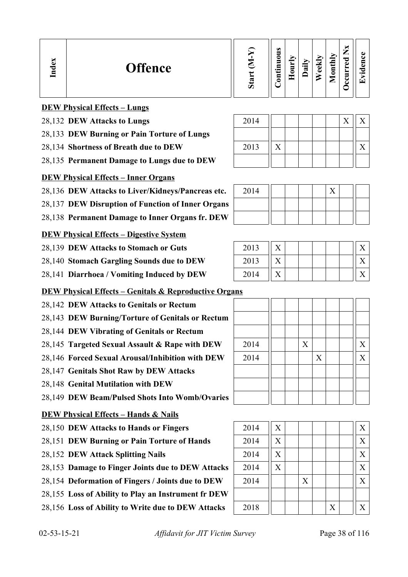#### **DEW Physical Effects – Lungs**

- 28,132 **DEW Attacks to Lungs** 2014 2014 X X X
- 28,133 **DEW Burning or Pain Torture of Lungs**
- 28,134 **Shortness of Breath due to DEW** 2013  $\|X\|$  | | | | |  $\|X\|$
- 28,135 **Permanent Damage to Lungs due to DEW**

#### **DEW Physical Effects – Inner Organs**

28,136 DEW Attacks to Liver/Kidneys/Pancreas etc.

- 28,137 **DEW Disruption of Function of Inner Organs**
- 28,138 **Permanent Damage to Inner Organs fr. DEW**

#### **DEW Physical Effects – Digestive System**

- 28,139 **DEW Attacks to Stomach or Guts**
- 28,140 Stomach Gargling Sounds due to DEW
- 28,141 **Diarrhoea / Vomiting Induced by DEW**

#### **DEW Physical Effects – Genitals & Reproductive Organs**

- 28,142 **DEW Attacks to Genitals or Rectum**
- 28,143 **DEW Burning/Torture of Genitals or Rectum**
- 28,144 **DEW Vibrating of Genitals or Rectum**
- 28,145 **Targeted Sexual Assault & Rape with DEW**  $\begin{array}{|c|c|c|c|c|c|} \hline 2014 & & & X \ \hline \end{array}$
- 28,146 **Forced Sexual Arousal/Inhibition with DEW**
- 28,147 **Genitals Shot Raw by DEW Attacks**
- 28,148 **Genital Mutilation with DEW**
- 28,149 **DEW Beam/Pulsed Shots Into Womb/Ovaries**

### **DEW Physical Effects – Hands & Nails**

- 28,150 **DEW Attacks to Hands or Fingers**
- 28,151 **DEW Burning or Pain Torture of Hands**
- 28,152 **DEW Attack Splitting Nails**
- 28,153 Damage to Finger Joints due to DEW Attacks
- 28,154 **Deformation of Fingers / Joints due to DEW**
- 28,155 **Loss of Ability to Play an Instrument fr DEW**
- 28,156 Loss of Ability to Write due to DEW Attacks | 2018 | | |

| 2014 |                           |  | X |  | X              |
|------|---------------------------|--|---|--|----------------|
|      |                           |  |   |  |                |
|      |                           |  |   |  |                |
|      |                           |  |   |  |                |
|      |                           |  |   |  |                |
| 2014 | $\boldsymbol{\mathrm{X}}$ |  |   |  | X              |
| 2014 | $\boldsymbol{\mathrm{X}}$ |  |   |  | X              |
| 2014 | $\overline{X}$            |  |   |  | $\overline{X}$ |

| 2014 |  |   |  |  |
|------|--|---|--|--|
| 2014 |  |   |  |  |
| 2014 |  | X |  |  |
|      |  |   |  |  |
| 2018 |  |   |  |  |

| 2014 |  |  |  |  |
|------|--|--|--|--|
|      |  |  |  |  |
|      |  |  |  |  |

| 2013 |  |  |  |  |
|------|--|--|--|--|
| 2013 |  |  |  |  |
| 2014 |  |  |  |  |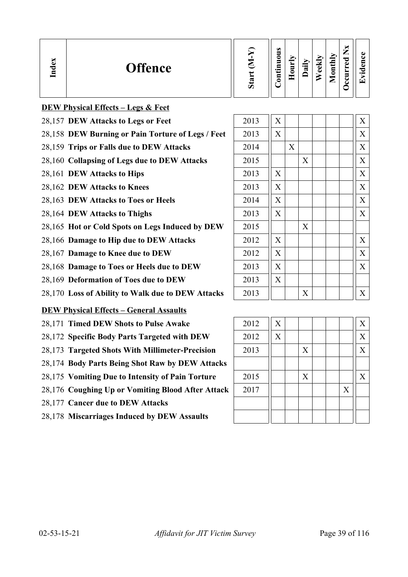| 0<br>ਟ<br>≂<br>Đ<br>−<br>ω<br><b>Offence</b><br>੶ਜ਼<br>نه<br>Ē<br>5<br>ਠ<br>$\cdot$ $-$<br>ه<br>►<br>. .<br>Е | ల<br>∾<br>∊<br>┯<br>உ<br>ت<br>Ō |  |  |  | $\omega$ |  |  |  | thly | — |  |
|---------------------------------------------------------------------------------------------------------------|---------------------------------|--|--|--|----------|--|--|--|------|---|--|
|---------------------------------------------------------------------------------------------------------------|---------------------------------|--|--|--|----------|--|--|--|------|---|--|

| <b>DEW Physical Effects - Legs &amp; Feet</b>     |      |                           |   |   |   |
|---------------------------------------------------|------|---------------------------|---|---|---|
| 28,157 DEW Attacks to Legs or Feet                | 2013 | X                         |   |   | X |
| 28,158 DEW Burning or Pain Torture of Legs / Feet | 2013 | $\boldsymbol{\mathrm{X}}$ |   |   | X |
| 28,159 Trips or Falls due to DEW Attacks          | 2014 |                           | X |   | X |
| 28,160 Collapsing of Legs due to DEW Attacks      | 2015 |                           |   | X | X |
| 28,161 DEW Attacks to Hips                        | 2013 | X                         |   |   | X |
| 28,162 DEW Attacks to Knees                       | 2013 | $\rm X$                   |   |   | X |
| 28,163 DEW Attacks to Toes or Heels               | 2014 | X                         |   |   | X |
| 28,164 DEW Attacks to Thighs                      | 2013 | X                         |   |   | X |
| 28,165 Hot or Cold Spots on Legs Induced by DEW   | 2015 |                           |   | X |   |
| 28,166 Damage to Hip due to DEW Attacks           | 2012 | X                         |   |   | X |
| 28,167 Damage to Knee due to DEW                  | 2012 | X                         |   |   | X |
| 28,168 Damage to Toes or Heels due to DEW         | 2013 | X                         |   |   | X |
| 28,169 Deformation of Toes due to DEW             | 2013 | X                         |   |   |   |
| 28,170 Loss of Ability to Walk due to DEW Attacks | 2013 |                           |   | X | X |
| <b>DEW Physical Effects – General Assaults</b>    |      |                           |   |   |   |

- 28,171 **Timed DEW Shots to Pulse Awake**
- 28,172 Specific Body Parts Targeted with DEW
- 28,173 **Targeted Shots With Millimeter-Precision**
- 28,174 **Body Parts Being Shot Raw by DEW Attacks**
- 28,175 Vomiting Due to Intensity of Pain Torture
- 28,176 Coughing Up or Vomiting Blood After Attack
- 28,177 **Cancer due to DEW Attacks**
- 28,178 **Miscarriages Induced by DEW Assaults**

| 2012 | X |   |  |   | X                         |
|------|---|---|--|---|---------------------------|
| 2012 | X |   |  |   | X                         |
| 2013 |   | X |  |   | $\boldsymbol{\mathrm{X}}$ |
|      |   |   |  |   |                           |
| 2015 |   | X |  |   | X                         |
| 2017 |   |   |  | X |                           |
|      |   |   |  |   |                           |
|      |   |   |  |   |                           |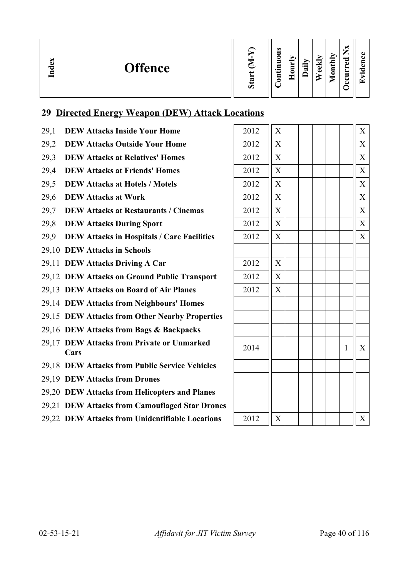| ∽<br>്ധ<br><b>Offence</b><br><u>ក្នុ</u> | ∾ | $\omega$<br>0<br>–<br>$\cdot$ $\,$<br><b>__</b><br>ᄆ<br>۵ | ੶ਜ਼ | ≂<br>نه<br>ه | —<br>_<br>nthly<br>ᇰ<br>ω<br>$\bullet$<br>▀<br>╾ | $\overline{\phantom{0}}$ |
|------------------------------------------|---|-----------------------------------------------------------|-----|--------------|--------------------------------------------------|--------------------------|
|------------------------------------------|---|-----------------------------------------------------------|-----|--------------|--------------------------------------------------|--------------------------|

# **29 Directed Energy Weapon (DEW) Attack Locations**

- 29,1 **DEW Attacks Inside Your Home**
- 29,2 **DEW Attacks Outside Your Home**
- 29.3 **DEW Attacks at Relatives' Homes**
- 29.4 **DEW Attacks at Friends' Homes**
- 29,5 **DEW Attacks at Hotels / Motels**
- 29,6 **DEW Attacks at Work**
- 29.7 **DEW Attacks at Restaurants / Cinemas**
- 29,8 **DEW Attacks During Sport**
- 29.9 **DEW Attacks in Hospitals / Care Facilities**
- 29,10 **DEW Attacks in Schools**
- 29,11 **DEW Attacks Driving A Car**
- 29,12 **DEW Attacks on Ground Public Transport**
- 29,13 **DEW Attacks on Board of Air Planes**
- 29,14 **DEW Attacks from Neighbours' Homes**
- 29,15 **DEW Attacks from Other Nearby Properties**
- 29,16 **DEW Attacks from Bags & Backpacks**
- 29,17 **DEW Attacks from Private or Unmarked Cars** <sup>2014</sup> <sup>1</sup> <sup>X</sup>
- 29,18 **DEW Attacks from Public Service Vehicles**
- 29,19 **DEW Attacks from Drones**
- 29,20 **DEW Attacks from Helicopters and Planes**
- 29,21 **DEW Attacks from Camouflaged Star Drones**
- 29.22 **DEW Attacks from Unidentifiable Locations**

| 2012 | X                         |  |  |              | $\overline{\text{X}}$ |
|------|---------------------------|--|--|--------------|-----------------------|
| 2012 | $\overline{X}$            |  |  |              | $\overline{X}$        |
| 2012 | $\overline{X}$            |  |  |              | $\overline{X}$        |
| 2012 | X                         |  |  |              | $\overline{\text{X}}$ |
| 2012 | $\boldsymbol{\mathrm{X}}$ |  |  |              | $\overline{X}$        |
| 2012 | $\overline{X}$            |  |  |              | $\overline{X}$        |
| 2012 | $\boldsymbol{\mathrm{X}}$ |  |  |              | $\overline{X}$        |
| 2012 | $\boldsymbol{\mathrm{X}}$ |  |  |              | $\bar{X}$             |
| 2012 | $\overline{X}$            |  |  |              | $\overline{X}$        |
|      |                           |  |  |              |                       |
| 2012 | $\boldsymbol{\mathrm{X}}$ |  |  |              |                       |
| 2012 | $\overline{X}$            |  |  |              |                       |
| 2012 | $\overline{X}$            |  |  |              |                       |
|      |                           |  |  |              |                       |
|      |                           |  |  |              |                       |
|      |                           |  |  |              |                       |
| 2014 |                           |  |  | $\mathbf{1}$ | X                     |
|      |                           |  |  |              |                       |
|      |                           |  |  |              |                       |
|      |                           |  |  |              |                       |
|      |                           |  |  |              |                       |
| 2012 | X                         |  |  |              | X                     |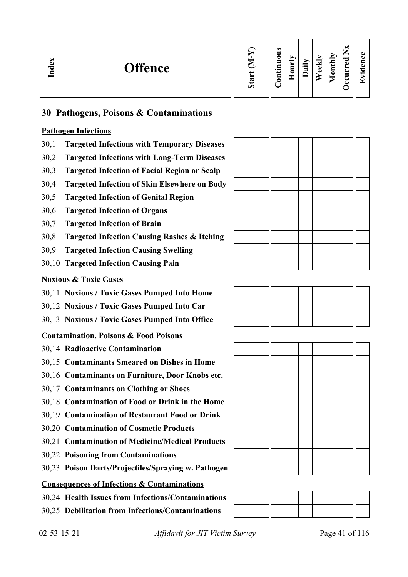| $\mathbf{g}$<br><b>Offence</b><br>ಕ<br>直 | Ο | $\omega$<br>=<br>0<br>5<br>.크<br>5 | ➢<br>_<br>5<br>= | ∽<br>⊶<br>ಷ | ₩<br>ച<br>ω | ЛЧ<br>$\overline{a}$<br>▱ | ∼<br>–<br>_<br>ಾ<br>ω<br>┙<br>=<br>↩<br>ັ | Œ<br>α.<br>┯.<br>$\bullet$<br>G 1 |
|------------------------------------------|---|------------------------------------|------------------|-------------|-------------|---------------------------|-------------------------------------------|-----------------------------------|
|------------------------------------------|---|------------------------------------|------------------|-------------|-------------|---------------------------|-------------------------------------------|-----------------------------------|

# **30 Pathogens, Poisons & Contaminations**

# **Pathogen Infections**

- 30,1 **Targeted Infections with Temporary Diseases**
- 30,2 **Targeted Infections with Long-Term Diseases**
- 30,3 **Targeted Infection of Facial Region or Scalp**
- 30,4 **Targeted Infection of Skin Elsewhere on Body**
- 30,5 **Targeted Infection of Genital Region**
- 30,6 **Targeted Infection of Organs**
- 30,7 **Targeted Infection of Brain**
- 30,8 **Targeted Infection Causing Rashes & Itching**
- 30,9 **Targeted Infection Causing Swelling**
- 30,10 **Targeted Infection Causing Pain**

# **Noxious & Toxic Gases**

- 30,11 **Noxious / Toxic Gases Pumped Into Home**
- 30,12 **Noxious / Toxic Gases Pumped Into Car**
- 30,13 **Noxious / Toxic Gases Pumped Into Office**

# **Contamination, Poisons & Food Poisons**

- 30,14 **Radioactive Contamination**
- 30,15 **Contaminants Smeared on Dishes in Home**
- 30,16 **Contaminants on Furniture, Door Knobs etc.**
- 30,17 **Contaminants on Clothing or Shoes**
- 30,18 **Contamination of Food or Drink in the Home**
- 30,19 **Contamination of Restaurant Food or Drink**
- 30,20 **Contamination of Cosmetic Products**
- 30,21 **Contamination of Medicine/Medical Products**
- 30,22 **Poisoning from Contaminations**
- 30,23 **Poison Darts/Projectiles/Spraying w. Pathogen**

# **Consequences of Infections & Contaminations**

- 30,24 **Health Issues from Infections/Contaminations**
- 30,25 **Debilitation from Infections/Contaminations**







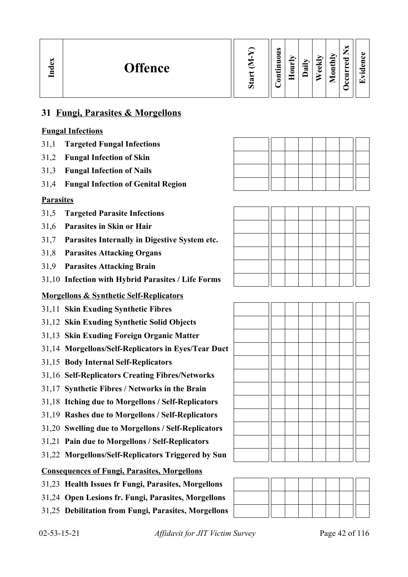| Index<br><b>Offence</b> |  | $\omega$<br>∍<br>0<br>$\blacksquare$<br>-<br>.Ξ<br>⊟ | ∼<br>5<br>∊ | $\oplus$<br>≂ | ನ<br>_<br>$\overline{\bullet}$<br>ω | $\blacktriangleright$<br>$\blacksquare$<br>$\sim$<br>⊟<br>⋍ | ×<br>-<br>ω<br>►<br>- | ω<br>دە<br>ᅐ<br>$\overline{\phantom{0}}$ |
|-------------------------|--|------------------------------------------------------|-------------|---------------|-------------------------------------|-------------------------------------------------------------|-----------------------|------------------------------------------|
|-------------------------|--|------------------------------------------------------|-------------|---------------|-------------------------------------|-------------------------------------------------------------|-----------------------|------------------------------------------|

# **31 Fungi, Parasites & Morgellons**

# **Fungal Infections**

- 31,1 **Targeted Fungal Infections**
- 31,2 **Fungal Infection of Skin**
- 31,3 **Fungal Infection of Nails**
- 31,4 **Fungal Infection of Genital Region**

### **Parasites**

- 31,5 **Targeted Parasite Infections**
- 31,6 **Parasites in Skin or Hair**
- 31,7 **Parasites Internally in Digestive System etc.**
- 31,8 **Parasites Attacking Organs**
- 31,9 **Parasites Attacking Brain**
- 31,10 **Infection with Hybrid Parasites / Life Forms**

# **Morgellons & Synthetic Self-Replicators**

- 31,11 **Skin Exuding Synthetic Fibres**
- 31,12 **Skin Exuding Synthetic Solid Objects**
- 31,13 **Skin Exuding Foreign Organic Matter**
- 31,14 **Morgellons/Self-Replicators in Eyes/Tear Duct**
- 31,15 **Body Internal Self-Replicators**
- 31,16 **Self-Replicators Creating Fibres/Networks**
- 31,17 **Synthetic Fibres / Networks in the Brain**
- 31,18 **Itching due to Morgellons / Self-Replicators**
- 31,19 **Rashes due to Morgellons / Self-Replicators**
- 31,20 **Swelling due to Morgellons / Self-Replicators**
- 31,21 **Pain due to Morgellons / Self-Replicators**
- 31,22 **Morgellons/Self-Replicators Triggered by Sun**

# **Consequences of Fungi, Parasites, Morgellons**

- 31,23 **Health Issues fr Fungi, Parasites, Morgellons**
- 31,24 **Open Lesions fr. Fungi, Parasites, Morgellons**
- 31,25 **Debilitation from Fungi, Parasites, Morgellons**



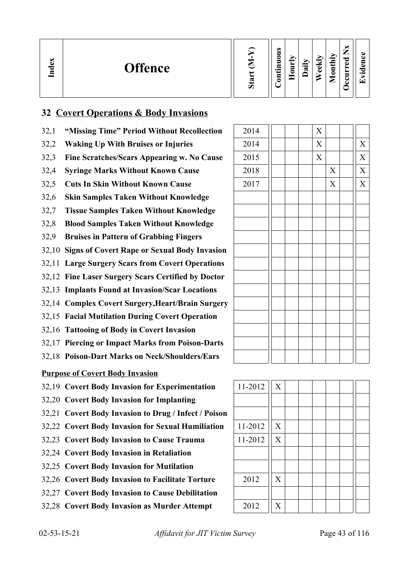| $\mathbf{g}$<br><b>Offence</b><br>Ě | ∾<br>Ù. | $\omega$<br>_<br>0<br>5<br>≂<br>$\cdot$ $\,$<br>5 |  | ⊶<br>$\vec{a}$ | $\overline{\phantom{a}}$<br>ω<br>ω | onthly<br>▱ | _<br>ਰ<br>نه<br>►<br>c | ▼ |
|-------------------------------------|---------|---------------------------------------------------|--|----------------|------------------------------------|-------------|------------------------|---|
|-------------------------------------|---------|---------------------------------------------------|--|----------------|------------------------------------|-------------|------------------------|---|

# **32 Covert Operations & Body Invasions**

- 32,1 **"Missing Time" Period Without Recollection**
- 32,2 Waking Up With Bruises or Injuries
- 32,3 Fine Scratches/Scars Appearing w. No Cause
- 32,4 **Syringe Marks Without Known Cause**
- 32,5 Cuts In Skin Without Known Cause
- 32,6 **Skin Samples Taken Without Knowledge**
- 32,7 **Tissue Samples Taken Without Knowledge**
- 32,8 **Blood Samples Taken Without Knowledge**
- 32,9 **Bruises in Pattern of Grabbing Fingers**
- 32,10 **Signs of Covert Rape or Sexual Body Invasion**
- 32,11 **Large Surgery Scars from Covert Operations**
- 32,12 **Fine Laser Surgery Scars Certified by Doctor**
- 32,13 **Implants Found at Invasion/Scar Locations**
- 32,14 **Complex Covert Surgery,Heart/Brain Surgery**
- 32,15 **Facial Mutilation During Covert Operation**
- 32,16 **Tattooing of Body in Covert Invasion**
- 32,17 **Piercing or Impact Marks from Poison-Darts**
- 32,18 **Poison-Dart Marks on Neck/Shoulders/Ears**

# **Purpose of Covert Body Invasion**

- 32,19 **Covert Body Invasion for Experimentation** | 11-2012 | X
- 32,20 **Covert Body Invasion for Implanting**
- 32,21 **Covert Body Invasion to Drug / Infect / Poison**
- 32,22 Covert Body Invasion for Sexual Humiliation | 11-2012 | X
- 32,23 **Covert Body Invasion to Cause Trauma** 11-2012 X
- 32,24 **Covert Body Invasion in Retaliation**
- 32,25 **Covert Body Invasion for Mutilation**
- 32,26 Covert Body Invasion to Facilitate Torture 2012 || X
- 32,27 **Covert Body Invasion to Cause Debilitation**
- 32,28 Covert Body Invasion as Murder Attempt 2012 X

| $\overline{X}$<br>2014 |                       |
|------------------------|-----------------------|
| $\bar{X}$<br>2014      | $\overline{X}$        |
| $\bar{X}$<br>2015      | $\bar{X}$             |
| $\mathbf X$<br>2018    | $\overline{\text{X}}$ |
| $\mathbf X$<br>2017    | $\overline{X}$        |
|                        |                       |
|                        |                       |
|                        |                       |
|                        |                       |
|                        |                       |
|                        |                       |
|                        |                       |
|                        |                       |
|                        |                       |
|                        |                       |
|                        |                       |
|                        |                       |
|                        |                       |

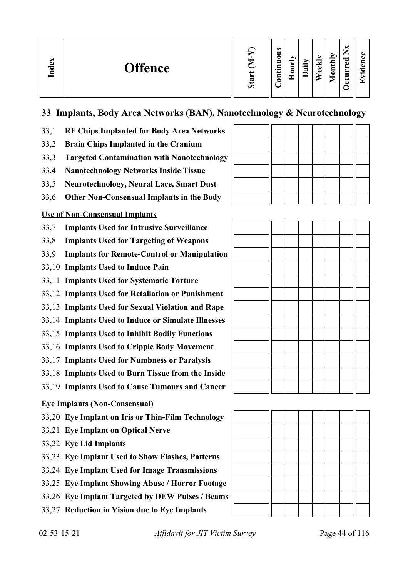# **33 Implants, Body Area Networks (BAN), Nanotechnology & Neurotechnology**

- 33,1 **RF Chips Implanted for Body Area Networks**
- 33,2 **Brain Chips Implanted in the Cranium**
- 33,3 **Targeted Contamination with Nanotechnology**
- 33,4 **Nanotechnology Networks Inside Tissue**
- 33,5 **Neurotechnology, Neural Lace, Smart Dust**
- 33,6 **Other Non-Consensual Implants in the Body**

# **Use of Non-Consensual Implants**

- 33,7 **Implants Used for Intrusive Surveillance**
- 33,8 **Implants Used for Targeting of Weapons**
- 33,9 **Implants for Remote-Control or Manipulation**
- 33,10 **Implants Used to Induce Pain**
- 33,11 **Implants Used for Systematic Torture**
- 33,12 **Implants Used for Retaliation or Punishment**
- 33,13 **Implants Used for Sexual Violation and Rape**
- 33,14 **Implants Used to Induce or Simulate Illnesses**
- 33,15 **Implants Used to Inhibit Bodily Functions**
- 33,16 **Implants Used to Cripple Body Movement**
- 33,17 **Implants Used for Numbness or Paralysis**
- 33,18 **Implants Used to Burn Tissue from the Inside**
- 33,19 **Implants Used to Cause Tumours and Cancer**

# **Eye Implants (Non-Consensual)**

- 33,20 **Eye Implant on Iris or Thin-Film Technology**
- 33,21 **Eye Implant on Optical Nerve**
- 33,22 **Eye Lid Implants**
- 33,23 **Eye Implant Used to Show Flashes, Patterns**
- 33,24 **Eye Implant Used for Image Transmissions**
- 33,25 **Eye Implant Showing Abuse / Horror Footage**
- 33,26 **Eye Implant Targeted by DEW Pulses / Beams**
- 33,27 **Reduction in Vision due to Eye Implants**



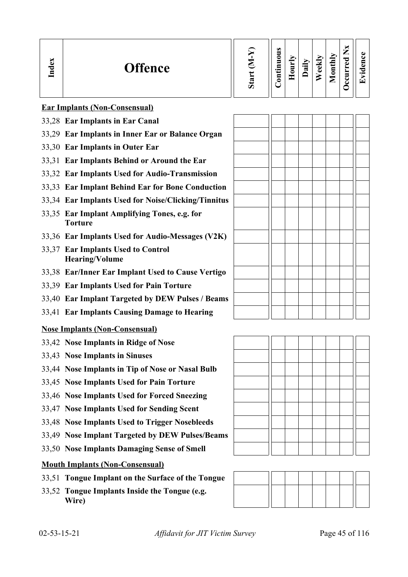| ്ല<br><b>Offence</b><br>ᇰ<br>Ē | ъ, | $\omega$<br>=<br>_<br>•⊟<br>3 | 5<br>┍ | ੶ਫ਼ | ⊽<br>ω | thly<br>ਰੁ<br>◒<br>உ | _<br>ెం<br>C)<br>-<br>e | . . |
|--------------------------------|----|-------------------------------|--------|-----|--------|----------------------|-------------------------|-----|
|--------------------------------|----|-------------------------------|--------|-----|--------|----------------------|-------------------------|-----|

**Ear Implants (Non-Consensual)**

- 33,28 **Ear Implants in Ear Canal**
- 33,29 **Ear Implants in Inner Ear or Balance Organ**
- 33,30 **Ear Implants in Outer Ear**
- 33,31 **Ear Implants Behind or Around the Ear**
- 33,32 **Ear Implants Used for Audio-Transmission**
- 33,33 **Ear Implant Behind Ear for Bone Conduction**
- 33,34 **Ear Implants Used for Noise/Clicking/Tinnitus**
- 33,35 **Ear Implant Amplifying Tones, e.g. for Torture**
- 33,36 **Ear Implants Used for Audio-Messages (V2K)**
- 33,37 **Ear Implants Used to Control Hearing/Volume**
- 33,38 **Ear/Inner Ear Implant Used to Cause Vertigo**
- 33,39 **Ear Implants Used for Pain Torture**
- 33,40 **Ear Implant Targeted by DEW Pulses / Beams**
- 33,41 **Ear Implants Causing Damage to Hearing**

#### **Nose Implants (Non-Consensual)**

- 33,42 **Nose Implants in Ridge of Nose**
- 33,43 **Nose Implants in Sinuses**
- 33,44 **Nose Implants in Tip of Nose or Nasal Bulb**
- 33,45 **Nose Implants Used for Pain Torture**
- 33,46 **Nose Implants Used for Forced Sneezing**
- 33,47 **Nose Implants Used for Sending Scent**
- 33,48 **Nose Implants Used to Trigger Nosebleeds**
- 33,49 **Nose Implant Targeted by DEW Pulses/Beams**
- 33,50 **Nose Implants Damaging Sense of Smell**

# **Mouth Implants (Non-Consensual)**

- 33,51 **Tongue Implant on the Surface of the Tongue**
- 33,52 **Tongue Implants Inside the Tongue (e.g. Wire)**





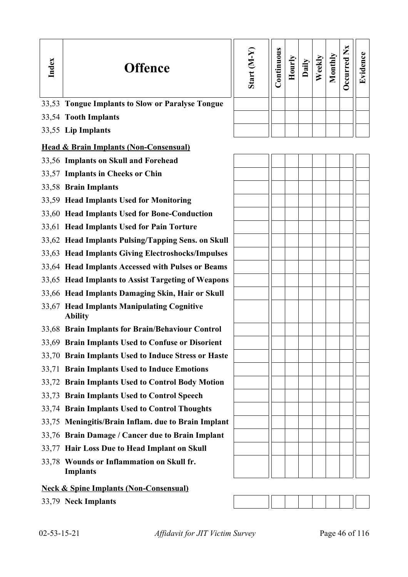| Index | <b>Offence</b>                                               | Start (M-Y) | Continuous | Hourly | Daily | Weekly | Monthly | <b>Occurred Nx</b> | Evidence |
|-------|--------------------------------------------------------------|-------------|------------|--------|-------|--------|---------|--------------------|----------|
|       | 33,53 Tongue Implants to Slow or Paralyse Tongue             |             |            |        |       |        |         |                    |          |
|       | 33,54 Tooth Implants                                         |             |            |        |       |        |         |                    |          |
|       | 33,55 Lip Implants                                           |             |            |        |       |        |         |                    |          |
|       | <b>Head &amp; Brain Implants (Non-Consensual)</b>            |             |            |        |       |        |         |                    |          |
|       | 33,56 Implants on Skull and Forehead                         |             |            |        |       |        |         |                    |          |
|       | 33,57 Implants in Cheeks or Chin                             |             |            |        |       |        |         |                    |          |
|       | 33,58 Brain Implants                                         |             |            |        |       |        |         |                    |          |
|       | 33,59 Head Implants Used for Monitoring                      |             |            |        |       |        |         |                    |          |
|       | 33,60 Head Implants Used for Bone-Conduction                 |             |            |        |       |        |         |                    |          |
|       | 33,61 Head Implants Used for Pain Torture                    |             |            |        |       |        |         |                    |          |
|       | 33,62 Head Implants Pulsing/Tapping Sens. on Skull           |             |            |        |       |        |         |                    |          |
|       | 33,63 Head Implants Giving Electroshocks/Impulses            |             |            |        |       |        |         |                    |          |
|       | 33,64 Head Implants Accessed with Pulses or Beams            |             |            |        |       |        |         |                    |          |
|       | 33,65 Head Implants to Assist Targeting of Weapons           |             |            |        |       |        |         |                    |          |
|       | 33,66 Head Implants Damaging Skin, Hair or Skull             |             |            |        |       |        |         |                    |          |
|       | 33,67 Head Implants Manipulating Cognitive<br><b>Ability</b> |             |            |        |       |        |         |                    |          |
|       | 33,68 Brain Implants for Brain/Behaviour Control             |             |            |        |       |        |         |                    |          |
|       | 33,69 Brain Implants Used to Confuse or Disorient            |             |            |        |       |        |         |                    |          |
|       | 33,70 Brain Implants Used to Induce Stress or Haste          |             |            |        |       |        |         |                    |          |
|       | 33,71 Brain Implants Used to Induce Emotions                 |             |            |        |       |        |         |                    |          |
|       | 33,72 Brain Implants Used to Control Body Motion             |             |            |        |       |        |         |                    |          |
|       | 33,73 Brain Implants Used to Control Speech                  |             |            |        |       |        |         |                    |          |
|       | 33,74 Brain Implants Used to Control Thoughts                |             |            |        |       |        |         |                    |          |
|       | 33,75 Meningitis/Brain Inflam. due to Brain Implant          |             |            |        |       |        |         |                    |          |
|       | 33,76 Brain Damage / Cancer due to Brain Implant             |             |            |        |       |        |         |                    |          |
|       | 33,77 Hair Loss Due to Head Implant on Skull                 |             |            |        |       |        |         |                    |          |
|       | 33,78 Wounds or Inflammation on Skull fr.<br><b>Implants</b> |             |            |        |       |        |         |                    |          |
|       | <b>Neck &amp; Spine Implants (Non-Consensual)</b>            |             |            |        |       |        |         |                    |          |

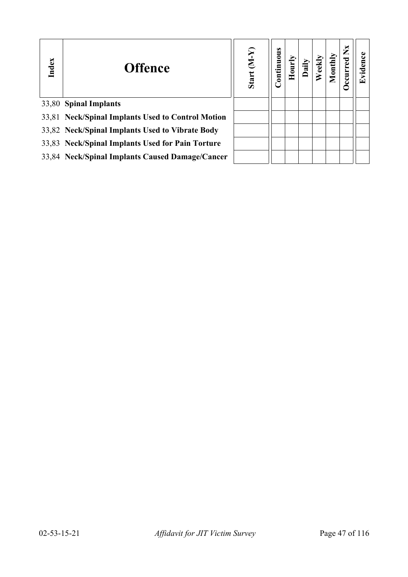| Index | <b>Offence</b>                                    | Start $(M-Y)$ | Continuous |  | ontl | $\sum_{i=1}^{n}$<br>Occurred | idence |
|-------|---------------------------------------------------|---------------|------------|--|------|------------------------------|--------|
|       | 33,80 Spinal Implants                             |               |            |  |      |                              |        |
|       | 33,81 Neck/Spinal Implants Used to Control Motion |               |            |  |      |                              |        |
|       | 33,82 Neck/Spinal Implants Used to Vibrate Body   |               |            |  |      |                              |        |
|       | 33,83 Neck/Spinal Implants Used for Pain Torture  |               |            |  |      |                              |        |
|       | 33,84 Neck/Spinal Implants Caused Damage/Cancer   |               |            |  |      |                              |        |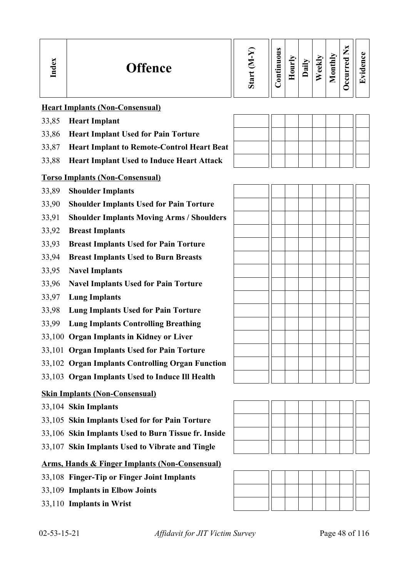| Index                                                     | <b>Offence</b>                                      | Start (M-Y) | Continuous | Hourly | Daily | Weekly | Monthly | Occurred Nx | Evidence |
|-----------------------------------------------------------|-----------------------------------------------------|-------------|------------|--------|-------|--------|---------|-------------|----------|
|                                                           | <b>Heart Implants (Non-Consensual)</b>              |             |            |        |       |        |         |             |          |
| 33,85                                                     | <b>Heart Implant</b>                                |             |            |        |       |        |         |             |          |
| 33,86                                                     | <b>Heart Implant Used for Pain Torture</b>          |             |            |        |       |        |         |             |          |
| 33,87                                                     | <b>Heart Implant to Remote-Control Heart Beat</b>   |             |            |        |       |        |         |             |          |
| 33,88                                                     | <b>Heart Implant Used to Induce Heart Attack</b>    |             |            |        |       |        |         |             |          |
| <b>Torso Implants (Non-Consensual)</b>                    |                                                     |             |            |        |       |        |         |             |          |
| 33,89                                                     | <b>Shoulder Implants</b>                            |             |            |        |       |        |         |             |          |
| 33,90                                                     | <b>Shoulder Implants Used for Pain Torture</b>      |             |            |        |       |        |         |             |          |
| 33,91                                                     | <b>Shoulder Implants Moving Arms / Shoulders</b>    |             |            |        |       |        |         |             |          |
| 33,92                                                     | <b>Breast Implants</b>                              |             |            |        |       |        |         |             |          |
| 33,93                                                     | <b>Breast Implants Used for Pain Torture</b>        |             |            |        |       |        |         |             |          |
| 33,94                                                     | <b>Breast Implants Used to Burn Breasts</b>         |             |            |        |       |        |         |             |          |
| 33,95                                                     | <b>Navel Implants</b>                               |             |            |        |       |        |         |             |          |
| 33,96                                                     | <b>Navel Implants Used for Pain Torture</b>         |             |            |        |       |        |         |             |          |
| 33,97                                                     | <b>Lung Implants</b>                                |             |            |        |       |        |         |             |          |
| 33,98                                                     | <b>Lung Implants Used for Pain Torture</b>          |             |            |        |       |        |         |             |          |
| 33,99                                                     | <b>Lung Implants Controlling Breathing</b>          |             |            |        |       |        |         |             |          |
|                                                           | 33,100 Organ Implants in Kidney or Liver            |             |            |        |       |        |         |             |          |
|                                                           | 33,101 Organ Implants Used for Pain Torture         |             |            |        |       |        |         |             |          |
|                                                           | 33,102 Organ Implants Controlling Organ Function    |             |            |        |       |        |         |             |          |
|                                                           | 33,103 Organ Implants Used to Induce Ill Health     |             |            |        |       |        |         |             |          |
|                                                           | <b>Skin Implants (Non-Consensual)</b>               |             |            |        |       |        |         |             |          |
|                                                           | 33,104 Skin Implants                                |             |            |        |       |        |         |             |          |
|                                                           | 33,105 Skin Implants Used for for Pain Torture      |             |            |        |       |        |         |             |          |
|                                                           | 33,106 Skin Implants Used to Burn Tissue fr. Inside |             |            |        |       |        |         |             |          |
|                                                           | 33,107 Skin Implants Used to Vibrate and Tingle     |             |            |        |       |        |         |             |          |
| <b>Arms, Hands &amp; Finger Implants (Non-Consensual)</b> |                                                     |             |            |        |       |        |         |             |          |
|                                                           | 33,108 Finger-Tip or Finger Joint Implants          |             |            |        |       |        |         |             |          |
|                                                           | 33,109 Implants in Elbow Joints                     |             |            |        |       |        |         |             |          |

 $\mathbb{H}$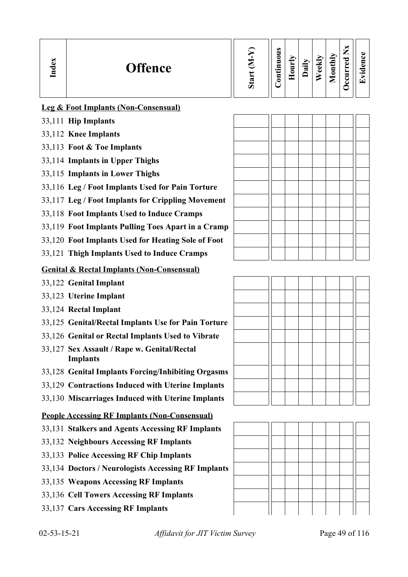| Index | <b>Offence</b>                                  | $(N-N)$<br>Start | Continuous | $H$ ourl | Dail | $e$ ekl | Monthly | $\mathbf{X}$<br>इ<br>ccun | Evidence |
|-------|-------------------------------------------------|------------------|------------|----------|------|---------|---------|---------------------------|----------|
|       | <b>Leg &amp; Foot Implants (Non-Consensual)</b> |                  |            |          |      |         |         |                           |          |
|       | 33,111 Hip Implants                             |                  |            |          |      |         |         |                           |          |
|       | 33,112 Knee Implants                            |                  |            |          |      |         |         |                           |          |
|       | 33,113 Foot & Toe Implants                      |                  |            |          |      |         |         |                           |          |
|       | 33,114 Implants in Upper Thighs                 |                  |            |          |      |         |         |                           |          |
|       | -----                                           |                  |            |          |      |         |         |                           |          |

- 33,115 **Implants in Lower Thighs**
- 33,116 **Leg / Foot Implants Used for Pain Torture**
- 33,117 **Leg / Foot Implants for Crippling Movement**
- 33,118 **Foot Implants Used to Induce Cramps**
- 33,119 **Foot Implants Pulling Toes Apart in a Cramp**
- 33,120 **Foot Implants Used for Heating Sole of Foot**
- 33,121 **Thigh Implants Used to Induce Cramps**

### **Genital & Rectal Implants (Non-Consensual)**

- 33,122 **Genital Implant**
- 33,123 **Uterine Implant**
- 33,124 **Rectal Implant**
- 33,125 **Genital/Rectal Implants Use for Pain Torture**
- 33,126 **Genital or Rectal Implants Used to Vibrate**
- 33,127 **Sex Assault / Rape w. Genital/Rectal Implants**
- 33,128 **Genital Implants Forcing/Inhibiting Orgasms**
- 33,129 **Contractions Induced with Uterine Implants**
- 33,130 **Miscarriages Induced with Uterine Implants**

# **People Accessing RF Implants (Non-Consensual)**

- 33,131 **Stalkers and Agents Accessing RF Implants**
- 33,132 **Neighbours Accessing RF Implants**
- 33,133 **Police Accessing RF Chip Implants**
- 33,134 **Doctors / Neurologists Accessing RF Implants**
- 33,135 **Weapons Accessing RF Implants**
- 33,136 **Cell Towers Accessing RF Implants**
- 33,137 **Cars Accessing RF Implants**



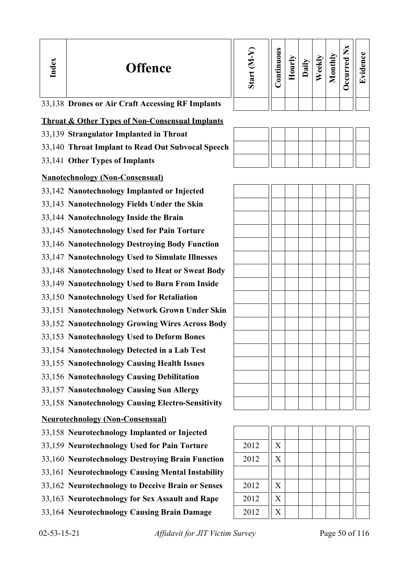| Index | <b>Offence</b>                                             | Start (M-Y) | Continuous | Hourly | Daily | Weekly | Monthly | Occurred Nx | Evidence |
|-------|------------------------------------------------------------|-------------|------------|--------|-------|--------|---------|-------------|----------|
|       | 33,138 Drones or Air Craft Accessing RF Implants           |             |            |        |       |        |         |             |          |
|       | <b>Throat &amp; Other Types of Non-Consensual Implants</b> |             |            |        |       |        |         |             |          |
|       | 33,139 Strangulator Implanted in Throat                    |             |            |        |       |        |         |             |          |
|       | 33,140 Throat Implant to Read Out Subvocal Speech          |             |            |        |       |        |         |             |          |
|       | 33,141 Other Types of Implants                             |             |            |        |       |        |         |             |          |
|       | <b>Nanotechnology (Non-Consensual)</b>                     |             |            |        |       |        |         |             |          |
|       | 33,142 Nanotechnology Implanted or Injected                |             |            |        |       |        |         |             |          |
|       | 33,143 Nanotechnology Fields Under the Skin                |             |            |        |       |        |         |             |          |
|       | 33,144 Nanotechnology Inside the Brain                     |             |            |        |       |        |         |             |          |
|       | 33,145 Nanotechnology Used for Pain Torture                |             |            |        |       |        |         |             |          |
|       | 33,146 Nanotechnology Destroying Body Function             |             |            |        |       |        |         |             |          |
|       | 33,147 Nanotechnology Used to Simulate Illnesses           |             |            |        |       |        |         |             |          |
|       | 33,148 Nanotechnology Used to Heat or Sweat Body           |             |            |        |       |        |         |             |          |
|       | 33,149 Nanotechnology Used to Burn From Inside             |             |            |        |       |        |         |             |          |
|       | 33,150 Nanotechnology Used for Retaliation                 |             |            |        |       |        |         |             |          |
|       | 33,151 Nanotechnology Network Grown Under Skin             |             |            |        |       |        |         |             |          |
|       | 33,152 Nanotechnology Growing Wires Across Body            |             |            |        |       |        |         |             |          |
|       | 33,153 Nanotechnology Used to Deform Bones                 |             |            |        |       |        |         |             |          |
|       | 33,154 Nanotechnology Detected in a Lab Test               |             |            |        |       |        |         |             |          |
|       | 33,155 Nanotechnology Causing Health Issues                |             |            |        |       |        |         |             |          |
|       | 33,156 Nanotechnology Causing Debilitation                 |             |            |        |       |        |         |             |          |
|       | 33,157 Nanotechnology Causing Sun Allergy                  |             |            |        |       |        |         |             |          |
|       | 33,158 Nanotechnology Causing Electro-Sensitivity          |             |            |        |       |        |         |             |          |
|       | <b>Neurotechnology (Non-Consensual)</b>                    |             |            |        |       |        |         |             |          |
|       | 33,158 Neurotechnology Implanted or Injected               |             |            |        |       |        |         |             |          |
|       | 33,159 Neurotechnology Used for Pain Torture               | 2012        | X          |        |       |        |         |             |          |
|       | 33,160 Neurotechnology Destroying Brain Function           | 2012        | X          |        |       |        |         |             |          |
|       | 33,161 Neurotechnology Causing Mental Instability          |             |            |        |       |        |         |             |          |
|       | 33,162 Neurotechnology to Deceive Brain or Senses          | 2012        | X          |        |       |        |         |             |          |
|       | 33,163 Neurotechnology for Sex Assault and Rape            | 2012        | X          |        |       |        |         |             |          |
|       | 33,164 Neurotechnology Causing Brain Damage                | 2012        | X          |        |       |        |         |             |          |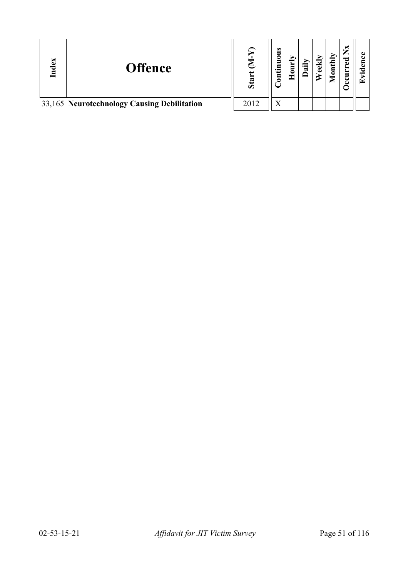| EX<br>ాం | <b>Offence</b>                              | S <sub>ta</sub> | $\omega$<br>3<br>Ξ<br>∯.<br>ឨ | 'ສ | $\text{until}$ | ×<br>ರ<br>ω<br>∃ | $\bullet$<br>⊡ |
|----------|---------------------------------------------|-----------------|-------------------------------|----|----------------|------------------|----------------|
|          | 33,165 Neurotechnology Causing Debilitation | 2012            | X                             |    |                |                  |                |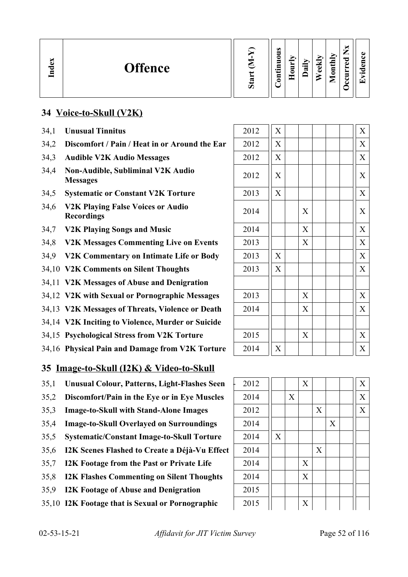| idex<br><b>Offence</b><br>드 | ▽<br>σ | $\omega$<br>∍<br>0<br>5<br>Ξ<br>د.<br>Ē<br>⊂ | -<br>Ξ<br>c<br>- | ∽<br>$\cdot$ $\overline{\phantom{0}}$<br>w | ↩<br>ക<br>ω | $\text{until}$<br>$\overline{\phantom{0}}$<br>_ | м<br>⇁<br>痴<br>ਰ<br>Φ<br>►<br>−<br>⊷<br>് | 61<br>$\bullet$ .<br>r <del>√</del> |
|-----------------------------|--------|----------------------------------------------|------------------|--------------------------------------------|-------------|-------------------------------------------------|-------------------------------------------|-------------------------------------|
|-----------------------------|--------|----------------------------------------------|------------------|--------------------------------------------|-------------|-------------------------------------------------|-------------------------------------------|-------------------------------------|

# **34 Voice-to-Skull (V2K)**

- 34.1 **Unusual Tinnitus**
- 34.2 **Discomfort / Pain / Heat in or Around the Ear**
- 34,3 Audible V2K Audio Messages
- 34,4 **Non-Audible, Subliminal V2K Audio**
- 34,5 **Systematic or Constant V2K Torture**
- 34,6 **V2K Playing False Voices or Audio**
- 34,7 **V2K Playing Songs and Music**
- 34,8 **V2K Messages Commenting Live on Events**
- 34,9 V2K Commentary on Intimate Life or Body
- 34,10 V2K Comments on Silent Thoughts
- 34,11 **V2K Messages of Abuse and Denigration**
- 34,12 V2K with Sexual or Pornographic Messages
- 34,13 **V2K Messages of Threats, Violence or Death**
- 34,14 **V2K Inciting to Violence, Murder or Suicide**
- 34,15 **Psychological Stress from V2K Torture**
- 34,16 **Physical Pain and Damage from V2K Torture**

# **35 Image-to-Skull (I2K) & Video-to-Skull**

- 35,1 **Unusual Colour, Patterns, Light-Flashes Seen**
- 35,2 **Discomfort/Pain in the Eye or in Eye Muscles**
- 35,3 **Image-to-Skull with Stand-Alone Images**
- 35,4 **Image-to-Skull Overlayed on Surroundings**
- 35,5 **Systematic/Constant Image-to-Skull Torture**
- 35,6 **I2K Scenes Flashed to Create a Déjà-Vu Effect**
- 35,7 **I2K Footage from the Past or Private Life**
- 35,8 **I2K Flashes Commenting on Silent Thoughts**
- 35,9 **I2K Footage of Abuse and Denigration**
- 35,10 **I2K Footage that is Sexual or Pornographic** 2015 X

| 2012 | X |   | X |
|------|---|---|---|
| 2012 | X |   | X |
| 2012 | X |   | X |
| 2012 | X |   | X |
| 2013 | X |   | X |
| 2014 |   | X | X |
| 2014 |   | X | X |
| 2013 |   | X | X |
| 2013 | X |   | X |
| 2013 | X |   | X |
|      |   |   |   |
| 2013 |   | X | X |
| 2014 |   | X | X |
|      |   |   |   |
| 2015 |   | X | X |
| 2014 | X |   | X |
|      |   |   |   |

| 2012 |   |   | X |   |   | $\boldsymbol{\mathrm{X}}$ |
|------|---|---|---|---|---|---------------------------|
| 2014 |   | X |   |   |   | $\boldsymbol{X}$          |
| 2012 |   |   |   | X |   | X                         |
| 2014 |   |   |   |   | X |                           |
| 2014 | X |   |   |   |   |                           |
| 2014 |   |   |   | X |   |                           |
| 2014 |   |   | X |   |   |                           |
| 2014 |   |   | X |   |   |                           |
| 2015 |   |   |   |   |   |                           |
| 2015 |   |   | X |   |   |                           |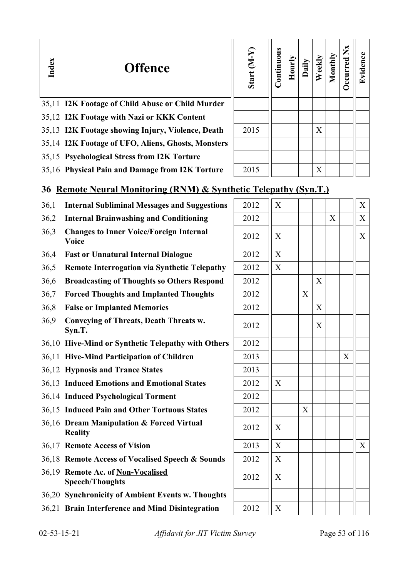| Index | <b>Offence</b>                                                   | Start $(M-Y)$ | Continuous | Hourly | Daily | Weekly | Monthly | Occurred Nx | Evidence          |
|-------|------------------------------------------------------------------|---------------|------------|--------|-------|--------|---------|-------------|-------------------|
|       | 35,11 I2K Footage of Child Abuse or Child Murder                 |               |            |        |       |        |         |             |                   |
|       | 35,12 I2K Footage with Nazi or KKK Content                       |               |            |        |       |        |         |             |                   |
|       | 35,13 I2K Footage showing Injury, Violence, Death                | 2015          |            |        |       | X      |         |             |                   |
|       | 35,14 I2K Footage of UFO, Aliens, Ghosts, Monsters               |               |            |        |       |        |         |             |                   |
|       | 35,15 Psychological Stress from I2K Torture                      |               |            |        |       |        |         |             |                   |
|       | 35,16 Physical Pain and Damage from I2K Torture                  | 2015          |            |        |       | X      |         |             |                   |
|       | 36 Remote Neural Monitoring (RNM) & Synthetic Telepathy (Syn.T.) |               |            |        |       |        |         |             |                   |
| 36,1  | <b>Internal Subliminal Messages and Suggestions</b>              | 2012          | X          |        |       |        |         |             | X                 |
| 36,2  | <b>Internal Brainwashing and Conditioning</b>                    | 2012          |            |        |       |        | X       |             | X                 |
| 36,3  | <b>Changes to Inner Voice/Foreign Internal</b><br>Voice          | 2012          | X          |        |       |        |         |             | X                 |
| 36,4  | <b>Fast or Unnatural Internal Dialogue</b>                       | 2012          | X          |        |       |        |         |             |                   |
| 36,5  | <b>Remote Interrogation via Synthetic Telepathy</b>              | 2012          | X          |        |       |        |         |             |                   |
| 36,6  | <b>Broadcasting of Thoughts so Others Respond</b>                | 2012          |            |        |       | X      |         |             |                   |
| 36,7  | <b>Forced Thoughts and Implanted Thoughts</b>                    | 2012          |            |        | X     |        |         |             |                   |
| 36,8  | <b>False or Implanted Memories</b>                               | 2012          |            |        |       | X      |         |             |                   |
| 36,9  | <b>Conveying of Threats, Death Threats w.</b><br>Syn.T.          | 2012          |            |        |       | X      |         |             |                   |
|       | 36,10 Hive-Mind or Synthetic Telepathy with Others               | 2012          |            |        |       |        |         |             |                   |
|       | 36,11 Hive-Mind Participation of Children                        | 2013          |            |        |       |        |         | X           |                   |
|       | 36,12 Hypnosis and Trance States                                 | 2013          |            |        |       |        |         |             |                   |
|       | 36,13 Induced Emotions and Emotional States                      | 2012          | X          |        |       |        |         |             |                   |
|       | 36,14 Induced Psychological Torment                              | 2012          |            |        |       |        |         |             |                   |
|       | 36,15 Induced Pain and Other Tortuous States                     | 2012          |            |        | X     |        |         |             |                   |
|       | 36,16 Dream Manipulation & Forced Virtual<br><b>Reality</b>      | 2012          | X          |        |       |        |         |             |                   |
|       | 36,17 Remote Access of Vision                                    | 2013          | X          |        |       |        |         |             | $X_{\mathcal{I}}$ |

36,18 **Remote Access of Vocalised Speech & Sounds** 2012 | X

36,19 **Remote Ac. of Non-Vocalised Speech/Thoughts** 2012 X

36,20 **Synchronicity of Ambient Events w. Thoughts**

36,21 **Brain Interference and Mind Disintegration** 2012 **X**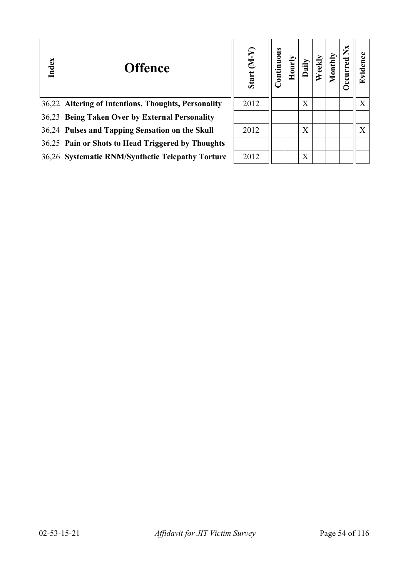| Index | <b>Offence</b>                                      | Start (M-Y) | Continuous |   | $\bar{\mathsf{g}}$ | ž<br><b>urred</b> |   |
|-------|-----------------------------------------------------|-------------|------------|---|--------------------|-------------------|---|
|       | 36,22 Altering of Intentions, Thoughts, Personality | 2012        |            | X |                    |                   | X |
|       | 36,23 Being Taken Over by External Personality      |             |            |   |                    |                   |   |
|       | 36,24 Pulses and Tapping Sensation on the Skull     | 2012        |            | X |                    |                   | X |
|       | 36,25 Pain or Shots to Head Triggered by Thoughts   |             |            |   |                    |                   |   |
|       | 36,26 Systematic RNM/Synthetic Telepathy Torture    | 2012        |            | X |                    |                   |   |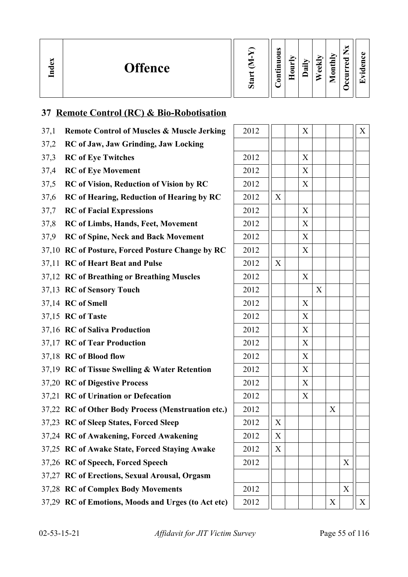| ∼<br>്ധ<br>ా<br>⊟ | <b>Offence</b> | eś.<br>Ο | $\bullet$<br>∊<br>-<br>$\bullet$<br>⊟<br>∊ | −<br>Ę<br>— | 급 | ekly<br>تە | onthly<br>−<br>▱ | —<br>_<br>਼ਰ<br>ω<br>-<br>c | $\bullet$ $\blacksquare$<br>$\overline{\phantom{0}}$ |
|-------------------|----------------|----------|--------------------------------------------|-------------|---|------------|------------------|-----------------------------|------------------------------------------------------|
|-------------------|----------------|----------|--------------------------------------------|-------------|---|------------|------------------|-----------------------------|------------------------------------------------------|

# **37 Remote Control (RC) & Bio-Robotisation**

| 37,1 | <b>Remote Control of Muscles &amp; Muscle Jerking</b> | 2012 |   | X |   |   |   | X                 |
|------|-------------------------------------------------------|------|---|---|---|---|---|-------------------|
| 37,2 | RC of Jaw, Jaw Grinding, Jaw Locking                  |      |   |   |   |   |   |                   |
| 37,3 | <b>RC</b> of Eye Twitches                             | 2012 |   | X |   |   |   |                   |
| 37,4 | <b>RC</b> of Eye Movement                             | 2012 |   | X |   |   |   |                   |
| 37,5 | <b>RC</b> of Vision, Reduction of Vision by RC        | 2012 |   | X |   |   |   |                   |
| 37,6 | <b>RC</b> of Hearing, Reduction of Hearing by RC      | 2012 | X |   |   |   |   |                   |
| 37,7 | <b>RC</b> of Facial Expressions                       | 2012 |   | X |   |   |   |                   |
| 37,8 | RC of Limbs, Hands, Feet, Movement                    | 2012 |   | X |   |   |   |                   |
| 37,9 | <b>RC</b> of Spine, Neck and Back Movement            | 2012 |   | X |   |   |   |                   |
|      | 37,10 RC of Posture, Forced Posture Change by RC      | 2012 |   | X |   |   |   |                   |
|      | 37,11 RC of Heart Beat and Pulse                      | 2012 | X |   |   |   |   |                   |
|      | 37,12 RC of Breathing or Breathing Muscles            | 2012 |   | X |   |   |   |                   |
|      | 37,13 RC of Sensory Touch                             | 2012 |   |   | X |   |   |                   |
|      | 37,14 RC of Smell                                     | 2012 |   | X |   |   |   |                   |
|      | 37,15 RC of Taste                                     | 2012 |   | X |   |   |   |                   |
|      | 37,16 RC of Saliva Production                         | 2012 |   | X |   |   |   |                   |
|      | 37,17 RC of Tear Production                           | 2012 |   | X |   |   |   |                   |
|      | 37,18 RC of Blood flow                                | 2012 |   | X |   |   |   |                   |
|      | 37,19 RC of Tissue Swelling & Water Retention         | 2012 |   | X |   |   |   |                   |
|      | 37,20 RC of Digestive Process                         | 2012 |   | X |   |   |   |                   |
|      | 37,21 RC of Urination or Defecation                   | 2012 |   | X |   |   |   |                   |
|      | 37,22 RC of Other Body Process (Menstruation etc.)    | 2012 |   |   |   | X |   |                   |
|      | 37,23 RC of Sleep States, Forced Sleep                | 2012 | X |   |   |   |   |                   |
|      | 37,24 RC of Awakening, Forced Awakening               | 2012 | X |   |   |   |   |                   |
|      | 37,25 RC of Awake State, Forced Staying Awake         | 2012 | X |   |   |   |   |                   |
|      | 37,26 RC of Speech, Forced Speech                     | 2012 |   |   |   |   | X |                   |
|      | 37,27 RC of Erections, Sexual Arousal, Orgasm         |      |   |   |   |   |   |                   |
|      | 37,28 RC of Complex Body Movements                    | 2012 |   |   |   |   | X |                   |
|      | 37,29 RC of Emotions, Moods and Urges (to Act etc)    | 2012 |   |   |   | X |   | $X_{\mathcal{C}}$ |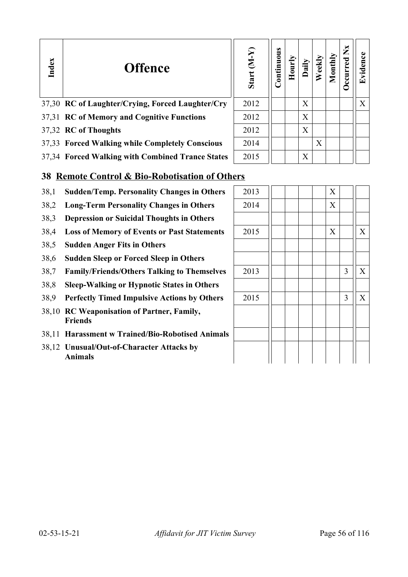| Index | <b>Offence</b>                                   | Start $(M-Y)$ | Continuous |   |   | $\overline{\text{u}}$ | ž<br>curre | E<br>Ć٣ |
|-------|--------------------------------------------------|---------------|------------|---|---|-----------------------|------------|---------|
|       | 37,30 RC of Laughter/Crying, Forced Laughter/Cry | 2012          |            | X |   |                       |            | X       |
|       | 37,31 RC of Memory and Cognitive Functions       | 2012          |            | X |   |                       |            |         |
|       | 37,32 RC of Thoughts                             | 2012          |            | X |   |                       |            |         |
|       | 37,33 Forced Walking while Completely Conscious  | 2014          |            |   | X |                       |            |         |
|       | 37,34 Forced Walking with Combined Trance States | 2015          |            | X |   |                       |            |         |

# **38 Remote Control & Bio-Robotisation of Others**

- 38,1 **Sudden/Temp. Personality Changes in Others**
- 38,2 Long-Term Personality Changes in Others
- 38,3 **Depression or Suicidal Thoughts in Others**
- 38,4 Loss of Memory of Events or Past Statements
- 38,5 **Sudden Anger Fits in Others**
- 38,6 **Sudden Sleep or Forced Sleep in Others**
- 38,7 **Family/Friends/Others Talking to Themselves**
- 38,8 **Sleep-Walking or Hypnotic States in Others**
- 38,9 **Perfectly Timed Impulsive Actions by Others**
- 38,10 **RC Weaponisation of Partner, Family, Friends**
- 38,11 **Harassment w Trained/Bio-Robotised Animals**
- 38,12 **Unusual/Out-of-Character Attacks by Animals**

| 2013 |  |  | $\mathbf X$      |                |             |
|------|--|--|------------------|----------------|-------------|
| 2014 |  |  | $\boldsymbol{X}$ |                |             |
|      |  |  |                  |                |             |
| 2015 |  |  | X                |                | $\mathbf X$ |
|      |  |  |                  |                |             |
|      |  |  |                  |                |             |
| 2013 |  |  |                  | $\overline{3}$ | $\mathbf X$ |
|      |  |  |                  |                |             |
| 2015 |  |  |                  | 3              | $\mathbf X$ |
|      |  |  |                  |                |             |
|      |  |  |                  |                |             |
|      |  |  |                  |                |             |
|      |  |  |                  |                |             |
|      |  |  |                  |                |             |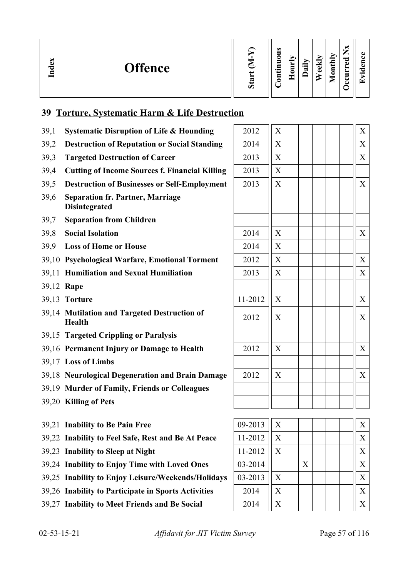| ്ല<br>≂<br>,≊ | <b>Offence</b> |  | $\bullet$<br>∊<br>$\cdot$ $\,$<br>┍ |  | ≔<br>≂ | М<br>ē<br>ω | nthly<br>0<br>⋍ | _<br>モ<br>ω<br>- | $\overline{\phantom{0}}$ |
|---------------|----------------|--|-------------------------------------|--|--------|-------------|-----------------|------------------|--------------------------|
|---------------|----------------|--|-------------------------------------|--|--------|-------------|-----------------|------------------|--------------------------|

# **39 Torture, Systematic Harm & Life Destruction**

| 39,1 | <b>Systematic Disruption of Life &amp; Hounding</b>             | 2012    | X |   |  | X                |
|------|-----------------------------------------------------------------|---------|---|---|--|------------------|
| 39,2 | <b>Destruction of Reputation or Social Standing</b>             | 2014    | X |   |  | $\boldsymbol{X}$ |
| 39,3 | <b>Targeted Destruction of Career</b>                           | 2013    | X |   |  | X                |
| 39,4 | <b>Cutting of Income Sources f. Financial Killing</b>           | 2013    | X |   |  |                  |
| 39,5 | <b>Destruction of Businesses or Self-Employment</b>             | 2013    | X |   |  | X                |
| 39,6 | <b>Separation fr. Partner, Marriage</b><br><b>Disintegrated</b> |         |   |   |  |                  |
| 39,7 | <b>Separation from Children</b>                                 |         |   |   |  |                  |
| 39,8 | <b>Social Isolation</b>                                         | 2014    | X |   |  | X                |
| 39,9 | <b>Loss of Home or House</b>                                    | 2014    | X |   |  |                  |
|      | 39,10 Psychological Warfare, Emotional Torment                  | 2012    | X |   |  | $\boldsymbol{X}$ |
|      | 39,11 Humiliation and Sexual Humiliation                        | 2013    | X |   |  | $\boldsymbol{X}$ |
|      | 39,12 Rape                                                      |         |   |   |  |                  |
|      | 39,13 Torture                                                   | 11-2012 | X |   |  | X                |
|      | 39,14 Mutilation and Targeted Destruction of<br><b>Health</b>   | 2012    | X |   |  | X                |
|      | 39,15 Targeted Crippling or Paralysis                           |         |   |   |  |                  |
|      | 39,16 Permanent Injury or Damage to Health                      | 2012    | X |   |  | X                |
|      | 39,17 Loss of Limbs                                             |         |   |   |  |                  |
|      | 39,18 Neurological Degeneration and Brain Damage                | 2012    | X |   |  | X                |
|      | 39,19 Murder of Family, Friends or Colleagues                   |         |   |   |  |                  |
|      | 39,20 Killing of Pets                                           |         |   |   |  |                  |
|      |                                                                 |         |   |   |  |                  |
|      | 39,21 Inability to Be Pain Free                                 | 09-2013 | X |   |  | X                |
|      | 39,22 Inability to Feel Safe, Rest and Be At Peace              | 11-2012 | X |   |  | X                |
|      | 39,23 Inability to Sleep at Night                               | 11-2012 | X |   |  | X                |
|      | 39,24 Inability to Enjoy Time with Loved Ones                   | 03-2014 |   | X |  | X                |
|      | 39,25 Inability to Enjoy Leisure/Weekends/Holidays              | 03-2013 | X |   |  | X                |
|      | 39,26 Inability to Participate in Sports Activities             | 2014    | X |   |  | X                |
|      | 39,27 Inability to Meet Friends and Be Social                   | 2014    | X |   |  | X                |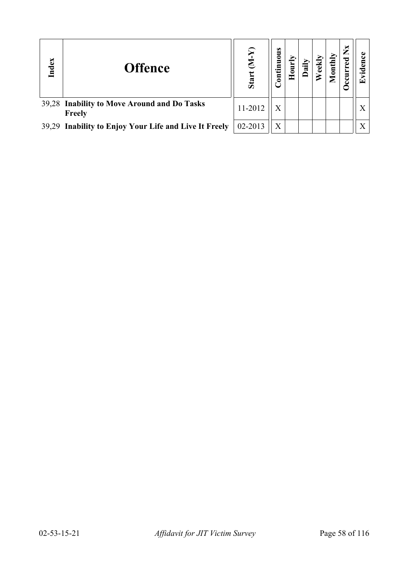| Index | <b>Offence</b>                                        | Star    | tinuous<br>$\overline{\mathbf{S}}$ |  | Ē | × | Œ |
|-------|-------------------------------------------------------|---------|------------------------------------|--|---|---|---|
|       | 39,28 Inability to Move Around and Do Tasks<br>Freely | 11-2012 | $\mathbf X$                        |  |   |   |   |
|       | 39,29 Inability to Enjoy Your Life and Live It Freely | 02-2013 | X                                  |  |   |   |   |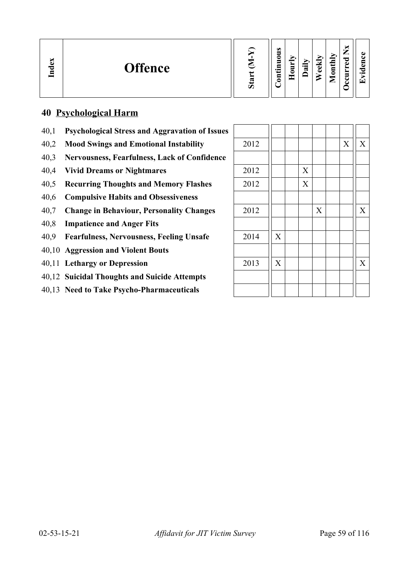| ∽<br>്ധ<br><b>Offence</b><br>$\mathbf{I}_{\mathbf{n}}$ | w<br>من | $\omega$<br>5<br>c<br>Ξ<br>.든<br>5 | − | r.<br>$\cdot$ $-$<br>≂ | м<br>ω<br>ω | onthly<br>▱ | м<br>_<br>ਰ<br>ω<br>►<br>►<br>۰<br>г.<br>◡ | п.<br>$\bullet$<br>í <del>⊤</del> |
|--------------------------------------------------------|---------|------------------------------------|---|------------------------|-------------|-------------|--------------------------------------------|-----------------------------------|
|--------------------------------------------------------|---------|------------------------------------|---|------------------------|-------------|-------------|--------------------------------------------|-----------------------------------|

# **40 Psychological Harm**

- 40,1 **Psychological Stress and Aggravation of Issues**
- 40,2 Mood Swings and Emotional Instability
- 40,3 **Nervousness, Fearfulness, Lack of Confidence**
- 40,4 **Vivid Dreams or Nightmares**
- 40,5 **Recurring Thoughts and Memory Flashes**
- 40,6 **Compulsive Habits and Obsessiveness**
- 40,7 Change in Behaviour, Personality Changes
- 40,8 **Impatience and Anger Fits**
- 40,9 **Fearfulness, Nervousness, Feeling Unsafe**
- 40,10 **Aggression and Violent Bouts**
- 40,11 **Lethargy or Depression**
- 40,12 **Suicidal Thoughts and Suicide Attempts**
- 40,13 **Need to Take Psycho-Pharmaceuticals**

| 2012 |                           |             |             | $\boldsymbol{X}$ | $\mathbf X$ |
|------|---------------------------|-------------|-------------|------------------|-------------|
|      |                           |             |             |                  |             |
| 2012 |                           | $\mathbf X$ |             |                  |             |
| 2012 |                           | $\mathbf X$ |             |                  |             |
|      |                           |             |             |                  |             |
| 2012 |                           |             | $\mathbf X$ |                  | $\mathbf X$ |
|      |                           |             |             |                  |             |
| 2014 | X                         |             |             |                  |             |
|      |                           |             |             |                  |             |
| 2013 | $\boldsymbol{\mathrm{X}}$ |             |             |                  | $\mathbf X$ |
|      |                           |             |             |                  |             |
|      |                           |             |             |                  |             |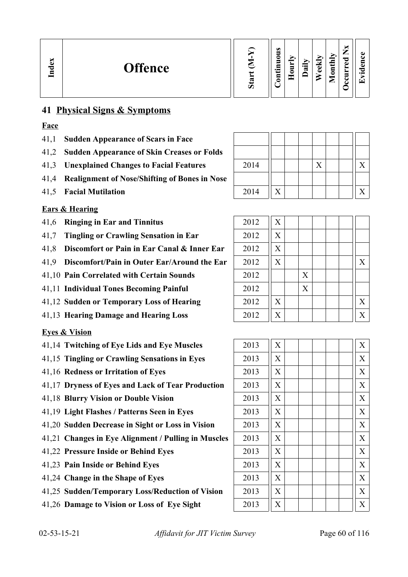# **41 Physical Signs & Symptoms**

# **Face**

- 41,1 **Sudden Appearance of Scars in Face**
- 41,2 **Sudden Appearance of Skin Creases or Folds**
- 41,3 Unexplained Changes to Facial Features
- 41,4 **Realignment of Nose/Shifting of Bones in Nose**
- 41.5 **Facial Mutilation**

# **Ears & Hearing**

- 41,6 **Ringing in Ear and Tinnitus**
- 41,7 **Tingling or Crawling Sensation in Ear**
- 41.8 **Discomfort or Pain in Ear Canal & Inner Ear**
- 41.9 **Discomfort/Pain in Outer Ear/Around the Ear**
- 41,10 **Pain Correlated with Certain Sounds**
- 41,11 **Individual Tones Becoming Painful**
- 41,12 **Sudden or Temporary Loss of Hearing**
- 41,13 **Hearing Damage and Hearing Loss**

# **Eyes & Vision**

- 41,14 Twitching of Eye Lids and Eye Muscles
- 41,15 Tingling or Crawling Sensations in Eyes
- 41,16 **Redness or Irritation of Eyes**
- 41,17 **Dryness of Eyes and Lack of Tear Production**
- 41,18 **Blurry Vision or Double Vision**
- 41,19 Light Flashes / Patterns Seen in Eyes
- 41,20 Sudden Decrease in Sight or Loss in Vision
- 41,21 Changes in Eye Alignment / Pulling in Muscles
- 41,22 Pressure Inside or Behind Eyes
- 41,23 Pain Inside or Behind Eyes
- 41,24 Change in the Shape of Eyes
- 41,25 Sudden/Temporary Loss/Reduction of Vision
- 41,26 Damage to Vision or Loss of Eye Sight

| 2014 |  | X |  |  |
|------|--|---|--|--|
|      |  |   |  |  |
| 2014 |  |   |  |  |
|      |  |   |  |  |

 $\mathbf{\mathbf{\mathsf{H}}}$ 

T

| 2012 | X                         |   |  |   |
|------|---------------------------|---|--|---|
| 2012 | $\boldsymbol{\mathrm{X}}$ |   |  |   |
| 2012 | X                         |   |  |   |
| 2012 | X                         |   |  | X |
| 2012 |                           | X |  |   |
| 2012 |                           | X |  |   |
| 2012 | X                         |   |  | X |
| 2012 | X                         |   |  | X |

| 2013 | $\overline{X}$            | X                         |
|------|---------------------------|---------------------------|
| 2013 | X                         | $\boldsymbol{\mathrm{X}}$ |
| 2013 | X                         | $\boldsymbol{\mathrm{X}}$ |
| 2013 | X                         | $\boldsymbol{\mathrm{X}}$ |
| 2013 | X                         | $\boldsymbol{\mathrm{X}}$ |
| 2013 | X                         | X                         |
| 2013 | X                         | $\boldsymbol{\mathrm{X}}$ |
| 2013 | X                         | $\boldsymbol{\mathrm{X}}$ |
| 2013 | $\boldsymbol{\mathrm{X}}$ | X                         |
| 2013 | X                         | X                         |
| 2013 | X                         | $\boldsymbol{\mathrm{X}}$ |
| 2013 | $\boldsymbol{\mathrm{X}}$ | $\boldsymbol{\mathrm{X}}$ |
| 2013 | X                         | X                         |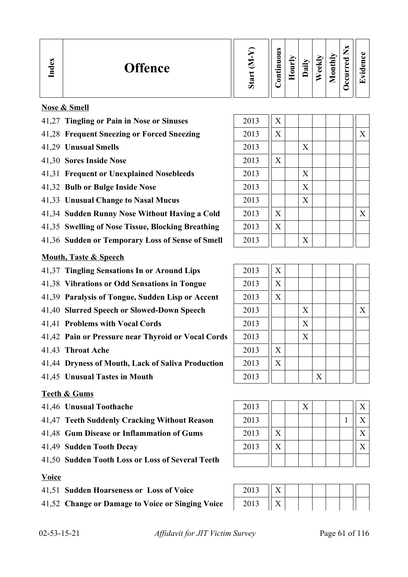| نه<br>្មគ | <b>Offence</b> | ∾<br>Ō | $\omega$<br>っ<br>⊝<br>5<br>르.<br>5 | ∍<br>⊂<br>۰ | ⊶<br>≂ | ⊻<br>نه<br>ه | onthly<br>▱ | ಾ<br>c<br>− | ÷ |
|-----------|----------------|--------|------------------------------------|-------------|--------|--------------|-------------|-------------|---|
|           |                |        |                                    |             |        |              |             |             |   |

### **Nose & Smell**

- 41,27 **Tingling or Pain in Nose or Sinuses**
- 41,28 Frequent Sneezing or Forced Sneezing
- 41,29 **Unusual Smells**
- 41,30 Sores Inside Nose
- 41,31 **Frequent or Unexplained Nosebleeds**
- 41,32 **Bulb or Bulge Inside Nose**
- 41,33 **Unusual Change to Nasal Mucus**
- 41,34 **Sudden Runny Nose Without Having a Cold**
- 41,35 **Swelling of Nose Tissue, Blocking Breathing**
- 41,36 Sudden or Temporary Loss of Sense of Smell

#### **Mouth, Taste & Speech**

- 41,37 Tingling Sensations In or Around Lips
- 41,38 **Vibrations or Odd Sensations in Tongue**
- 41,39 **Paralysis of Tongue, Sudden Lisp or Accent**
- 41,40 **Slurred Speech or Slowed-Down Speech**
- 41,41 **Problems with Vocal Cords**
- 41,42 **Pain or Pressure near Thyroid or Vocal Cords**
- 41.43 **Throat Ache**
- 41,44 **Dryness of Mouth, Lack of Saliva Production**
- 41,45 **Unusual Tastes in Mouth**

#### **Teeth & Gums**

- 
- 41,47 **Teeth Suddenly Cracking Without Reason** 2013 1 X
- 41,48 **Gum Disease or Inflammation of Gums** 2013 X X
- 
- 41,50 **Sudden Tooth Loss or Loss of Several Teeth**

#### **Voice**

- 41,51 **Sudden Hoarseness or Loss of Voice**
- 41,52 Change or Damage to Voice or Singing Voice

| 2013 | $\boldsymbol{\mathrm{X}}$ |   |  |   |
|------|---------------------------|---|--|---|
| 2013 | $\boldsymbol{\mathrm{X}}$ |   |  | X |
| 2013 |                           | X |  |   |
| 2013 | X                         |   |  |   |
| 2013 |                           | X |  |   |
| 2013 |                           | X |  |   |
| 2013 |                           | X |  |   |
| 2013 | $\boldsymbol{\mathrm{X}}$ |   |  | X |
| 2013 | X                         |   |  |   |
| 2013 |                           | X |  |   |

| 2013 | X                         |   |   |  |   |
|------|---------------------------|---|---|--|---|
| 2013 | X                         |   |   |  |   |
| 2013 | $\boldsymbol{\mathrm{X}}$ |   |   |  |   |
| 2013 |                           | X |   |  | X |
| 2013 |                           | X |   |  |   |
| 2013 |                           | X |   |  |   |
| 2013 | $\boldsymbol{\mathrm{X}}$ |   |   |  |   |
| 2013 | X                         |   |   |  |   |
| 2013 |                           |   | X |  |   |



| 2012<br>້⇔ ∪ ⊥ ⊃ |  |  |  |  |
|------------------|--|--|--|--|
| 2012<br>∠∪⊥      |  |  |  |  |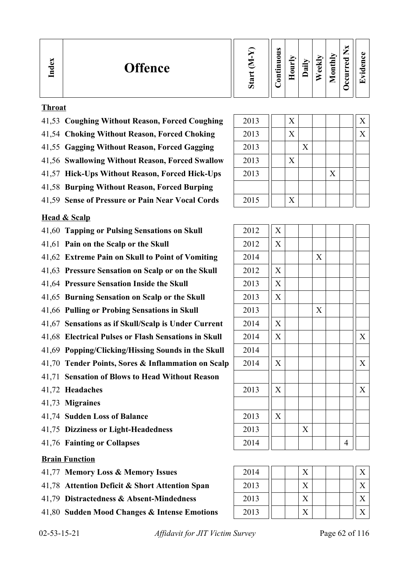| $\mathbf{g}$<br><b>Offence</b><br>Ě | ರಾ | $\omega$<br>0<br>−<br>$\bullet$<br>등 | −<br>_<br>c<br>- | ੶ਫ਼ | ⊽<br>ಕ<br>ه | uthly<br>c<br>⊏ | ∼<br>–<br>ರ<br>ω<br>-<br>c | $\cdot$ $\,$ |
|-------------------------------------|----|--------------------------------------|------------------|-----|-------------|-----------------|----------------------------|--------------|
|-------------------------------------|----|--------------------------------------|------------------|-----|-------------|-----------------|----------------------------|--------------|

#### **Throat**

- 41,53 **Coughing Without Reason, Forced Coughing** 2013 X X
- 41,54 **Choking Without Reason, Forced Choking** 2013 | X | X | | | X
- 41,55 Gagging Without Reason, Forced Gagging 2013 **X**
- 41,56 Swallowing Without Reason, Forced Swallow | 2013 | | | X
- 41,57 **Hick-Ups Without Reason, Forced Hick-Ups** 2013 X
- 41,58 **Burping Without Reason, Forced Burping**
- 41,59 **Sense of Pressure or Pain Near Vocal Cords**

#### **Head & Scalp**

- 41,60 Tapping or Pulsing Sensations on Skull
- 41,61 **Pain on the Scalp or the Skull**
- 41,62 **Extreme Pain on Skull to Point of Vomiting**
- 41,63 Pressure Sensation on Scalp or on the Skull
- 41,64 Pressure Sensation Inside the Skull
- 41,65 **Burning Sensation on Scalp or the Skull**
- 41,66 **Pulling or Probing Sensations in Skull**
- 41,67 Sensations as if Skull/Scalp is Under Current
- 41,68 **Electrical Pulses or Flash Sensations in Skull**
- 41,69 **Popping/Clicking/Hissing Sounds in the Skull**
- 41,70 **Tender Points, Sores & Inflammation on Scalp**
- 41,71 **Sensation of Blows to Head Without Reason**
- 41,72 **Headaches**
- 41,73 **Migraines**
- 41,74 **Sudden Loss of Balance**
- 41,75 **Dizziness or Light-Headedness**
- 41,76 **Fainting or Collapses**

#### **Brain Function**

- 41,77 **Memory Loss & Memory Issues**
- 41,78 Attention Deficit & Short Attention Span
- 41,79 **Distractedness & Absorption**
- 41,80 **Sudden Mood Cha**

| Absent-Mindedness        |
|--------------------------|
| nnges & Intense Emotions |
|                          |

| 2015 |                           | X |   |  |  |
|------|---------------------------|---|---|--|--|
|      |                           |   |   |  |  |
| 2012 | $\overline{X}$            |   |   |  |  |
| 2012 | $\boldsymbol{\mathrm{X}}$ |   |   |  |  |
| 2014 |                           |   | X |  |  |
| 2012 | X                         |   |   |  |  |
| 2013 | $\boldsymbol{\mathrm{X}}$ |   |   |  |  |
| 2013 | $\boldsymbol{\mathrm{X}}$ |   |   |  |  |
| 2013 |                           |   | X |  |  |

| 2012 | $\mathbf X$               |   |   |                |                           |
|------|---------------------------|---|---|----------------|---------------------------|
| 2013 | X                         |   |   |                |                           |
| 2013 | X                         |   |   |                |                           |
| 2013 |                           |   | X |                |                           |
| 2014 | X                         |   |   |                |                           |
| 2014 | $\boldsymbol{\mathrm{X}}$ |   |   |                | $\boldsymbol{\mathrm{X}}$ |
| 2014 |                           |   |   |                |                           |
| 2014 | $\boldsymbol{\mathrm{X}}$ |   |   |                | $\boldsymbol{\mathrm{X}}$ |
|      |                           |   |   |                |                           |
| 2013 | X                         |   |   |                | X                         |
|      |                           |   |   |                |                           |
| 2013 | $\boldsymbol{\mathrm{X}}$ |   |   |                |                           |
| 2013 |                           | X |   |                |                           |
| 2014 |                           |   |   | $\overline{4}$ |                           |
|      |                           |   |   |                |                           |

| 2014 |  |  |  |  |
|------|--|--|--|--|
| 2013 |  |  |  |  |
| 2013 |  |  |  |  |
| 2013 |  |  |  |  |

02-53-15-21 *Affidavit for JIT Victim Survey* Page 62 of 116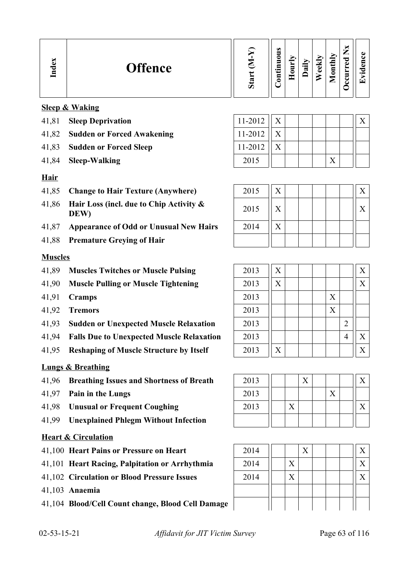| <b>Offence</b><br><b>TC</b> | $\mathbb{Z}$<br>Ō | $\bullet$<br>0<br>5<br>٠B<br>5<br>- - | ⋗<br>₿<br>∊ | $\ddot{a}$ | ₹<br>ತ | onthly<br>▱ | ×<br>–<br>_<br>ರ<br>Ō<br>∼<br>≻<br>Ξ<br>ت<br>ے<br>Ξ | O)<br>O)<br>$\cdot$ $-$<br>$\overline{\phantom{0}}$ |
|-----------------------------|-------------------|---------------------------------------|-------------|------------|--------|-------------|-----------------------------------------------------|-----------------------------------------------------|
|-----------------------------|-------------------|---------------------------------------|-------------|------------|--------|-------------|-----------------------------------------------------|-----------------------------------------------------|

#### **Sleep & Waking**

- 41,81 **Sleep Deprivation**
- 41,82 **Sudden or Forced Awakening**
- 41,83 **Sudden or Forced Sleep**
- 41,84 **Sleep-Walking**

### **Hair**

- 41,85 **Change to Hair Texture (Anywhere)**
- 41,86 **Hair Loss (incl. due to Chip Activity &** 2015  $\begin{bmatrix} \begin{array}{c} \begin{array}{c} \begin{array}{c} \end{array} \\ \end{array} \end{bmatrix} \begin{array}{c} \begin{array}{c} \end{array} \\ \end{array} \end{bmatrix} \begin{array}{c} \end{array} \begin{array}{c} \end{array} \end{array} \begin{bmatrix} \end{array} \begin{array}{c} \end{array} \end{array}$
- 41,87 Appearance of Odd or Unusual New Hairs
- 41,88 **Premature Greying of Hair**

#### **Muscles**

- 41,89 **Muscles Twitches or Muscle Pulsing**
- 41,90 Muscle Pulling or Muscle Tightening
- 
- 
- 41,93 **Sudden or Unexpected Muscle Relaxation**
- 41,94 **Falls Due to Unexpected Muscle Relaxation**
- 41,95 **Reshaping of Muscle Structure by Itself**

#### **Lungs & Breathing**

- 41,96 **Breathing Issues and Shortness of Breath** 2013 X X
- 
- 41,98 **Unusual or Frequent Coughing** 2013 | X | X | | | X
- 41,99 **Unexplained Phlegm Without Infection**

#### **Heart & Circulation**

- 41,100 **Heart Pains or Pressure on Heart**
- 41,101 **Heart Racing, Palpitation or Arrhythmia**
- 41,102 Circulation or Blood Pressure Issues
- 41,103 **Anaemia**
- 41,104 **Blood/Cell Count change, Blood Cell Damage**

| 11-2012 | X |  |  |  |
|---------|---|--|--|--|
| 11-2012 |   |  |  |  |
| 11-2012 |   |  |  |  |
| 2015    |   |  |  |  |

| 2015 | X |  |  | Χ |
|------|---|--|--|---|
| 2015 | X |  |  | Χ |
| 2014 | X |  |  |   |
|      |   |  |  |   |

|       | 41,89 Muscles Twitches or Muscle Pulsing         | 2013 | $\boldsymbol{X}$ |  |   | $X_{\mathcal{I}}$ |
|-------|--------------------------------------------------|------|------------------|--|---|-------------------|
| 41,90 | <b>Muscle Pulling or Muscle Tightening</b>       | 2013 | X                |  |   | $X_{\mathcal{E}}$ |
| 41,91 | <b>Cramps</b>                                    | 2013 |                  |  | X |                   |
| 41.92 | <b>Tremors</b>                                   | 2013 |                  |  | X |                   |
|       | 41,93 Sudden or Unexpected Muscle Relaxation     | 2013 |                  |  |   |                   |
| 41,94 | <b>Falls Due to Unexpected Muscle Relaxation</b> | 2013 |                  |  |   | $\mathbf{X}$      |
| 41,95 | <b>Reshaping of Muscle Structure by Itself</b>   | 2013 | X                |  |   | $X_{\mathcal{C}}$ |



| 2014 |                   | X |  | X |
|------|-------------------|---|--|---|
| 2014 | $\mathbf{X}$      |   |  | X |
| 2014 | $\rm\overline{X}$ |   |  | X |
|      |                   |   |  |   |
|      |                   |   |  |   |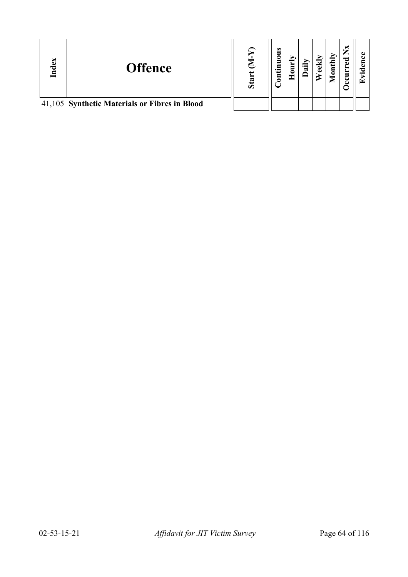| P | <b>Offence</b>                                | Sta | $\omega$<br>uou<br>£<br>$\mathbf{g}$ | ੶ਜ਼ | $_{\text{anti}}$<br>▱ | ×<br>ರ<br>ω<br>Ξ<br>౿<br>౿ | ⊆ |
|---|-----------------------------------------------|-----|--------------------------------------|-----|-----------------------|----------------------------|---|
|   | 41,105 Synthetic Materials or Fibres in Blood |     |                                      |     |                       |                            |   |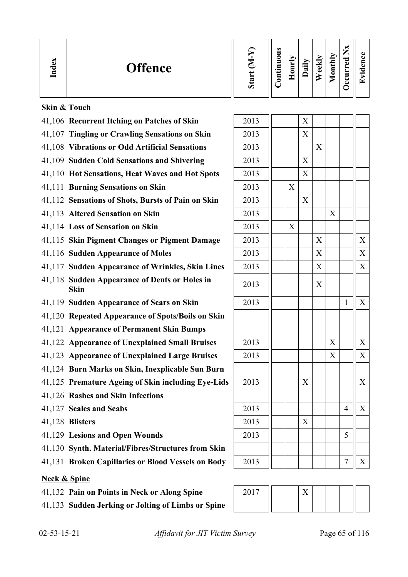| Index                   | <b>Offence</b>                                               | Start (M-Y) | Continuous | Hourly |   | Daily<br>Weekly | Monthly                   | <b>Decurred Nx</b> | Evidence          |
|-------------------------|--------------------------------------------------------------|-------------|------------|--------|---|-----------------|---------------------------|--------------------|-------------------|
|                         | <b>Skin &amp; Touch</b>                                      |             |            |        |   |                 |                           |                    |                   |
|                         | 41,106 Recurrent Itching on Patches of Skin                  | 2013        |            |        | X |                 |                           |                    |                   |
|                         | 41,107 Tingling or Crawling Sensations on Skin               | 2013        |            |        | X |                 |                           |                    |                   |
|                         | 41,108 Vibrations or Odd Artificial Sensations               | 2013        |            |        |   | X               |                           |                    |                   |
|                         | 41,109 Sudden Cold Sensations and Shivering                  | 2013        |            |        | X |                 |                           |                    |                   |
|                         | 41,110 Hot Sensations, Heat Waves and Hot Spots              | 2013        |            |        | X |                 |                           |                    |                   |
|                         | 41,111 Burning Sensations on Skin                            | 2013        |            | X      |   |                 |                           |                    |                   |
|                         | 41,112 Sensations of Shots, Bursts of Pain on Skin           | 2013        |            |        | X |                 |                           |                    |                   |
|                         | 41,113 Altered Sensation on Skin                             | 2013        |            |        |   |                 | X                         |                    |                   |
|                         | 41,114 Loss of Sensation on Skin                             | 2013        |            | X      |   |                 |                           |                    |                   |
|                         | 41,115 Skin Pigment Changes or Pigment Damage                | 2013        |            |        |   | X               |                           |                    | X                 |
|                         | 41,116 Sudden Appearance of Moles                            | 2013        |            |        |   | X               |                           |                    | X                 |
|                         | 41,117 Sudden Appearance of Wrinkles, Skin Lines             | 2013        |            |        |   | X               |                           |                    | X                 |
|                         | 41,118 Sudden Appearance of Dents or Holes in<br><b>Skin</b> | 2013        |            |        |   | X               |                           |                    |                   |
|                         | 41,119 Sudden Appearance of Scars on Skin                    | 2013        |            |        |   |                 |                           | 1                  | X                 |
|                         | 41,120 Repeated Appearance of Spots/Boils on Skin            |             |            |        |   |                 |                           |                    |                   |
|                         | 41,121 Appearance of Permanent Skin Bumps                    |             |            |        |   |                 |                           |                    |                   |
|                         | 41,122 Appearance of Unexplained Small Bruises               | 2013        |            |        |   |                 | $\boldsymbol{\mathrm{X}}$ |                    | X                 |
|                         | 41,123 Appearance of Unexplained Large Bruises               | 2013        |            |        |   |                 | X                         |                    | $X_{\mathcal{C}}$ |
|                         | 41,124 Burn Marks on Skin, Inexplicable Sun Burn             |             |            |        |   |                 |                           |                    |                   |
|                         | 41,125 Premature Ageing of Skin including Eye-Lids           | 2013        |            |        | X |                 |                           |                    | X                 |
|                         | 41,126 Rashes and Skin Infections                            |             |            |        |   |                 |                           |                    |                   |
|                         | 41,127 Scales and Scabs                                      | 2013        |            |        |   |                 |                           | $\overline{4}$     | X                 |
|                         | 41,128 Blisters                                              | 2013        |            |        | X |                 |                           |                    |                   |
|                         | 41,129 Lesions and Open Wounds                               | 2013        |            |        |   |                 |                           | 5                  |                   |
|                         | 41,130 Synth. Material/Fibres/Structures from Skin           |             |            |        |   |                 |                           |                    |                   |
|                         | 41,131 Broken Capillaries or Blood Vessels on Body           | 2013        |            |        |   |                 |                           | 7                  | $X_{\mathcal{I}}$ |
| <b>Neck &amp; Spine</b> |                                                              |             |            |        |   |                 |                           |                    |                   |
|                         | 41,132 Pain on Points in Neck or Along Spine                 | 2017        |            |        | X |                 |                           |                    |                   |

| 41,132 Pain on Points in Neck or Along Spine       | 2017 |  | $\mathbf{v}$ |  |  |
|----------------------------------------------------|------|--|--------------|--|--|
| 41,133 Sudden Jerking or Jolting of Limbs or Spine |      |  |              |  |  |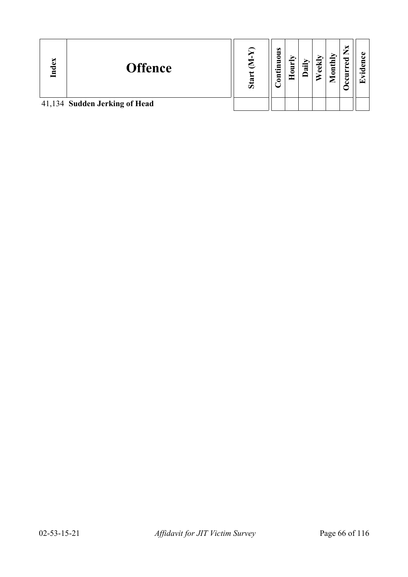| ex<br>ెం | <b>Offence</b>                | S <sub>2</sub> | $\bullet$<br>ខ<br>Š<br>tin<br>ទី | ⊂<br>≖ | ٠<br>ದ | thly<br>$\bar{\mathsf{e}}$<br>▱ | ×<br>ಕ<br>È<br>౿ | ↽<br>$\cdot$ .<br>ΓŦ |
|----------|-------------------------------|----------------|----------------------------------|--------|--------|---------------------------------|------------------|----------------------|
|          | 41,134 Sudden Jerking of Head |                |                                  |        |        |                                 |                  |                      |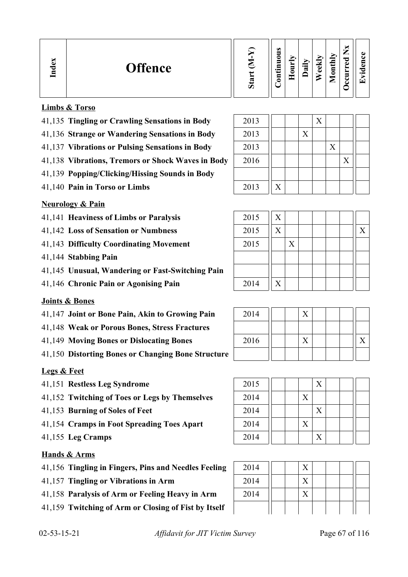| <b>Offence</b> | œ<br>$\omega$ | $\omega$<br>∊<br>5<br>$\bullet$ $\blacksquare$<br><b>__</b> | ∍ | ≔<br>≂ | ◡<br>c<br>ته | $\overline{\text{th}}$<br>ਰੁ<br>0<br>உ | _<br>ెం<br>d. | $\cdot$ $-$ |
|----------------|---------------|-------------------------------------------------------------|---|--------|--------------|----------------------------------------|---------------|-------------|
|----------------|---------------|-------------------------------------------------------------|---|--------|--------------|----------------------------------------|---------------|-------------|

### **Limbs & Torso**

- 41,135 **Tingling or Crawling Sensations in Body** 2013 X
- 41,136 Strange or Wandering Sensations in Body
- 41,137 **Vibrations or Pulsing Sensations in Body**
- 41,138 Vibrations, Tremors or Shock Waves in Body
- 41,139 **Popping/Clicking/Hissing Sounds in Body**
- 41,140 **Pain in Torso or Limbs**

#### **Neurology & Pain**

- 41,141 **Heaviness of Limbs or Paralysis**
- 41,142 Loss of Sensation or Numbness
- 41,143 Difficulty Coordinating Movement
- 41,144 **Stabbing Pain**
- 41,145 **Unusual, Wandering or Fast-Switching Pain**
- 41,146 Chronic Pain or Agonising Pain

#### **Joints & Bones**

- 41,147 **Joint or Bone Pain, Akin to Growing Pain**
- 41,148 **Weak or Porous Bones, Stress Fractures**
- 41,149 Moving Bones or Dislocating Bones
- 41,150 **Distorting Bones or Changing Bone Structure**

#### **Legs & Feet**

- 41,151 **Restless Leg Syndrome**
- 41,152 Twitching of Toes or Legs by Themselves
- 41,153 **Burning of Soles of Feet**
- 41,154 Cramps in Foot Spreading Toes Apart
- 41,155 Leg Cramps

#### **Hands & Arms**

- 41,156 **Tingling in Fingers, Pins and Needles Feeling**
- 41,157 **Tingling or Vibrations in Arm**
- 41,158 Paralysis of Arm or Feeling Heavy in Arm
- 41,159 **Twitching of Arm or Closing of Fist by Itself**

| 2013 |   |   |   |   |  |
|------|---|---|---|---|--|
| 2013 |   | X |   |   |  |
| 2013 |   |   | X |   |  |
| 2016 |   |   |   | X |  |
|      |   |   |   |   |  |
| 2013 | X |   |   |   |  |

ח ר

⊤

| 2015 | X            |   |  |  |   |
|------|--------------|---|--|--|---|
| 2015 | X            |   |  |  | X |
| 2015 |              | X |  |  |   |
|      |              |   |  |  |   |
|      |              |   |  |  |   |
| 2014 | $\mathbf{X}$ |   |  |  |   |

| 2014 |  |  |  |  |
|------|--|--|--|--|
|      |  |  |  |  |
| 2016 |  |  |  |  |
|      |  |  |  |  |

| 2015 |  |   | X                 |  |  |
|------|--|---|-------------------|--|--|
| 2014 |  | X |                   |  |  |
| 2014 |  |   | $\overline{X}$    |  |  |
| 2014 |  | X |                   |  |  |
| 2014 |  |   | $\rm\overline{X}$ |  |  |

| 2014 |  |  |  |  |
|------|--|--|--|--|
| 2014 |  |  |  |  |
| 2014 |  |  |  |  |
|      |  |  |  |  |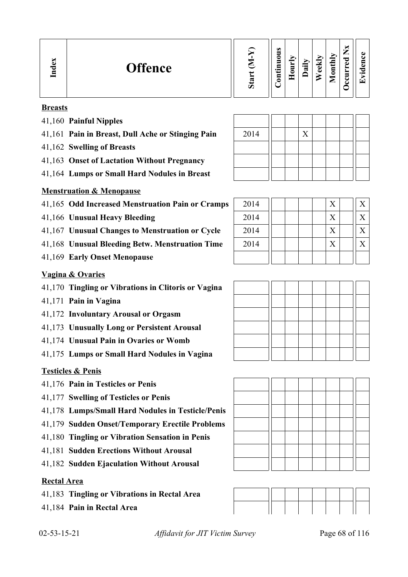| $\mathbf{e}$<br><b>Offence</b><br>ਰ<br>드 | w<br>Ò. | $\omega$<br>∍<br>0<br>5<br>르.<br>┙<br>5<br>- | ↘<br>∽<br>−<br>$\sim$<br>Ξ<br>c<br>-<br>۰ | ∽<br>$\cdot$ $-$<br>ದ | м<br>$\bullet$<br>$\bullet$ | onthly<br>╺<br>▱ | ×<br>—<br>痴<br>ರ<br>ω<br>►<br>➤<br>▬<br>◡<br>് | GD.<br>ω<br>∼<br>$\bullet$ $\blacksquare$<br>ίT |
|------------------------------------------|---------|----------------------------------------------|-------------------------------------------|-----------------------|-----------------------------|------------------|------------------------------------------------|-------------------------------------------------|
|------------------------------------------|---------|----------------------------------------------|-------------------------------------------|-----------------------|-----------------------------|------------------|------------------------------------------------|-------------------------------------------------|

#### **Breasts**

- 41,160 **Painful Nipples**
- 41,161 Pain in Breast, Dull Ache or Stinging Pain
- 41,162 **Swelling of Breasts**
- 41,163 **Onset of Lactation Without Pregnancy**
- 41,164 **Lumps or Small Hard Nodules in Breast**

### **Menstruation & Menopause**

- 41,165 Odd Increased Menstruation Pain or Cramps
- 41,166 **Unusual Heavy Bleeding**
- 41,167 **Unusual Changes to Menstruation or Cycle**
- 41,168 **Unusual Bleeding Betw. Menstruation Time**
- 41,169 **Early Onset Menopause**

#### **Vagina & Ovaries**

- 41,170 **Tingling or Vibrations in Clitoris or Vagina**
- 41,171 **Pain in Vagina**
- 41,172 **Involuntary Arousal or Orgasm**
- 41,173 **Unusually Long or Persistent Arousal**
- 41,174 **Unusual Pain in Ovaries or Womb**
- 41,175 **Lumps or Small Hard Nodules in Vagina**

#### **Testicles & Penis**

- 41,176 **Pain in Testicles or Penis**
- 41,177 **Swelling of Testicles or Penis**
- 41,178 **Lumps/Small Hard Nodules in Testicle/Penis**
- 41,179 **Sudden Onset/Temporary Erectile Problems**
- 41,180 **Tingling or Vibration Sensation in Penis**
- 41,181 **Sudden Erections Without Arousal**
- 41,182 **Sudden Ejaculation Without Arousal**

#### **Rectal Area**

- 41,183 **Tingling or Vibrations in Rectal Area**
- 41,184 **Pain in Rectal Area**

| 2014 |  | $\rm\overline{X}$ |  |  |  |
|------|--|-------------------|--|--|--|
|      |  |                   |  |  |  |
|      |  |                   |  |  |  |
|      |  |                   |  |  |  |

| 2014 |  |  | X | X |
|------|--|--|---|---|
| 2014 |  |  | X | X |
| 2014 |  |  | X | Х |
| 2014 |  |  | X |   |
|      |  |  |   |   |







02-53-15-21 *Affidavit for JIT Victim Survey* Page 68 of 116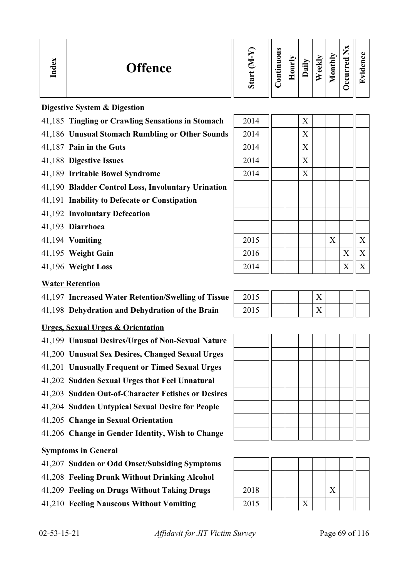| <b>Offence</b><br>∼<br>⊏ | $\omega$<br>_<br>onthly<br>Σ<br>0<br>ਰ<br>−<br>еk<br>ω<br>੶ਫ਼<br>E<br>$\cdot$ $\,$<br>تە<br>$\cdot$ $-$<br>-<br>Ξ<br>╾<br>ರಾ<br>$\overline{\phantom{0}}$<br>►<br>c<br>Ø |
|--------------------------|-------------------------------------------------------------------------------------------------------------------------------------------------------------------------|
|--------------------------|-------------------------------------------------------------------------------------------------------------------------------------------------------------------------|

|  | <b>Digestive System &amp; Digestion</b> |
|--|-----------------------------------------|
|  |                                         |

- 41,185 **Tingling or Crawling Sensations in Stomach** 2014 | X
- 41,186 **Unusual Stomach Rumbling or Other Sounds** 2014 | X
- 41,187 **Pain in the Guts** 2014 | X
- 41,188 **Digestive Issues** 2014 | X
- 41,189 **Irritable Bowel Syndrome** 2014 | X
- 41,190 **Bladder Control Loss, Involuntary Urination**
- 41,191 **Inability to Defecate or Constipation**
- 41,192 **Involuntary Defecation**
- 41,193 **Diarrhoea**
- 41,194 **Vomiting**
- 41,195 **Weight Gain**
- 41,196 Weight Loss

### **Water Retention**

- 41,197 **Increased Water Retention/Swelling of Tissue**
- 41,198 **Dehydration and Dehydration of the Brain**

# **Urges, Sexual Urges & Orientation**

- 41,199 **Unusual Desires/Urges of Non-Sexual Nature**
- 41,200 **Unusual Sex Desires, Changed Sexual Urges**
- 41,201 **Unusually Frequent or Timed Sexual Urges**
- 41,202 **Sudden Sexual Urges that Feel Unnatural**
- 41,203 **Sudden Out-of-Character Fetishes or Desires**
- 41,204 **Sudden Untypical Sexual Desire for People**
- 41,205 **Change in Sexual Orientation**
- 41,206 **Change in Gender Identity, Wish to Change**

#### **Symptoms in General**

- 41,207 **Sudden or Odd Onset/Subsiding Symptoms**
- 41,208 **Feeling Drunk Without Drinking Alcohol**
- 41,209 Feeling on Drugs Without Taking Drugs
- 41,210 **Feeling Nauseous Without Vomiting**

| 2015 |  |             | $\mathbf X$ |                           | $\mathbf X$ |
|------|--|-------------|-------------|---------------------------|-------------|
| 2016 |  |             |             | $\boldsymbol{\mathrm{X}}$ | $\mathbf X$ |
| 2014 |  |             |             | $\boldsymbol{\mathrm{X}}$ | $\mathbf X$ |
|      |  |             |             |                           |             |
| 2015 |  | $\mathbf X$ |             |                           |             |
| 2015 |  | $\mathbf X$ |             |                           |             |
|      |  |             |             |                           |             |
|      |  |             |             |                           |             |
|      |  |             |             |                           |             |
|      |  |             |             |                           |             |



| 2018 |  |  |  |  |
|------|--|--|--|--|
| 2015 |  |  |  |  |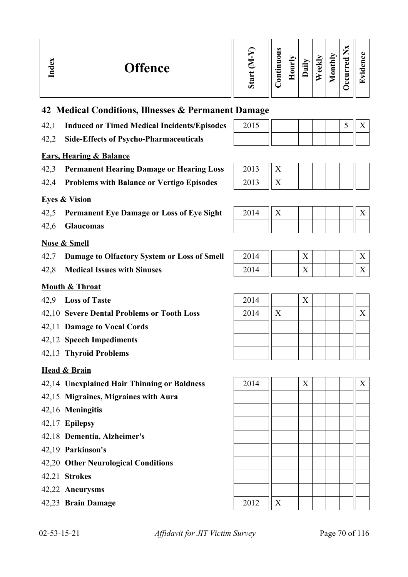| $\bullet$<br>-<br>onthly<br>_<br>0<br>ಾ<br><b>EX</b><br>s<br>⊽<br>Ō<br><b>Offence</b><br>ह्म<br>.트<br>ತ<br>$\overline{\mathbf{I}}$<br>s<br>D<br>∸<br>∊<br>Ξ<br>$\mathbf s$<br>ᄄ<br>−<br>ت<br>∾<br>►<br>ت<br>σ |
|---------------------------------------------------------------------------------------------------------------------------------------------------------------------------------------------------------------|
|---------------------------------------------------------------------------------------------------------------------------------------------------------------------------------------------------------------|

# **42 Medical Conditions, Illnesses & Permanent Damage**

- 42,1 **Induced or Timed Medical Incidents/Episodes** 2015 | | | | | 5 || X
- 42,2 **Side-Effects of Psycho-Pharmaceuticals**

### **Ears, Hearing & Balance**

- 42,3 Permanent Hearing Damage or Hearing Loss
- 42,4 **Problems with Balance or Vertigo Episodes** 2013 |

### **Eyes & Vision**

- 42,5 **Permanent Eye Damage or Loss of Eye Sight**
- 42,6 **Glaucomas**

#### **Nose & Smell**

- 42,7 **Damage to Olfactory System or Loss of Smell**
- 42.8 **Medical Issues with Sinuses**

## **Mouth & Throat**

- 42.9 **Loss of Taste**
- 42,10 Severe Dental Problems or Tooth Loss
- 42,11 **Damage to Vocal Cords**
- 42,12 **Speech Impediments**
- 42,13 **Thyroid Problems**

# **Head & Brain**

- 42,14 **Unexplained Hair Thinning or Baldness** 2014 X X
- 42,15 **Migraines, Migraines with Aura**
- 42,16 **Meningitis**
- 42,17 **Epilepsy**
- 42,18 **Dementia, Alzheimer's**
- 42,19 **Parkinson's**
- 42,20 **Other Neurological Conditions**
- 42,21 **Strokes**
- 42,22 **Aneurysms**
- 42,23 **Brain Damage** 2012 X

| 2-53-15-21 |  |
|------------|--|
|            |  |

02-53-15-21 *Affidavit for JIT Victim Survey* Page 70 of 116

| 2013 |  |  |  |  |
|------|--|--|--|--|
| 2012 |  |  |  |  |

| 2014 | . . |  |  |  |
|------|-----|--|--|--|
|      |     |  |  |  |

| 2014        |  | z v |  |  |
|-------------|--|-----|--|--|
| 201<br>2014 |  | ∡⊾  |  |  |

| 2014 |                           | X |  |   |
|------|---------------------------|---|--|---|
| 2014 | $\boldsymbol{\mathrm{X}}$ |   |  | X |
|      |                           |   |  |   |
|      |                           |   |  |   |
|      |                           |   |  |   |

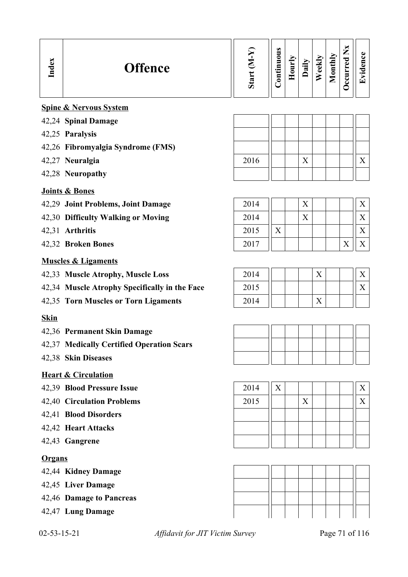| Index         | <b>Offence</b>                                | Start $(M-Y)$ | Continuous | Hourly | Daily | Weekly | Monthly | Occurred Nx | Evidence          |
|---------------|-----------------------------------------------|---------------|------------|--------|-------|--------|---------|-------------|-------------------|
|               | <b>Spine &amp; Nervous System</b>             |               |            |        |       |        |         |             |                   |
|               | 42,24 Spinal Damage                           |               |            |        |       |        |         |             |                   |
|               | 42,25 Paralysis                               |               |            |        |       |        |         |             |                   |
|               | 42,26 Fibromyalgia Syndrome (FMS)             |               |            |        |       |        |         |             |                   |
|               | 42,27 Neuralgia                               | 2016          |            |        | X     |        |         |             | X                 |
|               | 42,28 Neuropathy                              |               |            |        |       |        |         |             |                   |
|               | <b>Joints &amp; Bones</b>                     |               |            |        |       |        |         |             |                   |
|               | 42,29 Joint Problems, Joint Damage            | 2014          |            |        | X     |        |         |             | X                 |
|               | 42,30 Difficulty Walking or Moving            | 2014          |            |        | X     |        |         |             | X                 |
|               | 42,31 Arthritis                               | 2015          | X          |        |       |        |         |             | X                 |
|               | 42,32 Broken Bones                            | 2017          |            |        |       |        |         | X           | $X_{\mathcal{I}}$ |
|               | <b>Muscles &amp; Ligaments</b>                |               |            |        |       |        |         |             |                   |
|               | 42,33 Muscle Atrophy, Muscle Loss             | 2014          |            |        |       | X      |         |             | X                 |
|               | 42,34 Muscle Atrophy Specifically in the Face | 2015          |            |        |       |        |         |             | X                 |
|               | 42,35 Torn Muscles or Torn Ligaments          | 2014          |            |        |       | X      |         |             |                   |
| <b>Skin</b>   |                                               |               |            |        |       |        |         |             |                   |
|               | 42,36 Permanent Skin Damage                   |               |            |        |       |        |         |             |                   |
|               | 42,37 Medically Certified Operation Scars     |               |            |        |       |        |         |             |                   |
|               | 42,38 Skin Diseases                           |               |            |        |       |        |         |             |                   |
|               | <b>Heart &amp; Circulation</b>                |               |            |        |       |        |         |             |                   |
|               | 42,39 Blood Pressure Issue                    | 2014          | X          |        |       |        |         |             | $X_{\mathcal{C}}$ |
|               | 42,40 Circulation Problems                    | 2015          |            |        | X     |        |         |             | X                 |
|               | 42,41 Blood Disorders                         |               |            |        |       |        |         |             |                   |
|               | 42,42 Heart Attacks                           |               |            |        |       |        |         |             |                   |
|               | 42,43 Gangrene                                |               |            |        |       |        |         |             |                   |
| <b>Organs</b> |                                               |               |            |        |       |        |         |             |                   |
|               | 42,44 Kidney Damage                           |               |            |        |       |        |         |             |                   |
|               | 42,45 Liver Damage                            |               |            |        |       |        |         |             |                   |
|               | 42,46 Damage to Pancreas                      |               |            |        |       |        |         |             |                   |
|               | 42,47 Lung Damage                             |               |            |        |       |        |         |             |                   |

02-53-15-21 *Affidavit for JIT Victim Survey* Page 71 of 116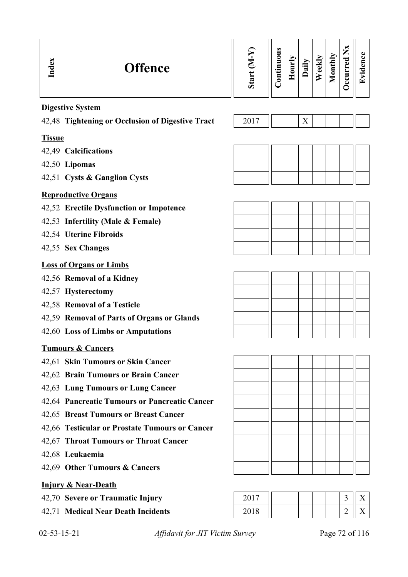| Index               | <b>Offence</b>                                   | Start (M-Y) | Continuous | Hourly | Daily | Weekly | Monthly | <b>Decurred Nx</b> | Evidence          |
|---------------------|--------------------------------------------------|-------------|------------|--------|-------|--------|---------|--------------------|-------------------|
|                     | <b>Digestive System</b>                          |             |            |        |       |        |         |                    |                   |
|                     | 42,48 Tightening or Occlusion of Digestive Tract | 2017        |            |        | X     |        |         |                    |                   |
| <b>Tissue</b>       |                                                  |             |            |        |       |        |         |                    |                   |
|                     | 42,49 Calcifications                             |             |            |        |       |        |         |                    |                   |
|                     | 42,50 Lipomas                                    |             |            |        |       |        |         |                    |                   |
|                     | 42,51 Cysts & Ganglion Cysts                     |             |            |        |       |        |         |                    |                   |
|                     | <b>Reproductive Organs</b>                       |             |            |        |       |        |         |                    |                   |
|                     | 42,52 Erectile Dysfunction or Impotence          |             |            |        |       |        |         |                    |                   |
|                     | 42,53 Infertility (Male & Female)                |             |            |        |       |        |         |                    |                   |
|                     | 42,54 Uterine Fibroids                           |             |            |        |       |        |         |                    |                   |
|                     | 42,55 Sex Changes                                |             |            |        |       |        |         |                    |                   |
|                     | <b>Loss of Organs or Limbs</b>                   |             |            |        |       |        |         |                    |                   |
|                     | 42,56 Removal of a Kidney                        |             |            |        |       |        |         |                    |                   |
|                     | 42,57 Hysterectomy                               |             |            |        |       |        |         |                    |                   |
|                     | 42,58 Removal of a Testicle                      |             |            |        |       |        |         |                    |                   |
|                     | 42,59 Removal of Parts of Organs or Glands       |             |            |        |       |        |         |                    |                   |
|                     | 42,60 Loss of Limbs or Amputations               |             |            |        |       |        |         |                    |                   |
|                     | <b>Tumours &amp; Cancers</b>                     |             |            |        |       |        |         |                    |                   |
|                     | 42,61 Skin Tumours or Skin Cancer                |             |            |        |       |        |         |                    |                   |
|                     | 42,62 Brain Tumours or Brain Cancer              |             |            |        |       |        |         |                    |                   |
|                     | 42,63 Lung Tumours or Lung Cancer                |             |            |        |       |        |         |                    |                   |
|                     | 42,64 Pancreatic Tumours or Pancreatic Cancer    |             |            |        |       |        |         |                    |                   |
|                     | 42,65 Breast Tumours or Breast Cancer            |             |            |        |       |        |         |                    |                   |
|                     | 42,66 Testicular or Prostate Tumours or Cancer   |             |            |        |       |        |         |                    |                   |
|                     | 42,67 Throat Tumours or Throat Cancer            |             |            |        |       |        |         |                    |                   |
|                     | 42,68 Leukaemia                                  |             |            |        |       |        |         |                    |                   |
|                     | 42,69 Other Tumours & Cancers                    |             |            |        |       |        |         |                    |                   |
|                     | <b>Injury &amp; Near-Death</b>                   |             |            |        |       |        |         |                    |                   |
|                     | 42,70 Severe or Traumatic Injury                 | 2017        |            |        |       |        |         | 3                  | $X_{\mathcal{I}}$ |
|                     | 42,71 Medical Near Death Incidents               | 2018        |            |        |       |        |         | $\overline{2}$     | $X_{\mathcal{E}}$ |
| $02 - 53 - 15 - 21$ | Affidavit for JIT Victim Survey                  |             |            |        |       |        |         |                    | Page 72 of 116    |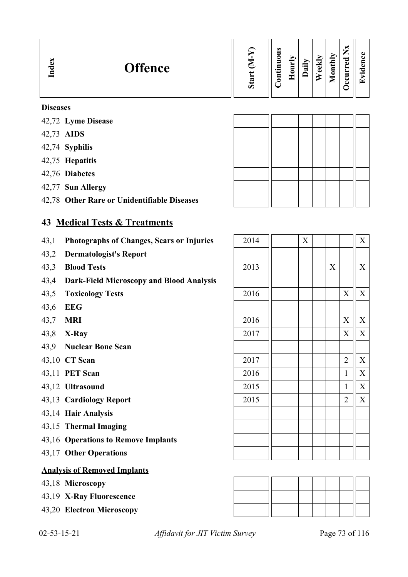| <b>Offence</b> | ರಾ<br>من | $\omega$<br>Ξ<br>◓<br>5<br>Ξ<br>$\cdot$ $-$<br>3 | ↘<br>_<br>5<br>= | ∽<br>$\cdot$ $-$<br>ದ | ₩<br>نه<br>Ō | onthly<br>உ | _<br>ರ<br>نه<br>≻<br>∼<br>▀ | . .<br>$\overline{\phantom{a}}$ |
|----------------|----------|--------------------------------------------------|------------------|-----------------------|--------------|-------------|-----------------------------|---------------------------------|
|----------------|----------|--------------------------------------------------|------------------|-----------------------|--------------|-------------|-----------------------------|---------------------------------|

#### **Diseases**

- 42,72 **Lyme Disease**
- 42,73 **AIDS**
- 42,74 **Syphilis**
- 42,75 **Hepatitis**
- 42,76 **Diabetes**
- 42,77 **Sun Allergy**
- 42,78 **Other Rare or Unidentifiable Diseases**

### **43 Medical Tests & Treatments**

- 43,1 Photographs of Changes, Scars or Injuries
- 43,2 **Dermatologist's Report**
- 43,3 **Blood Tests**
- 43,4 **Dark-Field Microscopy and Blood Analysis**
- 43,5 **Toxicology Tests**
- 43,6 **EEG**
- 43,7 **MRI**
- 43,8 **X-Ray**
- 43,9 **Nuclear Bone Scan**
- 43,10 CT Scan
- 43,11 **PET Scan**
- 43,12 **Ultrasound**
- 43,13 **Cardiology Report**
- 43,14 **Hair Analysis**
- 43,15 **Thermal Imaging**
- 43,16 **Operations to Remove Implants**
- 43,17 **Other Operations**

#### **Analysis of Removed Implants**

- 43,18 **Microscopy**
- 43,19 **X-Ray Fluorescence**
- 43,20 **Electron Microscopy**

| 2014 |  | X |             |                | $\overline{X}$            |
|------|--|---|-------------|----------------|---------------------------|
|      |  |   |             |                |                           |
| 2013 |  |   | $\mathbf X$ |                | $\boldsymbol{\mathrm{X}}$ |
|      |  |   |             |                |                           |
| 2016 |  |   |             | X              | $\overline{X}$            |
|      |  |   |             |                |                           |
| 2016 |  |   |             | X              | $\mathbf X$               |
| 2017 |  |   |             | X              | $\overline{X}$            |
|      |  |   |             |                |                           |
| 2017 |  |   |             | $\overline{2}$ | $\boldsymbol{\mathrm{X}}$ |
| 2016 |  |   |             | $\mathbf{1}$   | $\overline{X}$            |
| 2015 |  |   |             | $\mathbf{1}$   | $\mathbf X$               |
| 2015 |  |   |             | $\overline{2}$ | $\overline{X}$            |
|      |  |   |             |                |                           |
|      |  |   |             |                |                           |
|      |  |   |             |                |                           |
|      |  |   |             |                |                           |



02-53-15-21 *Affidavit for JIT Victim Survey* Page 73 of 116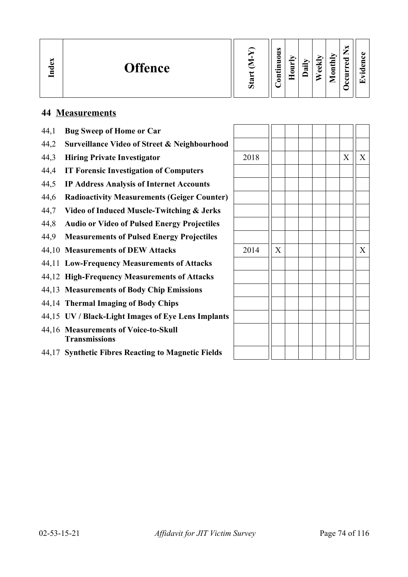| ධ<br><b>Offence</b><br>ರ<br>드 | œ<br>ο | $\omega$<br>∍<br>c<br>Ξ<br>宝<br>۔۔<br>⊟<br>c | −<br><b>__</b> | -<br>$\cdot$ $\,$<br>æ | $\overline{\phantom{a}}$<br>ω<br>ω | $\mathbf{I}$<br>$\frac{1}{2}$<br>▱ | ы<br>–<br>╺<br>P<br>ω<br>∼<br>ັ | л.<br>$\bullet$<br>÷ |
|-------------------------------|--------|----------------------------------------------|----------------|------------------------|------------------------------------|------------------------------------|---------------------------------|----------------------|
|-------------------------------|--------|----------------------------------------------|----------------|------------------------|------------------------------------|------------------------------------|---------------------------------|----------------------|

# **44 Measurements**

| 44,1  | <b>Bug Sweep of Home or Car</b>                              |      |   |   |   |
|-------|--------------------------------------------------------------|------|---|---|---|
| 44,2  | <b>Surveillance Video of Street &amp; Neighbourhood</b>      |      |   |   |   |
| 44,3  | <b>Hiring Private Investigator</b>                           | 2018 |   | X | X |
| 44,4  | <b>IT Forensic Investigation of Computers</b>                |      |   |   |   |
| 44,5  | <b>IP Address Analysis of Internet Accounts</b>              |      |   |   |   |
| 44,6  | <b>Radioactivity Measurements (Geiger Counter)</b>           |      |   |   |   |
| 44,7  | Video of Induced Muscle-Twitching & Jerks                    |      |   |   |   |
| 44,8  | <b>Audio or Video of Pulsed Energy Projectiles</b>           |      |   |   |   |
| 44,9  | <b>Measurements of Pulsed Energy Projectiles</b>             |      |   |   |   |
|       | 44,10 Measurements of DEW Attacks                            | 2014 | X |   | X |
|       | 44,11 Low-Frequency Measurements of Attacks                  |      |   |   |   |
|       | 44,12 High-Frequency Measurements of Attacks                 |      |   |   |   |
|       | 44,13 Measurements of Body Chip Emissions                    |      |   |   |   |
|       | 44,14 Thermal Imaging of Body Chips                          |      |   |   |   |
|       | 44,15 UV / Black-Light Images of Eye Lens Implants           |      |   |   |   |
|       | 44,16 Measurements of Voice-to-Skull<br><b>Transmissions</b> |      |   |   |   |
| 44,17 | <b>Synthetic Fibres Reacting to Magnetic Fields</b>          |      |   |   |   |
|       |                                                              |      |   |   |   |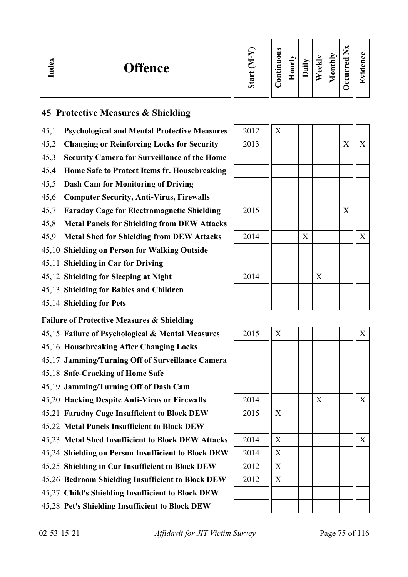| Index<br><b>Offence</b> | Ξ<br>Ď | ω<br>5<br>0<br>5<br>-.≣<br>ៜ | _<br>⊏ | ►,<br>$\bullet$ $\blacksquare$<br>ದ | м<br>ω<br>ω | onthly<br>▱ | ы<br>_<br>ਰ<br>ω<br>►<br>-<br>.,<br>◡ | п.<br>$\bullet$ .<br>í <del>⊤</del> |
|-------------------------|--------|------------------------------|--------|-------------------------------------|-------------|-------------|---------------------------------------|-------------------------------------|
|-------------------------|--------|------------------------------|--------|-------------------------------------|-------------|-------------|---------------------------------------|-------------------------------------|

## **45 Protective Measures & Shielding**

- 45,1 **Psychological and Mental Protective Measures**
- 45,2 Changing or Reinforcing Locks for Security
- 45,3 **Security Camera for Surveillance of the Home**
- 45,4 **Home Safe to Protect Items fr. Housebreaking**
- 45,5 **Dash Cam for Monitoring of Driving**
- 45,6 **Computer Security, Anti-Virus, Firewalls**
- 45,7 **Faraday Cage for Electromagnetic Shielding**
- 45,8 **Metal Panels for Shielding from DEW Attacks**
- 45.9 Metal Shed for Shielding from DEW Attacks
- 45,10 **Shielding on Person for Walking Outside**
- 45,11 **Shielding in Car for Driving**
- 45,12 **Shielding for Sleeping at Night**
- 45,13 **Shielding for Babies and Children**
- 45,14 **Shielding for Pets**

#### **Failure of Protective Measures & Shielding**

- 45,15 **Failure of Psychological & Mental Measures**
- 45,16 **Housebreaking After Changing Locks**
- 45,17 **Jamming/Turning Off of Surveillance Camera**
- 45,18 **Safe-Cracking of Home Safe**
- 45,19 **Jamming/Turning Off of Dash Cam**
- 45,20 Hacking Despite Anti-Virus or Firewalls
- 45,21 **Faraday Cage Insufficient to Block DEW**
- 45,22 **Metal Panels Insufficient to Block DEW**
- 45,23 Metal Shed Insufficient to Block DEW Attacks
- 45,24 Shielding on Person Insufficient to Block DEW
- 45,25 Shielding in Car Insufficient to Block DEW
- 45,26 **Bedroom Shielding Insufficient to Block DEW**
- 45,27 **Child's Shielding Insufficient to Block DEW**
- 45,28 **Pet's Shielding Insufficient to Block DEW**

| 2012 | $\overline{X}$ |             |             |                           |             |
|------|----------------|-------------|-------------|---------------------------|-------------|
| 2013 |                |             |             | $\boldsymbol{\mathrm{X}}$ | $\mathbf X$ |
|      |                |             |             |                           |             |
|      |                |             |             |                           |             |
|      |                |             |             |                           |             |
|      |                |             |             |                           |             |
| 2015 |                |             |             | X                         |             |
|      |                |             |             |                           |             |
| 2014 |                | $\mathbf X$ |             |                           | $\mathbf X$ |
|      |                |             |             |                           |             |
|      |                |             |             |                           |             |
| 2014 |                |             | $\mathbf X$ |                           |             |
|      |                |             |             |                           |             |
|      |                |             |             |                           |             |

| 2015 | $\overline{X}$ |  |             |  | $\overline{X}$ |
|------|----------------|--|-------------|--|----------------|
|      |                |  |             |  |                |
|      |                |  |             |  |                |
|      |                |  |             |  |                |
|      |                |  |             |  |                |
| 2014 |                |  | $\mathbf X$ |  | $\mathbf X$    |
| 2015 | $\overline{X}$ |  |             |  |                |
|      |                |  |             |  |                |
| 2014 | $\overline{X}$ |  |             |  | $\overline{X}$ |
| 2014 | $\overline{X}$ |  |             |  |                |
| 2012 | $\overline{X}$ |  |             |  |                |
| 2012 | $\overline{X}$ |  |             |  |                |
|      |                |  |             |  |                |
|      |                |  |             |  |                |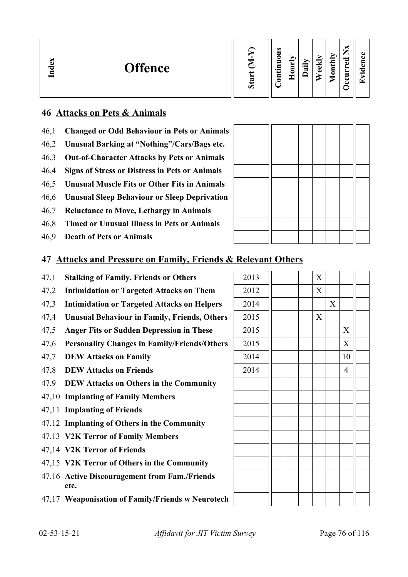| b.<br>∽<br>്ല<br><b>Offence</b><br>$\mathbf{I}_{\mathbf{n}\mathbf{d}}$ | ∼<br>ω<br>5<br>_<br>onthly<br>c<br>ਰ<br>5<br>₩<br>∽<br>ω<br>$\cdot$ $-$<br>.크<br>ω<br>∍<br>≂<br>ω<br>►<br>$\bullet$ .<br>۰<br>5<br>т<br>∾<br>⊆<br>▱<br>◡<br>من |
|------------------------------------------------------------------------|----------------------------------------------------------------------------------------------------------------------------------------------------------------|
|------------------------------------------------------------------------|----------------------------------------------------------------------------------------------------------------------------------------------------------------|

### **46 Attacks on Pets & Animals**

- 46,1 **Changed or Odd Behaviour in Pets or Animals**
- 46,2 **Unusual Barking at "Nothing"/Cars/Bags etc.**
- 46,3 **Out-of-Character Attacks by Pets or Animals**
- 46,4 **Signs of Stress or Distress in Pets or Animals**
- 46,5 **Unusual Muscle Fits or Other Fits in Animals**
- 46,6 **Unusual Sleep Behaviour or Sleep Deprivation**
- 46,7 **Reluctance to Move, Lethargy in Animals**
- 46,8 **Timed or Unusual Illness in Pets or Animals**
- 46,9 **Death of Pets or Animals**

#### **47 Attacks and Pressure on Family, Friends & Relevant Others**

- 47,1 **Stalking of Family, Friends or Others**
- 47,2 **Intimidation or Targeted Attacks on Them**
- 47,3 **Intimidation or Targeted Attacks on Helpers** 2014 X
- 47,4 Unusual Behaviour in Family, Friends, Others
- 47,5 **Anger Fits or Sudden Depression in These**
- 47,6 **Personality Changes in Family/Friends/Others**
- 47,7 **DEW Attacks on Family**
- 47,8 **DEW Attacks on Friends**
- 47,9 **DEW Attacks on Others in the Community**
- 47,10 **Implanting of Family Members**
- 47,11 **Implanting of Friends**
- 47,12 **Implanting of Others in the Community**
- 47,13 **V2K Terror of Family Members**
- 47,14 **V2K Terror of Friends**
- 47,15 **V2K Terror of Others in the Community**
- 47,16 **Active Discouragement from Fam./Friends etc.**
- 47,17 **Weaponisation of Family/Friends w Neurotech**

| 2013 |  | $\bar{X}$                 |             |                |  |
|------|--|---------------------------|-------------|----------------|--|
| 2012 |  | $\overline{X}$            |             |                |  |
| 2014 |  |                           | $\mathbf X$ |                |  |
| 2015 |  | $\boldsymbol{\mathrm{X}}$ |             |                |  |
| 2015 |  |                           |             | $\mathbf X$    |  |
| 2015 |  |                           |             | $\overline{X}$ |  |
| 2014 |  |                           |             | 10             |  |
| 2014 |  |                           |             | $\overline{4}$ |  |
|      |  |                           |             |                |  |
|      |  |                           |             |                |  |
|      |  |                           |             |                |  |
|      |  |                           |             |                |  |
|      |  |                           |             |                |  |
|      |  |                           |             |                |  |
|      |  |                           |             |                |  |
|      |  |                           |             |                |  |
|      |  |                           |             |                |  |
|      |  |                           |             |                |  |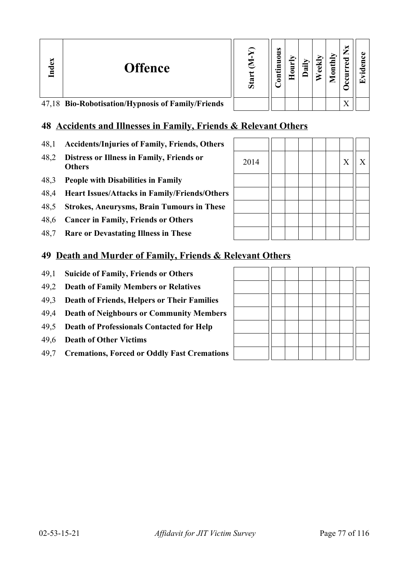| Index | <b>Offence</b>                                    | Sta | s<br>0<br>5<br>•⊟<br>5 | ੰਡ | Ē<br>∠ | ×<br>ω<br>っ               |  |
|-------|---------------------------------------------------|-----|------------------------|----|--------|---------------------------|--|
|       | 47,18 Bio-Robotisation/Hypnosis of Family/Friends |     |                        |    |        | $\mathbf{v}$<br>$\Lambda$ |  |

## **48 Accidents and Illnesses in Family, Friends & Relevant Others**

- 48,1 **Accidents/Injuries of Family, Friends, Others**
- 48,2 **Distress or Illness in Family, Friends or Others** <sup>2014</sup> <sup>X</sup> <sup>X</sup>
- 48,3 **People with Disabilities in Family**
- 48,4 **Heart Issues/Attacks in Family/Friends/Others**
- 48,5 **Strokes, Aneurysms, Brain Tumours in These**
- 48,6 **Cancer in Family, Friends or Others**
- 48,7 **Rare or Devastating Illness in These**

#### **49 Death and Murder of Family, Friends & Re**

- 49,1 **Suicide of Family, Friends or Others**
- 49,2 **Death of Family Members or Relatives**
- 49,3 **Death of Friends, Helpers or Their Families**
- 49,4 **Death of Neighbours or Community Members**
- 49,5 **Death of Professionals Contacted for Help**
- 49,6 **Death of Other Victims**
- 49,7 **Cremations, Forced or Oddly Fast Cremations**

| elevant Others |  |  |  |  |
|----------------|--|--|--|--|
|                |  |  |  |  |
|                |  |  |  |  |
|                |  |  |  |  |
|                |  |  |  |  |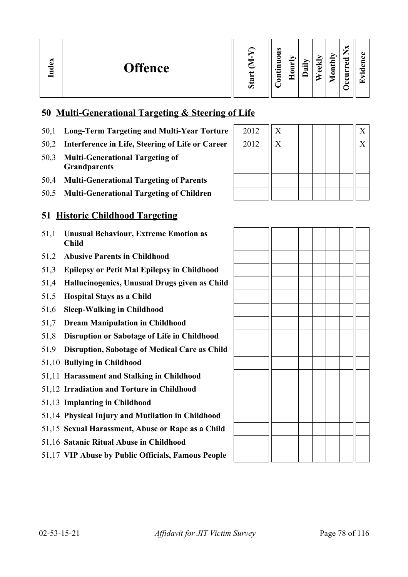| dex<br><b>Offence</b><br>ᆷ | œ<br>O) | $\omega$<br>0<br>॒<br>$\cdot$ $\,$<br>ᄆ<br>0 | s | r.<br>੶ਜ਼ | ≂<br>ಕ<br>Ō | nthly<br>$\bullet$<br>► | —<br>ىستەر<br>ಾ<br>ω<br>-<br>е.<br>ے | $\cdot$ $-$<br>$\overline{\phantom{0}}$ |
|----------------------------|---------|----------------------------------------------|---|-----------|-------------|-------------------------|--------------------------------------|-----------------------------------------|
|----------------------------|---------|----------------------------------------------|---|-----------|-------------|-------------------------|--------------------------------------|-----------------------------------------|

## **50 Multi-Generational Targeting & Steering of Life**

- 50,1 Long-Term Targeting and Multi-Year Torture
- 50,2 Interference in Life, Steering of Life or Career
- 50,3 **Multi-Generational Targeting of Grandparents**
- 50,4 **Multi-Generational Targeting of Parents**
- 50,5 **Multi-Generational Targeting of Children**

#### **51 Historic Childhood Targeting**

- 51,1 **Unusual Behaviour, Extreme Emotion as Child**
- 51,2 **Abusive Parents in Childhood**
- 51,3 **Epilepsy or Petit Mal Epilepsy in Childhood**
- 51,4 **Hallucinogenics, Unusual Drugs given as Child**
- 51,5 **Hospital Stays as a Child**
- 51,6 **Sleep-Walking in Childhood**
- 51,7 **Dream Manipulation in Childhood**
- 51,8 **Disruption or Sabotage of Life in Childhood**
- 51,9 **Disruption, Sabotage of Medical Care as Child**
- 51,10 **Bullying in Childhood**
- 51,11 **Harassment and Stalking in Childhood**
- 51,12 **Irradiation and Torture in Childhood**
- 51,13 **Implanting in Childhood**
- 51,14 **Physical Injury and Mutilation in Childhood**
- 51,15 **Sexual Harassment, Abuse or Rape as a Child**
- 51,16 **Satanic Ritual Abuse in Childhood**
- 51,17 **VIP Abuse by Public Officials, Famous People**

| 2012 | X       |  |  | X |
|------|---------|--|--|---|
| 2012 | $\rm X$ |  |  | Χ |
|      |         |  |  |   |
|      |         |  |  |   |
|      |         |  |  |   |
|      |         |  |  |   |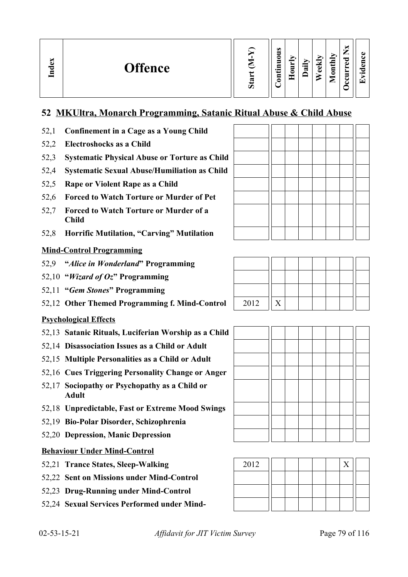| idex<br><b>Offence</b><br>⋴ | w<br>Ď | $\omega$<br>5<br>0<br>5<br>.Ξ<br>٠<br>3 | Ξ<br>c<br>٠ | ∽<br>≔<br>ಷ | 'N.<br>نه<br>O) | Иų<br>F<br>$\bar{\mathsf{e}}$<br>⋍ | ∼<br>⇁<br>痴<br>ಾ<br>ه<br>►<br>5<br>◡<br>ບ | О.<br>đ.<br>τ.<br>$\bullet$<br>. <del>↓</del> |
|-----------------------------|--------|-----------------------------------------|-------------|-------------|-----------------|------------------------------------|-------------------------------------------|-----------------------------------------------|
|-----------------------------|--------|-----------------------------------------|-------------|-------------|-----------------|------------------------------------|-------------------------------------------|-----------------------------------------------|

## **52 MKUltra, Monarch Programming, Satanic Ritual Abuse & Child Abuse**

- 52,1 **Confinement in a Cage as a Young Child**
- 52,2 **Electroshocks as a Child**
- 52,3 **Systematic Physical Abuse or Torture as Child**
- 52,4 **Systematic Sexual Abuse/Humiliation as Child**
- 52,5 **Rape or Violent Rape as a Child**
- 52,6 **Forced to Watch Torture or Murder of Pet**
- 52,7 **Forced to Watch Torture or Murder of a Child**
- 52,8 **Horrific Mutilation, "Carving" Mutilation**

#### **Mind-Control Programming**

- 52,9 **"***Alice in Wonderland***" Programming**
- 52,10 **"***Wizard of Oz***" Programming**
- 52,11 **"***Gem Stones***" Programming**
- 52,12 Other Themed Programming f. Mind-Control | 2012 || X

#### **Psychological Effects**

- 52,13 **Satanic Rituals, Luciferian Worship as a Child**
- 52,14 **Disassociation Issues as a Child or Adult**
- 52,15 **Multiple Personalities as a Child or Adult**
- 52,16 **Cues Triggering Personality Change or Anger**
- 52,17 **Sociopathy or Psychopathy as a Child or Adult**
- 52,18 **Unpredictable, Fast or Extreme Mood Swings**
- 52,19 **Bio-Polar Disorder, Schizophrenia**
- 52,20 **Depression, Manic Depression**

#### **Behaviour Under Mind-Control**

- 52,21 Trance States, Sleep-Walking
- 52,22 **Sent on Missions under Mind-Control**
- 52,23 **Drug-Running under Mind-Control**
- 52,24 **Sexual Services Performed under Mind-**







| 2012 |  |  |  |  |
|------|--|--|--|--|
|      |  |  |  |  |
|      |  |  |  |  |
|      |  |  |  |  |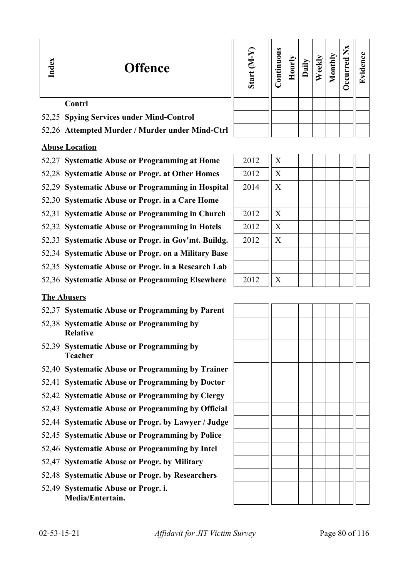| Index | <b>Offence</b>                                  | Σ<br>Star | tinuou<br>5 | ≖ |  | Ē | ž | Œ |
|-------|-------------------------------------------------|-----------|-------------|---|--|---|---|---|
|       | <b>Contrl</b>                                   |           |             |   |  |   |   |   |
|       | 52,25 Spying Services under Mind-Control        |           |             |   |  |   |   |   |
|       | 52,26 Attempted Murder / Murder under Mind-Ctrl |           |             |   |  |   |   |   |

#### **Abuse Location**

- 52,27 Systematic Abuse or Programming at Home  $\parallel$  2012  $\parallel$  X
- 52,28 Systematic Abuse or Progr. at Other Homes | 2012 | X
- 52,29 Systematic Abuse or Programming in Hospital | 2014 | X
- 52,30 **Systematic Abuse or Progr. in a Care Home**
- 52,31 **Systematic Abuse or Programming in Church** 2012 || X
- 52,32 Systematic Abuse or Programming in Hotels 2012 | X
- 52,33 Systematic Abuse or Progr. in Gov'mt. Buildg. | 2012 || X
- 52,34 **Systematic Abuse or Progr. on a Military Base**
- 52,35 **Systematic Abuse or Progr. in a Research Lab**
- 52,36 Systematic Abuse or Programming Elsewhere 2012 || X

#### **The Abusers**

- 52,37 **Systematic Abuse or Programming by Parent**
- 52,38 **Systematic Abuse or Programming by Relative**
- 52,39 **Systematic Abuse or Programming by Teacher**
- 52,40 **Systematic Abuse or Programming by Trainer**
- 52,41 **Systematic Abuse or Programming by Doctor**
- 52,42 **Systematic Abuse or Programming by Clergy**
- 52,43 **Systematic Abuse or Programming by Official**
- 52,44 **Systematic Abuse or Progr. by Lawyer / Judge**
- 52,45 **Systematic Abuse or Programming by Police**
- 52,46 **Systematic Abuse or Programming by Intel**
- 52,47 **Systematic Abuse or Progr. by Military**
- 52,48 **Systematic Abuse or Progr. by Researchers**
- 52,49 **Systematic Abuse or Progr. i. Media/Entertain.**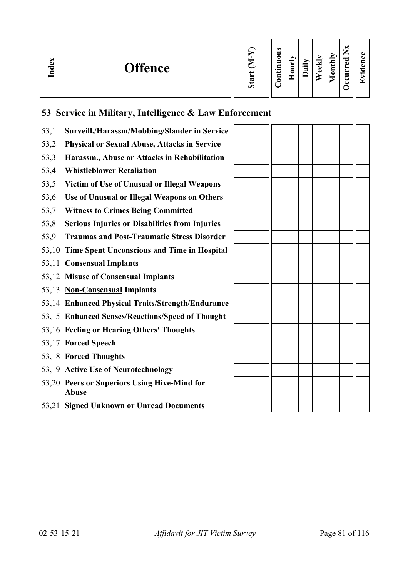| Index<br><b>Offence</b> | œ<br>Ō | $\omega$<br>0<br>-<br>$\bullet$<br>0 |  | ੶ਜ਼ | ≂<br>نه<br>م | Иц<br>$\overline{\phantom{0}}$<br>Ξ<br>◓<br>உ | _<br>ಾ<br>c<br>_ | $\overline{\phantom{0}}$<br>$\overline{\phantom{0}}$ |
|-------------------------|--------|--------------------------------------|--|-----|--------------|-----------------------------------------------|------------------|------------------------------------------------------|
|-------------------------|--------|--------------------------------------|--|-----|--------------|-----------------------------------------------|------------------|------------------------------------------------------|

## **53 Service in Military, Intelligence & Law Enforcement**

| 53,1 | Surveill./Harassm/Mobbing/Slander in Service                 |  |  |  |  |
|------|--------------------------------------------------------------|--|--|--|--|
| 53,2 | <b>Physical or Sexual Abuse, Attacks in Service</b>          |  |  |  |  |
| 53,3 | Harassm., Abuse or Attacks in Rehabilitation                 |  |  |  |  |
| 53,4 | <b>Whistleblower Retaliation</b>                             |  |  |  |  |
| 53,5 | Victim of Use of Unusual or Illegal Weapons                  |  |  |  |  |
| 53,6 | Use of Unusual or Illegal Weapons on Others                  |  |  |  |  |
| 53,7 | <b>Witness to Crimes Being Committed</b>                     |  |  |  |  |
| 53,8 | <b>Serious Injuries or Disabilities from Injuries</b>        |  |  |  |  |
| 53,9 | <b>Traumas and Post-Traumatic Stress Disorder</b>            |  |  |  |  |
|      | 53,10 Time Spent Unconscious and Time in Hospital            |  |  |  |  |
|      | 53,11 Consensual Implants                                    |  |  |  |  |
|      | 53,12 Misuse of Consensual Implants                          |  |  |  |  |
|      | 53,13 Non-Consensual Implants                                |  |  |  |  |
|      | 53,14 Enhanced Physical Traits/Strength/Endurance            |  |  |  |  |
|      | 53,15 Enhanced Senses/Reactions/Speed of Thought             |  |  |  |  |
|      | 53,16 Feeling or Hearing Others' Thoughts                    |  |  |  |  |
|      | 53,17 Forced Speech                                          |  |  |  |  |
|      | 53,18 Forced Thoughts                                        |  |  |  |  |
|      | 53,19 Active Use of Neurotechnology                          |  |  |  |  |
|      | 53,20 Peers or Superiors Using Hive-Mind for<br><b>Abuse</b> |  |  |  |  |
|      | 53,21 Signed Unknown or Unread Documents                     |  |  |  |  |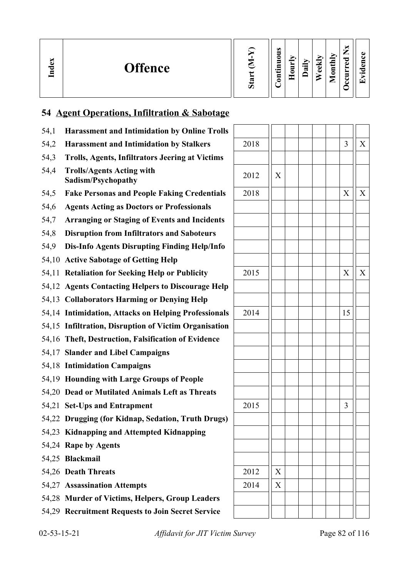| ്ധ<br>ా<br>⊟ | <b>Offence</b> | ъ,<br>Ω | $\bullet$<br>c<br>−<br>$\bullet$<br>⊟<br>0 | −<br>$\blacksquare$<br>¬ | $\ddot{a}$ | ekly<br>ه | nthly<br>0<br>-<br>▱ | –<br>_<br>ಾ<br>ω<br>-<br>c | $\bullet$ $\blacksquare$<br>$\overline{\phantom{0}}$ |
|--------------|----------------|---------|--------------------------------------------|--------------------------|------------|-----------|----------------------|----------------------------|------------------------------------------------------|
|--------------|----------------|---------|--------------------------------------------|--------------------------|------------|-----------|----------------------|----------------------------|------------------------------------------------------|

# **54 Agent Operations, Infiltration & Sabotage**

| 54,1 | <b>Harassment and Intimidation by Online Trolls</b>    |      |   |    |   |
|------|--------------------------------------------------------|------|---|----|---|
| 54,2 | <b>Harassment and Intimidation by Stalkers</b>         | 2018 |   | 3  | X |
| 54,3 | <b>Trolls, Agents, Infiltrators Jeering at Victims</b> |      |   |    |   |
| 54,4 | <b>Trolls/Agents Acting with</b><br>Sadism/Psychopathy | 2012 | X |    |   |
| 54,5 | <b>Fake Personas and People Faking Credentials</b>     | 2018 |   | X  | X |
| 54,6 | <b>Agents Acting as Doctors or Professionals</b>       |      |   |    |   |
| 54,7 | <b>Arranging or Staging of Events and Incidents</b>    |      |   |    |   |
| 54,8 | <b>Disruption from Infiltrators and Saboteurs</b>      |      |   |    |   |
| 54,9 | Dis-Info Agents Disrupting Finding Help/Info           |      |   |    |   |
|      | 54,10 Active Sabotage of Getting Help                  |      |   |    |   |
|      | 54,11 Retaliation for Seeking Help or Publicity        | 2015 |   | X  | X |
|      | 54,12 Agents Contacting Helpers to Discourage Help     |      |   |    |   |
|      | 54,13 Collaborators Harming or Denying Help            |      |   |    |   |
|      | 54,14 Intimidation, Attacks on Helping Professionals   | 2014 |   | 15 |   |
|      | 54,15 Infiltration, Disruption of Victim Organisation  |      |   |    |   |
|      | 54,16 Theft, Destruction, Falsification of Evidence    |      |   |    |   |
|      | 54,17 Slander and Libel Campaigns                      |      |   |    |   |
|      | 54,18 Intimidation Campaigns                           |      |   |    |   |
|      | 54,19 Hounding with Large Groups of People             |      |   |    |   |
|      | 54,20 Dead or Mutilated Animals Left as Threats        |      |   |    |   |
|      | 54,21 Set-Ups and Entrapment                           | 2015 |   | 3  |   |
|      | 54,22 Drugging (for Kidnap, Sedation, Truth Drugs)     |      |   |    |   |
|      | 54,23 Kidnapping and Attempted Kidnapping              |      |   |    |   |
|      | 54,24 Rape by Agents                                   |      |   |    |   |
|      | 54,25 Blackmail                                        |      |   |    |   |
|      | 54,26 Death Threats                                    | 2012 | X |    |   |
|      | 54,27 Assassination Attempts                           | 2014 | X |    |   |
|      | 54,28 Murder of Victims, Helpers, Group Leaders        |      |   |    |   |
|      | 54,29 Recruitment Requests to Join Secret Service      |      |   |    |   |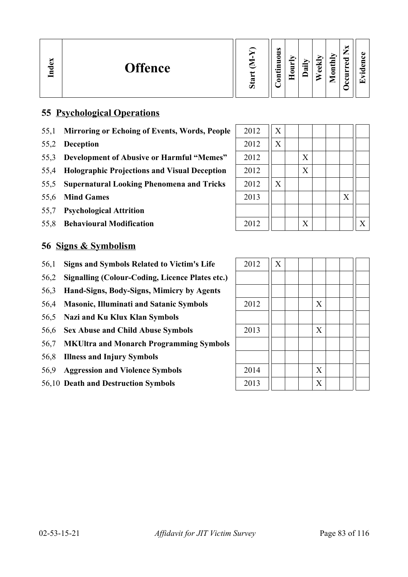| ∽<br>്ല<br><b>Offence</b><br>្អ | ದ<br>Ó | $\bullet$<br>▀<br>0<br>5<br>⊟<br>⊷<br>5 | _ | ∽<br>$\cdot$ $-$<br>≂ | ◡<br>ω<br>Ō | onthly<br>◚ | м<br>_<br>ਰ<br>ω<br>┶<br>►<br>Ξ.<br>౿ | $\bullet$<br>÷ |
|---------------------------------|--------|-----------------------------------------|---|-----------------------|-------------|-------------|---------------------------------------|----------------|
|---------------------------------|--------|-----------------------------------------|---|-----------------------|-------------|-------------|---------------------------------------|----------------|

### **55 Psychological Operations**

- 55,1 Mirroring or Echoing of Events, Words, People
- 55,2 **Deception**
- 55,3 **Development of Abusive or Harmful "Memes"**
- 55,4 **Holographic Projections and Visual Deception**
- 55,5 Supernatural Looking Phenomena and Tricks
- 55,6 Mind Games
- 55,7 **Psychological Attrition**
- 55,8 **Behavioural Modification**

#### **56 Signs & Symbolism**

- 56,1 Signs and Symbols Related to Victim's Life
- 56,2 **Signalling (Colour-Coding, Licence Plates etc.)**
- 56,3 **Hand-Signs, Body-Signs, Mimicry by Agents**
- 56,4 Masonic, Illuminati and Satanic Symbols
- 56,5 **Nazi and Ku Klux Klan Symbols**
- 56,6 Sex Abuse and Child Abuse Symbols
- 56,7 **MKUltra and Monarch Programming Symbols**
- 56,8 **Illness and Injury Symbols**
- 56,9 **Aggression and Violence Symbols**
- 56,10 Death and Destruction Symbols

| 2012 | X |   |  |   |              |
|------|---|---|--|---|--------------|
| 2012 | X |   |  |   |              |
| 2012 |   | X |  |   |              |
| 2012 |   | X |  |   |              |
| 2012 | X |   |  |   |              |
| 2013 |   |   |  | X |              |
|      |   |   |  |   |              |
| 2012 |   | X |  |   | $\mathbf{X}$ |

| 2012 | $\overline{X}$ |  |                           |  |  |
|------|----------------|--|---------------------------|--|--|
|      |                |  |                           |  |  |
|      |                |  |                           |  |  |
| 2012 |                |  | $\mathbf X$               |  |  |
|      |                |  |                           |  |  |
| 2013 |                |  | $\mathbf X$               |  |  |
|      |                |  |                           |  |  |
|      |                |  |                           |  |  |
| 2014 |                |  | $\mathbf X$               |  |  |
| 2013 |                |  | $\boldsymbol{\mathrm{X}}$ |  |  |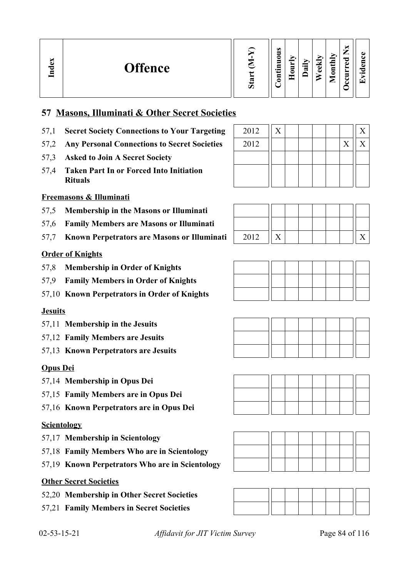| $\omega$<br>ИЦ<br>_<br>0<br>ರ<br>idex<br>≂<br>▀<br>ω<br><b>Offence</b><br>$\mathbf{u}$<br>੶ਜ਼<br>نه<br>↽<br>$\cdot$ $\,$<br>ω<br>ᆯ<br>_<br>⊑<br>ت<br>ರಾ<br>c<br>►<br>ت<br>└<br>O) |
|-----------------------------------------------------------------------------------------------------------------------------------------------------------------------------------|
|-----------------------------------------------------------------------------------------------------------------------------------------------------------------------------------|

### **57 Masons, Illuminati & Other Secret Societies**

- 57,1 **Secret Society Connections to Your Targeting**
- 57,2 Any Personal Connections to Secret Societies
- 57,3 **Asked to Join A Secret Society**
- 57,4 **Taken Part In or Forced Into Initiation Rituals**

#### **Freemasons & Illuminati**

- 57,5 **Membership in the Masons or Illuminati**
- 57,6 **Family Members are Masons or Illuminati**
- 57,7 **Known Perpetrators are Masons or Illuminati** 2012 X X

#### **Order of Knights**

- 57,8 **Membership in Order of Knights**
- 57,9 **Family Members in Order of Knights**
- 57,10 **Known Perpetrators in Order of Knights**

#### **Jesuits**

- 57,11 **Membership in the Jesuits**
- 57,12 **Family Members are Jesuits**
- 57,13 **Known Perpetrators are Jesuits**

#### **Opus Dei**

- 57,14 **Membership in Opus Dei**
- 57,15 **Family Members are in Opus Dei**
- 57,16 **Known Perpetrators are in Opus Dei**

#### **Scientology**

- 57,17 **Membership in Scientology**
- 57,18 **Family Members Who are in Scientology**
- 57,19 **Known Perpetrators Who are in Scientology**

#### **Other Secret Societies**

- 52,20 **Membership in Other Secret Societies**
- 57,21 **Family Members in Secret Societies**

| 2012 | Х |  |  | X |
|------|---|--|--|---|
| 2012 |   |  |  |   |
|      |   |  |  |   |
|      |   |  |  |   |
|      |   |  |  |   |













02-53-15-21 *Affidavit for JIT Victim Survey* Page 84 of 116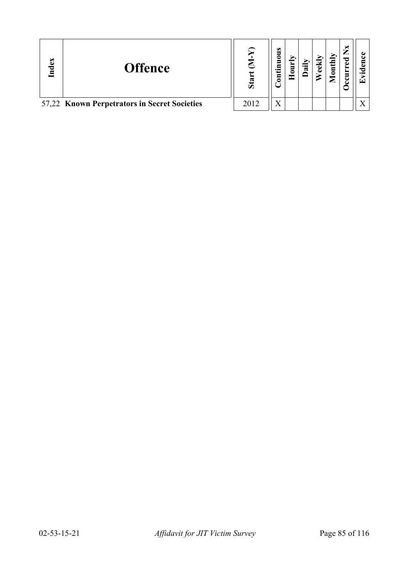| Index | <b>Offence</b>                               | Sta  | $\bullet$<br>ᄛ<br>Ξ<br>tin⊡<br>$\overline{\mathbf{5}}$ | ີ ສ | $\text{until}$ | ×<br>ᇰ | r÷ |
|-------|----------------------------------------------|------|--------------------------------------------------------|-----|----------------|--------|----|
|       | 57,22 Known Perpetrators in Secret Societies | 2012 | X                                                      |     |                |        |    |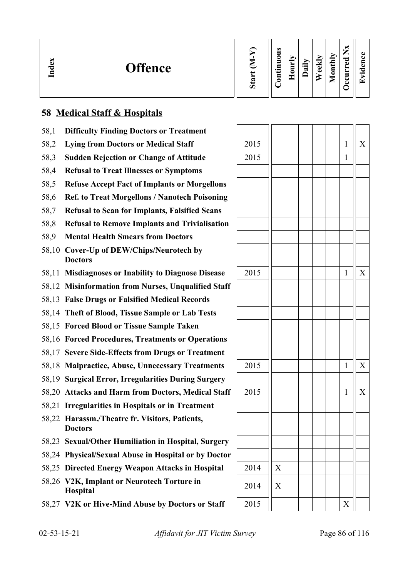| ∼<br>ω<br><b>Offence</b><br>ెం<br>.⊟ | $\omega$<br>_<br>nthly<br>∊<br>°<br>ਹ<br>-<br>C)<br>ੰਡ<br>ω<br>5<br>$\bullet$ and<br>ى<br>–<br>0<br>$\bullet$ $\blacksquare$<br>-<br>┍<br>╾ |
|--------------------------------------|---------------------------------------------------------------------------------------------------------------------------------------------|
|--------------------------------------|---------------------------------------------------------------------------------------------------------------------------------------------|

## **58 Medical Staff & Hospitals**

- 58,1 **Difficulty Finding Doctors or Treatment**
- 58,2 Lying from Doctors or Medical Staff
- 58,3 **Sudden Rejection or Change of Attitude**
- 58,4 **Refusal to Treat Illnesses or Symptoms**
- 58,5 **Refuse Accept Fact of Implants or Morgellons**
- 58,6 **Ref. to Treat Morgellons / Nanotech Poisoning**
- 58,7 **Refusal to Scan for Implants, Falsified Scans**
- 58,8 **Refusal to Remove Implants and Trivialisation**
- 58,9 **Mental Health Smears from Doctors**
- 58,10 **Cover-Up of DEW/Chips/Neurotech by Doctors**
- 58,11 **Misdiagnoses or Inability to Diagnose Disease**
- 58,12 **Misinformation from Nurses, Unqualified Staff**
- 58,13 **False Drugs or Falsified Medical Records**
- 58,14 **Theft of Blood, Tissue Sample or Lab Tests**
- 58,15 **Forced Blood or Tissue Sample Taken**
- 58,16 **Forced Procedures, Treatments or Operations**
- 58,17 **Severe Side-Effects from Drugs or Treatment**
- 58,18 Malpractice, Abuse, Unnecessary Treatments
- 58,19 **Surgical Error, Irregularities During Surgery**
- 58,20 Attacks and Harm from Doctors, Medical Staff
- 58,21 **Irregularities in Hospitals or in Treatment**
- 58,22 **Harassm./Theatre fr. Visitors, Patients, Doctors**
- 58,23 **Sexual/Other Humiliation in Hospital, Surgery**
- 58,24 **Physical/Sexual Abuse in Hospital or by Doctor**
- 58,25 Directed Energy Weapon Attacks in Hospital
- 58,26 **V2K, Implant or Neurotech Torture in Hospital** <sup>2014</sup> <sup>X</sup>
- 58,27 V2K or Hive-Mind Abuse by Doctors or Staff

| 2015 |                           |  |  | $\mathbf{1}$ | $\mathbf X$    |
|------|---------------------------|--|--|--------------|----------------|
| 2015 |                           |  |  | $\mathbf{1}$ |                |
|      |                           |  |  |              |                |
|      |                           |  |  |              |                |
|      |                           |  |  |              |                |
|      |                           |  |  |              |                |
|      |                           |  |  |              |                |
|      |                           |  |  |              |                |
|      |                           |  |  |              |                |
| 2015 |                           |  |  | $\mathbf{1}$ | X              |
|      |                           |  |  |              |                |
|      |                           |  |  |              |                |
|      |                           |  |  |              |                |
|      |                           |  |  |              |                |
|      |                           |  |  |              |                |
|      |                           |  |  |              |                |
| 2015 |                           |  |  | $\mathbf{1}$ | $\mathbf X$    |
|      |                           |  |  |              |                |
| 2015 |                           |  |  | $\mathbf{1}$ | $\overline{X}$ |
|      |                           |  |  |              |                |
|      |                           |  |  |              |                |
|      |                           |  |  |              |                |
|      |                           |  |  |              |                |
| 2014 | $\boldsymbol{\mathrm{X}}$ |  |  |              |                |
| 2014 | $\overline{X}$            |  |  |              |                |
| 2015 |                           |  |  | $\mathbf X$  |                |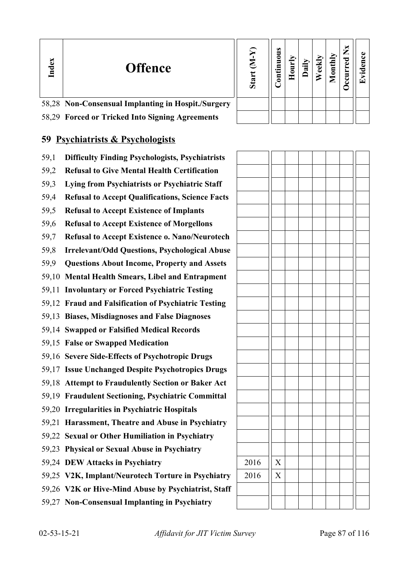| Index | <b>Offence</b>                                     | Σ<br>Start | Ø<br>3<br>5 |  |  | ×<br>5 |  |
|-------|----------------------------------------------------|------------|-------------|--|--|--------|--|
|       | 58,28 Non-Consensual Implanting in Hospit./Surgery |            |             |  |  |        |  |
|       | 58,29 Forced or Tricked Into Signing Agreements    |            |             |  |  |        |  |

## **59 Psychiatrists & Psychologists**

- 59,1 **Difficulty Finding Psychologists, Psychiatrists**
- 59,2 **Refusal to Give Mental Health Certification**
- 59,3 **Lying from Psychiatrists or Psychiatric Staff**
- 59,4 **Refusal to Accept Qualifications, Science Facts**
- 59,5 **Refusal to Accept Existence of Implants**
- 59,6 **Refusal to Accept Existence of Morgellons**
- 59,7 **Refusal to Accept Existence o. Nano/Neurotech**
- 59,8 **Irrelevant/Odd Questions, Psychological Abuse**
- 59,9 **Questions About Income, Property and Assets**
- 59,10 **Mental Health Smears, Libel and Entrapment**
- 59,11 **Involuntary or Forced Psychiatric Testing**
- 59,12 **Fraud and Falsification of Psychiatric Testing**
- 59,13 **Biases, Misdiagnoses and False Diagnoses**
- 59,14 **Swapped or Falsified Medical Records**
- 59,15 **False or Swapped Medication**
- 59,16 **Severe Side-Effects of Psychotropic Drugs**
- 59,17 **Issue Unchanged Despite Psychotropics Drugs**
- 59,18 **Attempt to Fraudulently Section or Baker Act**
- 59,19 **Fraudulent Sectioning, Psychiatric Committal**
- 59,20 **Irregularities in Psychiatric Hospitals**
- 59,21 **Harassment, Theatre and Abuse in Psychiatry**
- 59,22 **Sexual or Other Humiliation in Psychiatry**
- 59,23 **Physical or Sexual Abuse in Psychiatry**
- 59,24 **DEW Attacks in Psychiatry**
- 59,25 V2K, Implant/Neurotech Torture in Psychiatry
- 59,26 **V2K or Hive-Mind Abuse by Psychiatrist, Staff**
- 59,27 **Non-Consensual Implanting in Psychiatry**

| 2016 | $\overline{X}$        |  |  |  |  |
|------|-----------------------|--|--|--|--|
|      |                       |  |  |  |  |
| 2016 | $\overline{\text{X}}$ |  |  |  |  |
|      |                       |  |  |  |  |
|      |                       |  |  |  |  |
|      |                       |  |  |  |  |
|      |                       |  |  |  |  |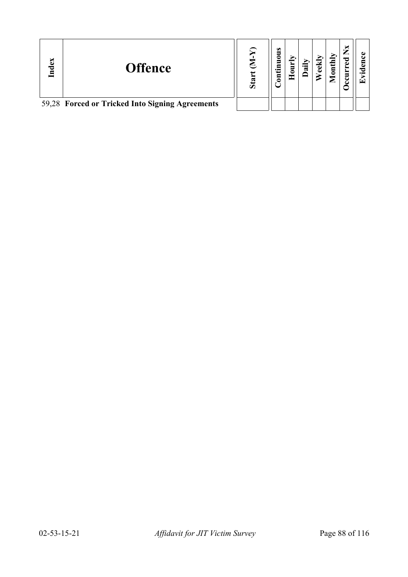| Index | <b>Offence</b>                                  | ω |  | ⊂ |  |
|-------|-------------------------------------------------|---|--|---|--|
|       | 59,28 Forced or Tricked Into Signing Agreements |   |  |   |  |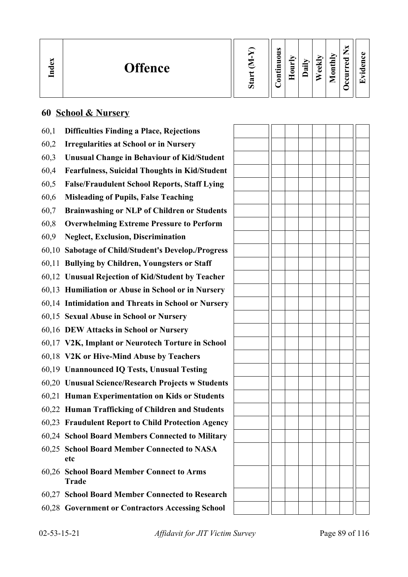| $\mathbf{g}$<br>Ĕ | <b>Offence</b> | ರಾ<br>$\omega$ | $\omega$<br>_<br>0<br>−<br>⊂<br>$\cdot$ $-$<br>5<br>$\sim$ $\sim$ | $\overline{\phantom{0}}$<br>_ | ੶ਫ਼ | ≂<br>ed | onthly<br>╾<br>◚ | ь.<br>-<br>_<br>ಾ<br>D<br>▀<br>ະ<br>↩ | $\overline{\phantom{0}}$<br>$\overline{\phantom{0}}$ |
|-------------------|----------------|----------------|-------------------------------------------------------------------|-------------------------------|-----|---------|------------------|---------------------------------------|------------------------------------------------------|
|-------------------|----------------|----------------|-------------------------------------------------------------------|-------------------------------|-----|---------|------------------|---------------------------------------|------------------------------------------------------|

 $\overline{a}$ 

## **60 School & Nursery**

| 60,1 | <b>Difficulties Finding a Place, Rejections</b>           |  |  |  |  |
|------|-----------------------------------------------------------|--|--|--|--|
| 60,2 | <b>Irregularities at School or in Nursery</b>             |  |  |  |  |
| 60,3 | <b>Unusual Change in Behaviour of Kid/Student</b>         |  |  |  |  |
| 60,4 | <b>Fearfulness, Suicidal Thoughts in Kid/Student</b>      |  |  |  |  |
| 60,5 | <b>False/Fraudulent School Reports, Staff Lying</b>       |  |  |  |  |
| 60,6 | <b>Misleading of Pupils, False Teaching</b>               |  |  |  |  |
| 60,7 | Brainwashing or NLP of Children or Students               |  |  |  |  |
| 60,8 | <b>Overwhelming Extreme Pressure to Perform</b>           |  |  |  |  |
| 60,9 | <b>Neglect, Exclusion, Discrimination</b>                 |  |  |  |  |
|      | 60,10 Sabotage of Child/Student's Develop./Progress       |  |  |  |  |
|      | 60,11 Bullying by Children, Youngsters or Staff           |  |  |  |  |
|      | 60,12 Unusual Rejection of Kid/Student by Teacher         |  |  |  |  |
|      | 60,13 Humiliation or Abuse in School or in Nursery        |  |  |  |  |
|      | 60,14 Intimidation and Threats in School or Nursery       |  |  |  |  |
|      | 60,15 Sexual Abuse in School or Nursery                   |  |  |  |  |
|      | 60,16 DEW Attacks in School or Nursery                    |  |  |  |  |
|      | 60,17 V2K, Implant or Neurotech Torture in School         |  |  |  |  |
|      | 60,18 V2K or Hive-Mind Abuse by Teachers                  |  |  |  |  |
|      | 60,19 Unannounced IQ Tests, Unusual Testing               |  |  |  |  |
|      | 60,20 Unusual Science/Research Projects w Students        |  |  |  |  |
|      | 60,21 Human Experimentation on Kids or Students           |  |  |  |  |
|      | 60,22 Human Trafficking of Children and Students          |  |  |  |  |
|      | 60,23 Fraudulent Report to Child Protection Agency        |  |  |  |  |
|      | 60,24 School Board Members Connected to Military          |  |  |  |  |
|      | 60,25 School Board Member Connected to NASA<br>etc        |  |  |  |  |
|      | 60,26 School Board Member Connect to Arms<br><b>Trade</b> |  |  |  |  |
|      | 60,27 School Board Member Connected to Research           |  |  |  |  |
|      | 60,28 Government or Contractors Accessing School          |  |  |  |  |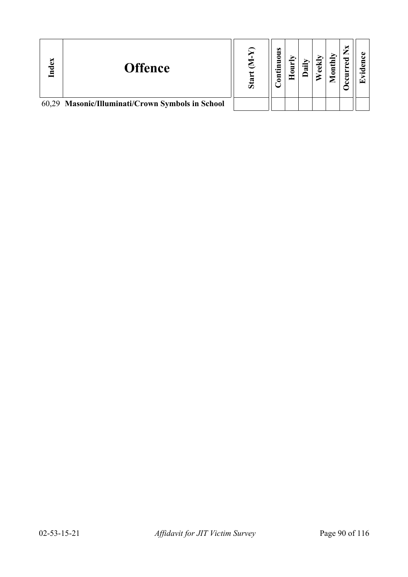| Index | <b>Offence</b>                                   | Ō, | ω |  | ⊂ |  |
|-------|--------------------------------------------------|----|---|--|---|--|
|       | 60,29 Masonic/Illuminati/Crown Symbols in School |    |   |  |   |  |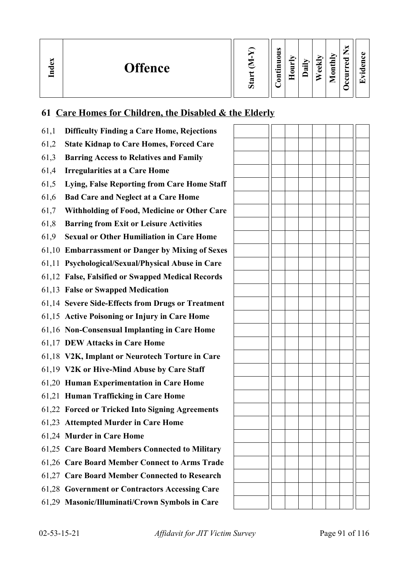| ×<br>്ധ<br><b>Offence</b><br>Ě | ದ | $\omega$<br>0<br>−<br>$\bullet$ $\blacksquare$<br>3 | −<br>_<br>⊂ | ੶ਫ਼ | еĸ<br>ه | onthly<br>╾<br>⊏ | —<br>–<br>ెం<br>ω<br>-<br>c<br>ت | $\cdot$ $-$<br>$\overline{\phantom{a}}$ |
|--------------------------------|---|-----------------------------------------------------|-------------|-----|---------|------------------|----------------------------------|-----------------------------------------|
|--------------------------------|---|-----------------------------------------------------|-------------|-----|---------|------------------|----------------------------------|-----------------------------------------|

## **61 Care Homes for Children, the Disabled & the Elderly**

| 61,1 | <b>Difficulty Finding a Care Home, Rejections</b> |  |  |  |  |
|------|---------------------------------------------------|--|--|--|--|
| 61,2 | <b>State Kidnap to Care Homes, Forced Care</b>    |  |  |  |  |
| 61,3 | <b>Barring Access to Relatives and Family</b>     |  |  |  |  |
| 61,4 | <b>Irregularities at a Care Home</b>              |  |  |  |  |
| 61,5 | Lying, False Reporting from Care Home Staff       |  |  |  |  |
| 61,6 | <b>Bad Care and Neglect at a Care Home</b>        |  |  |  |  |
| 61,7 | Withholding of Food, Medicine or Other Care       |  |  |  |  |
| 61,8 | <b>Barring from Exit or Leisure Activities</b>    |  |  |  |  |
| 61,9 | <b>Sexual or Other Humiliation in Care Home</b>   |  |  |  |  |
|      | 61,10 Embarrassment or Danger by Mixing of Sexes  |  |  |  |  |
|      | 61,11 Psychological/Sexual/Physical Abuse in Care |  |  |  |  |
|      | 61,12 False, Falsified or Swapped Medical Records |  |  |  |  |
|      | 61,13 False or Swapped Medication                 |  |  |  |  |
|      | 61,14 Severe Side-Effects from Drugs or Treatment |  |  |  |  |
|      | 61,15 Active Poisoning or Injury in Care Home     |  |  |  |  |
|      | 61,16 Non-Consensual Implanting in Care Home      |  |  |  |  |
|      | 61,17 DEW Attacks in Care Home                    |  |  |  |  |
|      | 61,18 V2K, Implant or Neurotech Torture in Care   |  |  |  |  |
|      | 61,19 V2K or Hive-Mind Abuse by Care Staff        |  |  |  |  |
|      | 61,20 Human Experimentation in Care Home          |  |  |  |  |
|      | 61,21 Human Trafficking in Care Home              |  |  |  |  |
|      | 61,22 Forced or Tricked Into Signing Agreements   |  |  |  |  |
|      | 61,23 Attempted Murder in Care Home               |  |  |  |  |
|      | 61,24 Murder in Care Home                         |  |  |  |  |
|      | 61,25 Care Board Members Connected to Military    |  |  |  |  |
|      | 61,26 Care Board Member Connect to Arms Trade     |  |  |  |  |
|      | 61,27 Care Board Member Connected to Research     |  |  |  |  |
|      | 61,28 Government or Contractors Accessing Care    |  |  |  |  |
|      | 61,29 Masonic/Illuminati/Crown Symbols in Care    |  |  |  |  |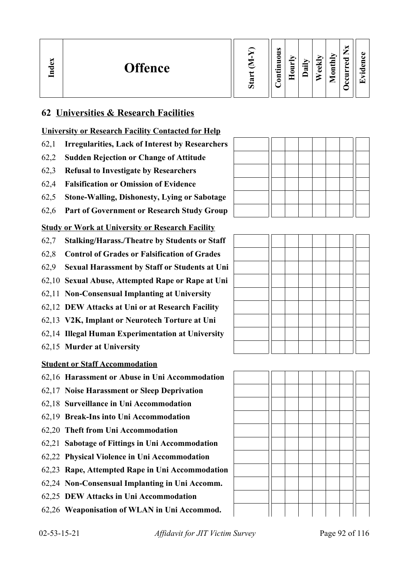## **62 Universities & Research Facilities**

#### **University or Research Facility Contacted for Help**

- 62,1 **Irregularities, Lack of Interest by Researchers**
- 62,2 **Sudden Rejection or Change of Attitude**
- 62,3 **Refusal to Investigate by Researchers**
- 62,4 **Falsification or Omission of Evidence**
- 62,5 **Stone-Walling, Dishonesty, Lying or Sabotage**
- 62,6 **Part of Government or Research Study Group**

#### **Study or Work at University or Research Facility**

- 62,7 **Stalking/Harass./Theatre by Students or Staff**
- 62,8 **Control of Grades or Falsification of Grades**
- 62,9 **Sexual Harassment by Staff or Students at Uni**
- 62,10 **Sexual Abuse, Attempted Rape or Rape at Uni**
- 62,11 **Non-Consensual Implanting at University**
- 62,12 **DEW Attacks at Uni or at Research Facility**
- 62,13 **V2K, Implant or Neurotech Torture at Uni**
- 62,14 **Illegal Human Experimentation at University**
- 62,15 **Murder at University**

#### **Student or Staff Accommodation**

- 62,16 **Harassment or Abuse in Uni Accommodation**
- 62,17 **Noise Harassment or Sleep Deprivation**
- 62,18 **Surveillance in Uni Accommodation**
- 62,19 **Break-Ins into Uni Accommodation**
- 62,20 **Theft from Uni Accommodation**
- 62,21 **Sabotage of Fittings in Uni Accommodation**
- 62,22 **Physical Violence in Uni Accommodation**
- 62,23 **Rape, Attempted Rape in Uni Accommodation**
- 62,24 **Non-Consensual Implanting in Uni Accomm.**
- 62,25 **DEW Attacks in Uni Accommodation**
- 62,26 **Weaponisation of WLAN in Uni Accommod.**







02-53-15-21 *Affidavit for JIT Victim Survey* Page 92 of 116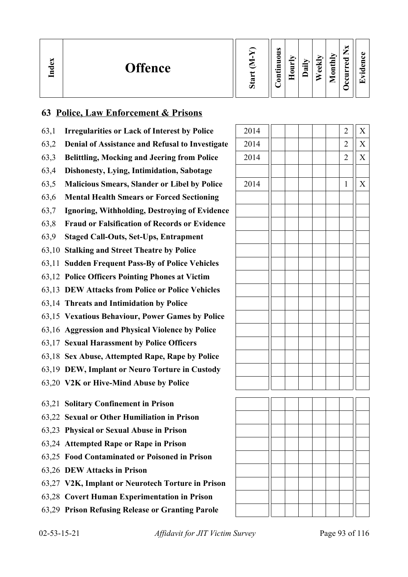| S<br><b>Offence</b><br>Lnd |  | $\omega$<br>0<br>−<br>$\cdot$ $\,$<br>∊ |  | ੰਡੋ | ◡<br>نه<br>ده | ><br>s<br>$\sim$<br>Ξ<br>≏<br><u>.</u> | _<br>P<br>Φ<br>− |  |
|----------------------------|--|-----------------------------------------|--|-----|---------------|----------------------------------------|------------------|--|
|----------------------------|--|-----------------------------------------|--|-----|---------------|----------------------------------------|------------------|--|

### **63 Police, Law Enforcement & Prisons**

- 63,1 **Irregularities or Lack of Interest by Police**
- 63,2 **Denial of Assistance and Refusal to Investigate**
- 63,3 **Belittling, Mocking and Jeering from Police**
- 63,4 **Dishonesty, Lying, Intimidation, Sabotage**
- 63,5 Malicious Smears, Slander or Libel by Police
- 63,6 **Mental Health Smears or Forced Sectioning**
- 63,7 **Ignoring, Withholding, Destroying of Evidence**
- 63,8 **Fraud or Falsification of Records or Evidence**
- 63,9 **Staged Call-Outs, Set-Ups, Entrapment**
- 63,10 **Stalking and Street Theatre by Police**
- 63,11 **Sudden Frequent Pass-By of Police Vehicles**
- 63,12 **Police Officers Pointing Phones at Victim**
- 63,13 **DEW Attacks from Police or Police Vehicles**
- 63,14 **Threats and Intimidation by Police**
- 63,15 **Vexatious Behaviour, Power Games by Police**
- 63,16 **Aggression and Physical Violence by Police**
- 63,17 **Sexual Harassment by Police Officers**
- 63,18 **Sex Abuse, Attempted Rape, Rape by Police**
- 63,19 **DEW, Implant or Neuro Torture in Custody**
- 63,20 **V2K or Hive-Mind Abuse by Police**
- 63,21 **Solitary Confinement in Prison**
- 63,22 **Sexual or Other Humiliation in Prison**
- 63,23 **Physical or Sexual Abuse in Prison**
- 63,24 **Attempted Rape or Rape in Prison**
- 63,25 **Food Contaminated or Poisoned in Prison**
- 63,26 **DEW Attacks in Prison**
- 63,27 **V2K, Implant or Neurotech Torture in Prison**
- 63,28 **Covert Human Experimentation in Prison**
- 63,29 **Prison Refusing Release or Granting Parole**

| 2014 |  |  | $\overline{\mathbf{c}}$ | $\boldsymbol{X}$        |
|------|--|--|-------------------------|-------------------------|
| 2014 |  |  | $\overline{c}$          | $\overline{\mathbf{X}}$ |
| 2014 |  |  | $\overline{c}$          | $\overline{\text{X}}$   |
|      |  |  |                         |                         |
| 2014 |  |  | $\,1$                   | $\overline{X}$          |
|      |  |  |                         |                         |
|      |  |  |                         |                         |
|      |  |  |                         |                         |
|      |  |  |                         |                         |
|      |  |  |                         |                         |
|      |  |  |                         |                         |
|      |  |  |                         |                         |
|      |  |  |                         |                         |
|      |  |  |                         |                         |
|      |  |  |                         |                         |
|      |  |  |                         |                         |
|      |  |  |                         |                         |
|      |  |  |                         |                         |
|      |  |  |                         |                         |
|      |  |  |                         |                         |
|      |  |  |                         |                         |

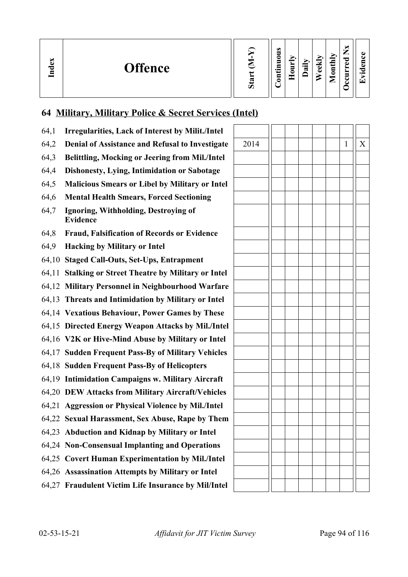| ∽<br>്ധ<br><b>Offence</b><br><u>ក្នុ</u> | ∾ | $\omega$<br>0<br>–<br><br>ᄆ<br>6 | <b>__</b> | ੶ਜ਼ | ≂<br>نه<br>ه | nthly<br>◓<br>⊏ | —<br>_<br>ᇰ<br>ω<br>▀<br>c | $\bullet$ and |
|------------------------------------------|---|----------------------------------|-----------|-----|--------------|-----------------|----------------------------|---------------|
|------------------------------------------|---|----------------------------------|-----------|-----|--------------|-----------------|----------------------------|---------------|

## **64 Military, Military Police & Secret Services (Intel)**

| 64,1 | <b>Irregularities, Lack of Interest by Milit./Intel</b> |      |  |              |   |
|------|---------------------------------------------------------|------|--|--------------|---|
| 64,2 | Denial of Assistance and Refusal to Investigate         | 2014 |  | $\mathbf{1}$ | X |
| 64,3 | <b>Belittling, Mocking or Jeering from Mil./Intel</b>   |      |  |              |   |
| 64,4 | Dishonesty, Lying, Intimidation or Sabotage             |      |  |              |   |
| 64,5 | <b>Malicious Smears or Libel by Military or Intel</b>   |      |  |              |   |
| 64,6 | <b>Mental Health Smears, Forced Sectioning</b>          |      |  |              |   |
| 64,7 | Ignoring, Withholding, Destroying of<br><b>Evidence</b> |      |  |              |   |
| 64,8 | <b>Fraud, Falsification of Records or Evidence</b>      |      |  |              |   |
| 64,9 | <b>Hacking by Military or Intel</b>                     |      |  |              |   |
|      | 64,10 Staged Call-Outs, Set-Ups, Entrapment             |      |  |              |   |
|      | 64,11 Stalking or Street Theatre by Military or Intel   |      |  |              |   |
|      | 64,12 Military Personnel in Neighbourhood Warfare       |      |  |              |   |
|      | 64,13 Threats and Intimidation by Military or Intel     |      |  |              |   |
|      | 64,14 Vexatious Behaviour, Power Games by These         |      |  |              |   |
|      | 64,15 Directed Energy Weapon Attacks by Mil./Intel      |      |  |              |   |
|      | 64,16 V2K or Hive-Mind Abuse by Military or Intel       |      |  |              |   |
|      | 64,17 Sudden Frequent Pass-By of Military Vehicles      |      |  |              |   |
|      | 64,18 Sudden Frequent Pass-By of Helicopters            |      |  |              |   |
|      | 64,19 Intimidation Campaigns w. Military Aircraft       |      |  |              |   |
|      | 64,20 DEW Attacks from Military Aircraft/Vehicles       |      |  |              |   |
|      | 64,21 Aggression or Physical Violence by Mil./Intel     |      |  |              |   |
|      | 64,22 Sexual Harassment, Sex Abuse, Rape by Them        |      |  |              |   |
|      | 64,23 Abduction and Kidnap by Military or Intel         |      |  |              |   |
|      | 64,24 Non-Consensual Implanting and Operations          |      |  |              |   |
|      | 64,25 Covert Human Experimentation by Mil./Intel        |      |  |              |   |
|      | 64,26 Assassination Attempts by Military or Intel       |      |  |              |   |
|      | 64,27 Fraudulent Victim Life Insurance by Mil/Intel     |      |  |              |   |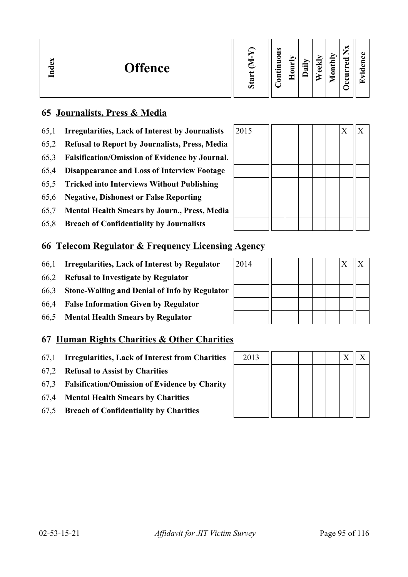| Index<br><b>Offence</b> | ∾<br>Ō | $\omega$<br>=<br>0<br>5<br>.트<br>₽<br>◓ | ➢<br>_<br>5<br>c<br>ட<br>۰ | ∽<br>⊶<br>ಷ | $\overline{\phantom{a}}$<br>ده<br>O) | ЛЦ<br>≖<br>$\bar{\mathsf{g}}$<br>⋍ | м<br>_<br>P<br>Φ<br>—<br>◡ | п.<br>$\epsilon$<br>$\bullet$<br>ا س |
|-------------------------|--------|-----------------------------------------|----------------------------|-------------|--------------------------------------|------------------------------------|----------------------------|--------------------------------------|
|-------------------------|--------|-----------------------------------------|----------------------------|-------------|--------------------------------------|------------------------------------|----------------------------|--------------------------------------|

### **65 Journalists, Press & Media**

- 65,1 **Irregularities, Lack of Interest by Journalists** 2015  $\boxed{2015}$
- 65,2 **Refusal to Report by Journalists, Press, Media**
- 65,3 **Falsification/Omission of Evidence by Journal.**
- 65,4 **Disappearance and Loss of Interview Footage**
- 65,5 **Tricked into Interviews Without Publishing**
- 65,6 **Negative, Dishonest or False Reporting**
- 65,7 **Mental Health Smears by Journ., Press, Media**
- 65,8 **Breach of Confidentiality by Journalists**

#### **66 Telecom Regulator & Frequency Licensing Agency**

- 66,1 **Irregularities, Lack of Interest by Regulator** 2014 X X
- 66,2 **Refusal to Investigate by Regulator**
- 66,3 **Stone-Walling and Denial of Info by Regulator**
- 66,4 **False Information Given by Regulator**
- 66,5 **Mental Health Smears by Regulator**

#### **67 Human Rights Charities & Other Charities**

- 67,1 **Irregularities, Lack of Interest from Charities** 2013 X X
- 67,2 **Refusal to Assist by Charities**
- 67,3 **Falsification/Omission of Evidence by Charity**
- 67,4 **Mental Health Smears by Charities**
- 67,5 **Breach of Confidentiality by Charities**

| 2013 |  |  |  | X |  |
|------|--|--|--|---|--|
|      |  |  |  |   |  |
|      |  |  |  |   |  |
|      |  |  |  |   |  |
|      |  |  |  |   |  |

| 2015 |  |  | $\bf{X}$ | $\boldsymbol{\mathrm{X}}$ |
|------|--|--|----------|---------------------------|
|      |  |  |          |                           |
|      |  |  |          |                           |
|      |  |  |          |                           |
|      |  |  |          |                           |
|      |  |  |          |                           |
|      |  |  |          |                           |
|      |  |  |          |                           |

| 2014 |  |  | X | $\rm\overline{X}$ |
|------|--|--|---|-------------------|
|      |  |  |   |                   |
|      |  |  |   |                   |
|      |  |  |   |                   |
|      |  |  |   |                   |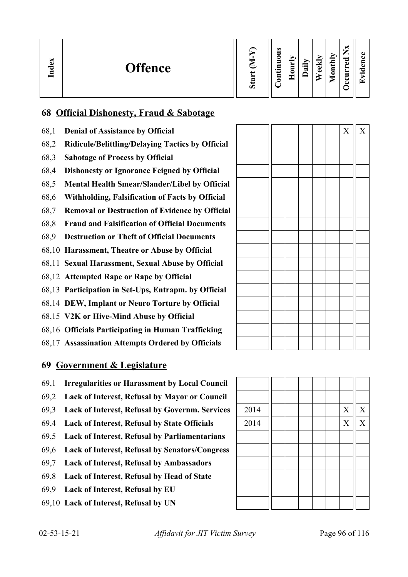| Index<br><b>Offence</b> | ದ<br>$\sigma$ | $\omega$<br>5<br>◓<br>s<br>.Ξ<br>L<br>ទ | _<br>$\sim$<br>−<br>0<br>ــ<br>۰ | ∽<br>$\cdot$ $\,$<br>≂ | ↩<br>ω<br>ω | onthly<br>╺<br>▱ | ×<br>—<br>痴<br>ರ<br>ω<br>►<br>≻<br>∍<br>◡<br>౿ | GD.<br>A)<br>∼<br>$\bullet$ m<br>ίT |
|-------------------------|---------------|-----------------------------------------|----------------------------------|------------------------|-------------|------------------|------------------------------------------------|-------------------------------------|
|-------------------------|---------------|-----------------------------------------|----------------------------------|------------------------|-------------|------------------|------------------------------------------------|-------------------------------------|

## **68 Official Dishonesty, Fraud & Sabotage**

- 68,1 **Denial of Assistance by Official**
- 68,2 **Ridicule/Belittling/Delaying Tactics by Official**
- 68,3 **Sabotage of Process by Official**
- 68,4 **Dishonesty or Ignorance Feigned by Official**
- 68,5 **Mental Health Smear/Slander/Libel by Official**
- 68,6 **Withholding, Falsification of Facts by Official**
- 68,7 **Removal or Destruction of Evidence by Official**
- 68,8 **Fraud and Falsification of Official Documents**
- 68,9 **Destruction or Theft of Official Documents**
- 68,10 **Harassment, Theatre or Abuse by Official**
- 68,11 **Sexual Harassment, Sexual Abuse by Official**
- 68,12 **Attempted Rape or Rape by Official**
- 68,13 **Participation in Set-Ups, Entrapm. by Official**
- 68,14 **DEW, Implant or Neuro Torture by Official**
- 68,15 **V2K or Hive-Mind Abuse by Official**
- 68,16 **Officials Participating in Human Trafficking**
- 68,17 **Assassination Attempts Ordered by Officials**

#### **69 Government & Legislature**

- 69,1 **Irregularities or Harassment by Local Council**
- 69,2 **Lack of Interest, Refusal by Mayor or Council**
- 69,3 **Lack of Interest, Refusal by Governm. Services** 2014 X X
- 69,4 **Lack of Interest, Refusal by State Officials**  $\begin{array}{|c|c|c|c|c|c|} \hline 2014 & 1 & 1 & 1 \ \hline \end{array}$
- 69,5 **Lack of Interest, Refusal by Parliamentarians**
- 69,6 **Lack of Interest, Refusal by Senators/Congress**
- 69,7 **Lack of Interest, Refusal by Ambassadors**
- 69,8 **Lack of Interest, Refusal by Head of State**
- 69,9 **Lack of Interest, Refusal by EU**
- 69,10 **Lack of Interest, Refusal by UN**

|  |  |  | $\mathbf X$ | $\mathbf X$ |
|--|--|--|-------------|-------------|
|  |  |  |             |             |
|  |  |  |             |             |
|  |  |  |             |             |
|  |  |  |             |             |
|  |  |  |             |             |
|  |  |  |             |             |
|  |  |  |             |             |
|  |  |  |             |             |
|  |  |  |             |             |
|  |  |  |             |             |
|  |  |  |             |             |
|  |  |  |             |             |
|  |  |  |             |             |
|  |  |  |             |             |
|  |  |  |             |             |
|  |  |  |             |             |
|  |  |  |             |             |



02-53-15-21 *Affidavit for JIT Victim Survey* Page 96 of 116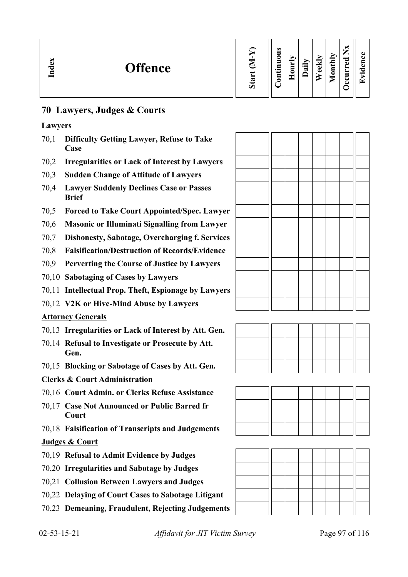| Š<br><b>Offence</b><br>Ind | $\sigma$ | $\omega$<br>5<br>0<br>5<br>르.<br>g | Ξ<br>ᄄ | ੰਡ | ▼<br>ω<br>ω | onthly<br>$\overline{\phantom{a}}$<br>◚ | _<br>ಾ<br>Ō<br>∼<br>≻<br>▀<br>ت<br>ے | $\cdot$ $-$<br>$\overline{\phantom{0}}$ |
|----------------------------|----------|------------------------------------|--------|----|-------------|-----------------------------------------|--------------------------------------|-----------------------------------------|
|----------------------------|----------|------------------------------------|--------|----|-------------|-----------------------------------------|--------------------------------------|-----------------------------------------|

## **70 Lawyers, Judges & Courts**

#### **Lawyers**

- 70,1 **Difficulty Getting Lawyer, Refuse to Take Case**
- 70,2 **Irregularities or Lack of Interest by Lawyers**
- 70,3 **Sudden Change of Attitude of Lawyers**
- 70,4 **Lawyer Suddenly Declines Case or Passes Brief**
- 70,5 **Forced to Take Court Appointed/Spec. Lawyer**
- 70,6 **Masonic or Illuminati Signalling from Lawyer**
- 70,7 **Dishonesty, Sabotage, Overcharging f. Services**
- 70,8 **Falsification/Destruction of Records/Evidence**
- 70,9 **Perverting the Course of Justice by Lawyers**
- 70,10 **Sabotaging of Cases by Lawyers**
- 70,11 **Intellectual Prop. Theft, Espionage by Lawyers**
- 70,12 **V2K or Hive-Mind Abuse by Lawyers**

#### **Attorney Generals**

- 70,13 **Irregularities or Lack of Interest by Att. Gen.**
- 70,14 **Refusal to Investigate or Prosecute by Att. Gen.**
- 70,15 **Blocking or Sabotage of Cases by Att. Gen.**

#### **Clerks & Court Administration**

- 70,16 **Court Admin. or Clerks Refuse Assistance**
- 70,17 **Case Not Announced or Public Barred fr Court**
- 70,18 **Falsification of Transcripts and Judgements**

#### **Judges & Court**

- 70,19 **Refusal to Admit Evidence by Judges**
- 70,20 **Irregularities and Sabotage by Judges**
- 70,21 **Collusion Between Lawyers and Judges**
- 70,22 **Delaying of Court Cases to Sabotage Litigant**
- 70,23 **Demeaning, Fraudulent, Rejecting Judgements**





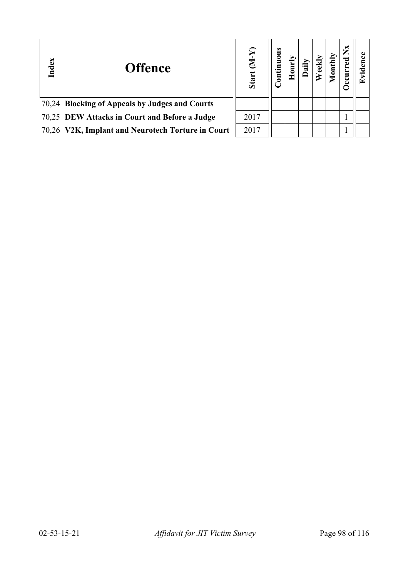| Index | <b>Offence</b>                                    | Ŋ<br>Start | ontinuous<br>ت |  | Ē | ž<br>E |  |
|-------|---------------------------------------------------|------------|----------------|--|---|--------|--|
|       | 70,24 Blocking of Appeals by Judges and Courts    |            |                |  |   |        |  |
|       | 70,25 DEW Attacks in Court and Before a Judge     | 2017       |                |  |   |        |  |
|       | 70,26 V2K, Implant and Neurotech Torture in Court | 2017       |                |  |   |        |  |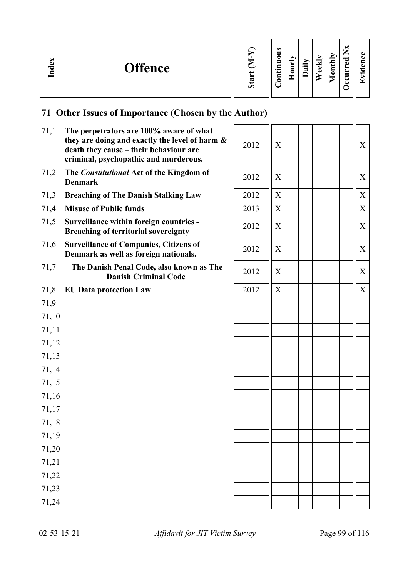| ×<br>്ധ<br><b>Offence</b><br>Ě | 57<br>Ò | ω<br>Ξ<br>c<br>5<br>▭<br>$\cdot$ $\,$<br>5 |  | $\cdot =$<br>ದ | $\overline{\phantom{a}}$<br>ω<br>Ō | $\text{until}$<br>▱ | ∼<br>_<br>P<br>ω<br>∽<br>►<br>-<br>г.<br>◡ | п.<br>$\bullet$<br>⊆ |
|--------------------------------|---------|--------------------------------------------|--|----------------|------------------------------------|---------------------|--------------------------------------------|----------------------|
|--------------------------------|---------|--------------------------------------------|--|----------------|------------------------------------|---------------------|--------------------------------------------|----------------------|

## **71 Other Issues of Importance (Chosen by the Author)**

| 71,1  | The perpetrators are 100% aware of what<br>they are doing and exactly the level of harm &<br>death they cause - their behaviour are<br>criminal, psychopathic and murderous. | 2012 | X |  |  | X                |
|-------|------------------------------------------------------------------------------------------------------------------------------------------------------------------------------|------|---|--|--|------------------|
| 71,2  | The Constitutional Act of the Kingdom of<br><b>Denmark</b>                                                                                                                   | 2012 | X |  |  | $\mathbf X$      |
| 71,3  | <b>Breaching of The Danish Stalking Law</b>                                                                                                                                  | 2012 | X |  |  | $\boldsymbol{X}$ |
| 71,4  | <b>Misuse of Public funds</b>                                                                                                                                                | 2013 | X |  |  | X                |
| 71,5  | Surveillance within foreign countries -<br><b>Breaching of territorial sovereignty</b>                                                                                       | 2012 | X |  |  | X                |
| 71,6  | <b>Surveillance of Companies, Citizens of</b><br>Denmark as well as foreign nationals.                                                                                       | 2012 | X |  |  | X                |
| 71,7  | The Danish Penal Code, also known as The<br><b>Danish Criminal Code</b>                                                                                                      | 2012 | X |  |  | X                |
| 71,8  | <b>EU Data protection Law</b>                                                                                                                                                | 2012 | X |  |  | X                |
| 71,9  |                                                                                                                                                                              |      |   |  |  |                  |
| 71,10 |                                                                                                                                                                              |      |   |  |  |                  |
| 71,11 |                                                                                                                                                                              |      |   |  |  |                  |
| 71,12 |                                                                                                                                                                              |      |   |  |  |                  |
| 71,13 |                                                                                                                                                                              |      |   |  |  |                  |
| 71,14 |                                                                                                                                                                              |      |   |  |  |                  |
| 71,15 |                                                                                                                                                                              |      |   |  |  |                  |
| 71,16 |                                                                                                                                                                              |      |   |  |  |                  |
| 71,17 |                                                                                                                                                                              |      |   |  |  |                  |
| 71,18 |                                                                                                                                                                              |      |   |  |  |                  |
| 71,19 |                                                                                                                                                                              |      |   |  |  |                  |
| 71,20 |                                                                                                                                                                              |      |   |  |  |                  |
| 71,21 |                                                                                                                                                                              |      |   |  |  |                  |
| 71,22 |                                                                                                                                                                              |      |   |  |  |                  |
| 71,23 |                                                                                                                                                                              |      |   |  |  |                  |
| 71,24 |                                                                                                                                                                              |      |   |  |  |                  |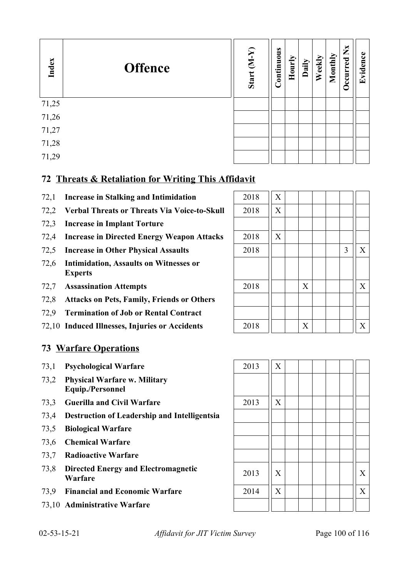| Index | <b>Offence</b> | Start (M-Y) | Continuous | Hourly | Daily | Weekly | Monthly | $\sum_{i=1}^{N}$<br>Occurred | idence<br>$\mathbf{E}$ |
|-------|----------------|-------------|------------|--------|-------|--------|---------|------------------------------|------------------------|
| 71,25 |                |             |            |        |       |        |         |                              |                        |
| 71,26 |                |             |            |        |       |        |         |                              |                        |
| 71,27 |                |             |            |        |       |        |         |                              |                        |
| 71,28 |                |             |            |        |       |        |         |                              |                        |
| 71,29 |                |             |            |        |       |        |         |                              |                        |

## **72 Threats & Retaliation for Writing This Affidavit**

- 72,1 **Increase in Stalking and Intimidation**
- 72,2 **Verbal Threats or Threats Via Voice-to-Skull** 2018 X
- 72,3 **Increase in Implant Torture**
- 72,4 **Increase in Directed Energy Weapon Attacks**
- 72,5 **Increase in Other Physical Assaults**
- 72,6 **Intimidation, Assaults on Witnesses or Experts**
- 72,7 **Assassination Attempts**
- 72,8 **Attacks on Pets, Family, Friends or Others**
- 72,9 **Termination of Job or Rental Contract**
- 72,10 **Induced Illnesses, Injuries or Accidents**

### **73 Warfare Operations**

- 73,1 **Psychological Warfare** 2013 X
- 73,2 **Physical Warfare w. Military Equip./Personnel**
- 73.3 **Guerilla and Civil Warfare** 2013 X
- 73,4 **Destruction of Leadership and Intelligentsia**
- 73,5 **Biological Warfare**
- 73,6 **Chemical Warfare**
- 73,7 **Radioactive Warfare**
- 73,8 **Directed Energy and Electromagnetic**
- 
- 73,10 **Administrative Warfare**

| 2018 | $\boldsymbol{\mathrm{X}}$ |             |  |   |             |
|------|---------------------------|-------------|--|---|-------------|
| 2018 | $\boldsymbol{\mathrm{X}}$ |             |  |   |             |
|      |                           |             |  |   |             |
| 2018 | $\boldsymbol{\mathrm{X}}$ |             |  |   |             |
| 2018 |                           |             |  | 3 | $\mathbf X$ |
|      |                           |             |  |   |             |
|      |                           |             |  |   |             |
| 2018 |                           | $\mathbf X$ |  |   | $\mathbf X$ |
|      |                           |             |  |   |             |
|      |                           |             |  |   |             |
| 2018 |                           | X           |  |   | X           |



02-53-15-21 *Affidavit for JIT Victim Survey* Page 100 of 116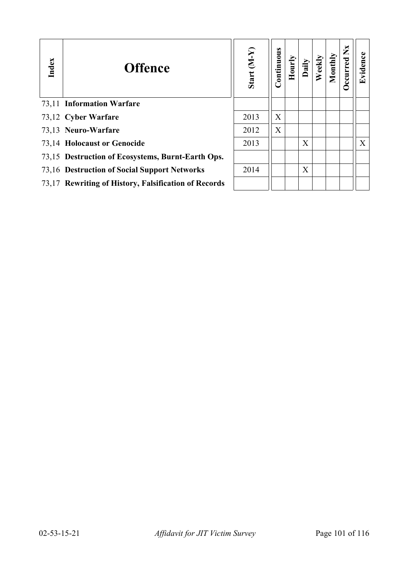| Index | <b>Offence</b>                                       | Start (M-Y) | Continuous | Hourly | Daily | Weekly | Monthly | ž<br>ccurred | Evidence |
|-------|------------------------------------------------------|-------------|------------|--------|-------|--------|---------|--------------|----------|
|       | 73,11 Information Warfare                            |             |            |        |       |        |         |              |          |
|       | 73,12 Cyber Warfare                                  | 2013        | X          |        |       |        |         |              |          |
|       | 73,13 Neuro-Warfare                                  | 2012        | X          |        |       |        |         |              |          |
|       | 73,14 Holocaust or Genocide                          | 2013        |            |        | X     |        |         |              | X        |
|       | 73,15 Destruction of Ecosystems, Burnt-Earth Ops.    |             |            |        |       |        |         |              |          |
|       | 73,16 Destruction of Social Support Networks         | 2014        |            |        | X     |        |         |              |          |
|       | 73,17 Rewriting of History, Falsification of Records |             |            |        |       |        |         |              |          |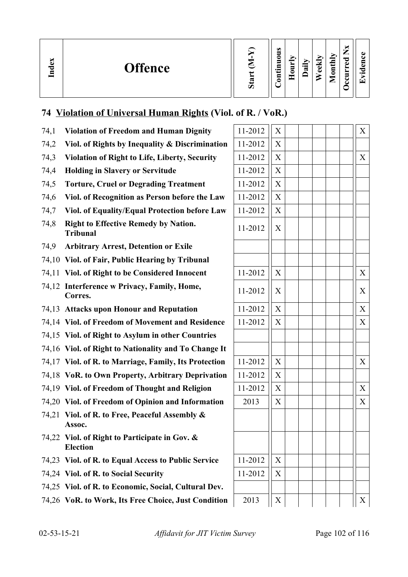| <b>Offence</b><br>പ<br>∼<br>8 |  | $\omega$<br>-<br>$\cdot$ .<br>— | = | ∙⊟<br>≂ | м<br>Œ<br>ω | $\overline{a}$<br>≣<br>0<br>⊏ | _<br>≂<br>d. | $\bullet$ $\blacksquare$ |
|-------------------------------|--|---------------------------------|---|---------|-------------|-------------------------------|--------------|--------------------------|
|-------------------------------|--|---------------------------------|---|---------|-------------|-------------------------------|--------------|--------------------------|

## **74 Violation of Universal Human Rights (Viol. of R. / VoR.)**

| 74,1  | <b>Violation of Freedom and Human Dignity</b>                    | 11-2012 | X                | X                 |
|-------|------------------------------------------------------------------|---------|------------------|-------------------|
| 74,2  | Viol. of Rights by Inequality & Discrimination                   | 11-2012 | X                |                   |
| 74,3  | <b>Violation of Right to Life, Liberty, Security</b>             | 11-2012 | X                | X                 |
| 74,4  | <b>Holding in Slavery or Servitude</b>                           | 11-2012 | X                |                   |
| 74,5  | <b>Torture, Cruel or Degrading Treatment</b>                     | 11-2012 | X                |                   |
| 74,6  | Viol. of Recognition as Person before the Law                    | 11-2012 | X                |                   |
| 74,7  | Viol. of Equality/Equal Protection before Law                    | 11-2012 | X                |                   |
| 74,8  | <b>Right to Effective Remedy by Nation.</b><br><b>Tribunal</b>   | 11-2012 | X                |                   |
| 74,9  | <b>Arbitrary Arrest, Detention or Exile</b>                      |         |                  |                   |
|       | 74,10 Viol. of Fair, Public Hearing by Tribunal                  |         |                  |                   |
|       | 74,11 Viol. of Right to be Considered Innocent                   | 11-2012 | X                | X                 |
|       | 74,12 Interference w Privacy, Family, Home,<br>Corres.           | 11-2012 | X                | X                 |
|       | 74,13 Attacks upon Honour and Reputation                         | 11-2012 | X                | X                 |
|       | 74,14 Viol. of Freedom of Movement and Residence                 | 11-2012 | X                | X                 |
|       | 74,15 Viol. of Right to Asylum in other Countries                |         |                  |                   |
|       | 74,16 Viol. of Right to Nationality and To Change It             |         |                  |                   |
|       | 74,17 Viol. of R. to Marriage, Family, Its Protection            | 11-2012 | X                | X                 |
|       | 74,18 VoR. to Own Property, Arbitrary Deprivation                | 11-2012 | X                |                   |
|       | 74,19 Viol. of Freedom of Thought and Religion                   | 11-2012 | X                | X                 |
|       | 74,20 Viol. of Freedom of Opinion and Information                | 2013    | X                | X                 |
| 74,21 | Viol. of R. to Free, Peaceful Assembly &<br>Assoc.               |         |                  |                   |
|       | 74,22 Viol. of Right to Participate in Gov. &<br><b>Election</b> |         |                  |                   |
|       | 74,23 Viol. of R. to Equal Access to Public Service              | 11-2012 | X                |                   |
|       | 74,24 Viol. of R. to Social Security                             | 11-2012 | X                |                   |
|       | 74,25 Viol. of R. to Economic, Social, Cultural Dev.             |         |                  |                   |
|       | 74,26 VoR. to Work, Its Free Choice, Just Condition              | 2013    | $\boldsymbol{X}$ | $X_{\mathcal{E}}$ |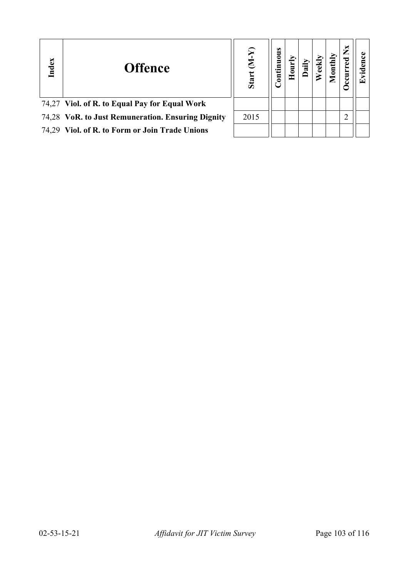| Index | <b>Offence</b>                                    | $\overline{\mathbf{z}}$<br>Start | uous |  | Ē | ž<br>E |  |
|-------|---------------------------------------------------|----------------------------------|------|--|---|--------|--|
|       | 74,27 Viol. of R. to Equal Pay for Equal Work     |                                  |      |  |   |        |  |
|       | 74,28 VoR. to Just Remuneration. Ensuring Dignity | 2015                             |      |  |   |        |  |
|       | 74,29 Viol. of R. to Form or Join Trade Unions    |                                  |      |  |   |        |  |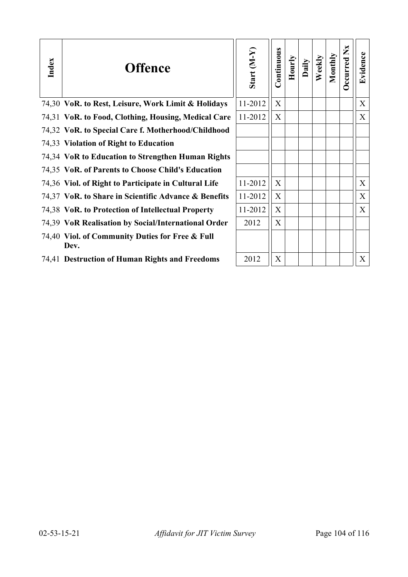| Index | <b>Offence</b>                                          | Start (M-Y) | Continuous | Hourly | Daily | Weekly | Monthly | Occurred Nx | Evidence |
|-------|---------------------------------------------------------|-------------|------------|--------|-------|--------|---------|-------------|----------|
|       | 74,30 VoR. to Rest, Leisure, Work Limit & Holidays      | 11-2012     | X          |        |       |        |         |             | X        |
|       | 74,31 VoR. to Food, Clothing, Housing, Medical Care     | 11-2012     | X          |        |       |        |         |             | X        |
|       | 74,32 VoR. to Special Care f. Motherhood/Childhood      |             |            |        |       |        |         |             |          |
|       | 74,33 Violation of Right to Education                   |             |            |        |       |        |         |             |          |
|       | 74,34 VoR to Education to Strengthen Human Rights       |             |            |        |       |        |         |             |          |
|       | 74,35 VoR. of Parents to Choose Child's Education       |             |            |        |       |        |         |             |          |
|       | 74,36 Viol. of Right to Participate in Cultural Life    | 11-2012     | X          |        |       |        |         |             | X        |
|       | 74,37 VoR. to Share in Scientific Advance & Benefits    | 11-2012     | X          |        |       |        |         |             | X        |
|       | 74,38 VoR. to Protection of Intellectual Property       | 11-2012     | X          |        |       |        |         |             | X        |
|       | 74,39 VoR Realisation by Social/International Order     | 2012        | X          |        |       |        |         |             |          |
|       | 74,40 Viol. of Community Duties for Free & Full<br>Dev. |             |            |        |       |        |         |             |          |
|       | 74,41 Destruction of Human Rights and Freedoms          | 2012        | X          |        |       |        |         |             | X        |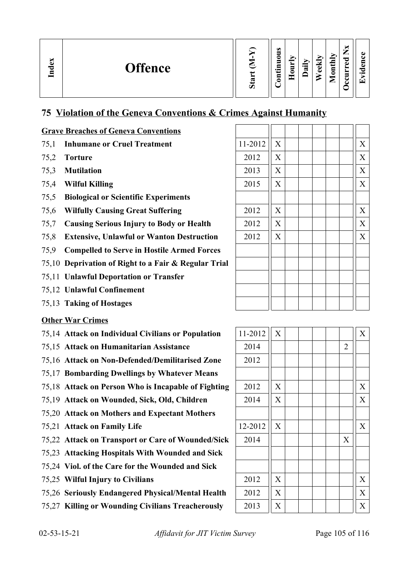| $\mathbb{Z}$<br><b>Offence</b><br>ರ<br>▭ | ದ<br>Ò | $\omega$<br>-<br>-<br>$\bullet$ $\blacksquare$<br>— | _ | $\cdot$ $-$<br>≂ | м<br>نه<br>تە | $\blacktriangleright$<br>₫<br>د<br>Ξ<br>≏<br>_ | _<br>ెం<br>Œ<br>− | . . |
|------------------------------------------|--------|-----------------------------------------------------|---|------------------|---------------|------------------------------------------------|-------------------|-----|
|------------------------------------------|--------|-----------------------------------------------------|---|------------------|---------------|------------------------------------------------|-------------------|-----|

## **75 Violation of the Geneva Conventions & Crimes Against Humanity**

#### **Grave Breaches of Geneva Conventions**

- 75.1 **Inhumane or Cruel Treatment**
- 
- 75,3 **Mutilation**
- 75,4 **Wilful Killing**
- 75,5 **Biological or Scientific Experiments**
- 75,6 Wilfully Causing Great Suffering
- 75,7 **Causing Serious Injury to Body or Health**
- 75.8 **Extensive, Unlawful or Wanton Destruction**
- 75,9 **Compelled to Serve in Hostile Armed Forces**
- 75,10 **Deprivation of Right to a Fair & Regular Trial**
- 75,11 **Unlawful Deportation or Transfer**
- 75,12 **Unlawful Confinement**
- 75,13 **Taking of Hostages**

#### **Other War Crimes**

- 75,14 **Attack on Individual Civilians or Population** 11-2012 X X
- 75,15 **Attack on Humanitarian Assistance** 2014 2
- 75,16 Attack on Non-Defended/Demilitarised Zone
- 75,17 **Bombarding Dwellings by Whatever Means**
- 75,18 **Attack on Person Who is Incapable of Fighting**
- 75,19 Attack on Wounded, Sick, Old, Children
- 75,20 **Attack on Mothers and Expectant Mothers**
- 75,21 Attack on Family Life
- 75,22 Attack on Transport or Care of Wounded/Sick
- 75,23 **Attacking Hospitals With Wounded and Sick**
- 75,24 **Viol. of the Care for the Wounded and Sick**
- 75,25 Wilful Injury to Civilians
- 75,26 Seriously Endangered Physical/Mental Health
- 75,27 Killing or Wounding Civilians Treacherously

|      | <b>Grave Breaches of Geneva Conventions</b>          |         |   |  |                  |  |
|------|------------------------------------------------------|---------|---|--|------------------|--|
|      | 75,1 Inhumane or Cruel Treatment                     | 11-2012 | X |  | X                |  |
| 75,2 | <b>Torture</b>                                       | 2012    | X |  | X                |  |
| 75,3 | <b>Mutilation</b>                                    | 2013    | X |  | X                |  |
|      | 75,4 Wilful Killing                                  | 2015    | X |  | X                |  |
| 75,5 | <b>Biological or Scientific Experiments</b>          |         |   |  |                  |  |
| 75,6 | <b>Wilfully Causing Great Suffering</b>              | 2012    | X |  | $\boldsymbol{X}$ |  |
| 75,7 | <b>Causing Serious Injury to Body or Health</b>      | 2012    | X |  | X                |  |
| 75,8 | <b>Extensive, Unlawful or Wanton Destruction</b>     | 2012    | X |  | X                |  |
| 75,9 | <b>Compelled to Serve in Hostile Armed Forces</b>    |         |   |  |                  |  |
|      | 75,10 Deprivation of Right to a Fair & Regular Trial |         |   |  |                  |  |
|      | 75,11 Unlawful Deportation or Transfer               |         |   |  |                  |  |
|      | 75,12 Unlawful Confinement                           |         |   |  |                  |  |
|      | 75,13 Taking of Hostages                             |         |   |  |                  |  |

| 11-2012 | $\overline{X}$            |  |  |                | $\bar{X}$                 |
|---------|---------------------------|--|--|----------------|---------------------------|
| 2014    |                           |  |  | $\overline{2}$ |                           |
| 2012    |                           |  |  |                |                           |
|         |                           |  |  |                |                           |
| 2012    | $\boldsymbol{\mathrm{X}}$ |  |  |                | $\boldsymbol{X}$          |
| 2014    | $\boldsymbol{\mathrm{X}}$ |  |  |                | X                         |
|         |                           |  |  |                |                           |
| 12-2012 | $\boldsymbol{\mathrm{X}}$ |  |  |                | $\boldsymbol{\mathrm{X}}$ |
| 2014    |                           |  |  | X              |                           |
|         |                           |  |  |                |                           |
|         |                           |  |  |                |                           |
| 2012    | $\boldsymbol{\mathrm{X}}$ |  |  |                | $\mathbf X$               |
| 2012    | $\boldsymbol{\mathrm{X}}$ |  |  |                | $\mathbf X$               |
| 2013    | $\boldsymbol{\mathrm{X}}$ |  |  |                | X                         |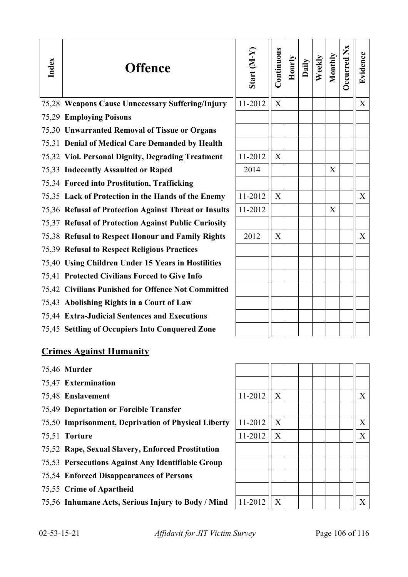| Index | <b>Offence</b>                                        | Start (M-Y) | Continuous | Hourly | Daily | Weekly | Monthly | Occurred Nx | Evidence |
|-------|-------------------------------------------------------|-------------|------------|--------|-------|--------|---------|-------------|----------|
|       | 75,28 Weapons Cause Unnecessary Suffering/Injury      | 11-2012     | X          |        |       |        |         |             | X        |
|       | 75,29 Employing Poisons                               |             |            |        |       |        |         |             |          |
|       | 75,30 Unwarranted Removal of Tissue or Organs         |             |            |        |       |        |         |             |          |
|       | 75,31 Denial of Medical Care Demanded by Health       |             |            |        |       |        |         |             |          |
|       | 75,32 Viol. Personal Dignity, Degrading Treatment     | 11-2012     | X          |        |       |        |         |             |          |
|       | 75,33 Indecently Assaulted or Raped                   | 2014        |            |        |       |        | X       |             |          |
|       | 75,34 Forced into Prostitution, Trafficking           |             |            |        |       |        |         |             |          |
|       | 75,35 Lack of Protection in the Hands of the Enemy    | 11-2012     | X          |        |       |        |         |             | X        |
|       | 75,36 Refusal of Protection Against Threat or Insults | 11-2012     |            |        |       |        | X       |             |          |
|       | 75,37 Refusal of Protection Against Public Curiosity  |             |            |        |       |        |         |             |          |
|       | 75,38 Refusal to Respect Honour and Family Rights     | 2012        | X          |        |       |        |         |             | X        |
|       | 75,39 Refusal to Respect Religious Practices          |             |            |        |       |        |         |             |          |
|       | 75,40 Using Children Under 15 Years in Hostilities    |             |            |        |       |        |         |             |          |
|       | 75,41 Protected Civilians Forced to Give Info         |             |            |        |       |        |         |             |          |
|       | 75,42 Civilians Punished for Offence Not Committed    |             |            |        |       |        |         |             |          |
|       | 75,43 Abolishing Rights in a Court of Law             |             |            |        |       |        |         |             |          |
|       | 75,44 Extra-Judicial Sentences and Executions         |             |            |        |       |        |         |             |          |
|       | 75,45 Settling of Occupiers Into Conquered Zone       |             |            |        |       |        |         |             |          |
|       | <b>Crimes Against Humanity</b>                        |             |            |        |       |        |         |             |          |

- 75,46 **Murder**
- 75,47 **Extermination**
- 75,48 **Enslavement**
- 75,49 **Deportation or Forcible Transfer**
- 75,50 **Imprisonment, Deprivation of Physical Liberty**
- **75,51 Torture**
- 75,52 **Rape, Sexual Slavery, Enforced Prostitution**
- 75,53 **Persecutions Against Any Identifiable Group**
- 75,54 **Enforced Disappearances of Persons**
- 75,55 **Crime of Apartheid**
- 75,56 Inhumane Acts, Serious Injury to Body / Mind

| 11-2012 | $\mathbf X$ |  |  | $\mathbf X$ |
|---------|-------------|--|--|-------------|
|         |             |  |  |             |
| 11-2012 | $\mathbf X$ |  |  | $\mathbf X$ |
| 11-2012 | $\mathbf X$ |  |  | $\mathbf X$ |
|         |             |  |  |             |
|         |             |  |  |             |
|         |             |  |  |             |
|         |             |  |  |             |
| 11-2012 | X           |  |  | X           |

02-53-15-21 *Affidavit for JIT Victim Survey* Page 106 of 116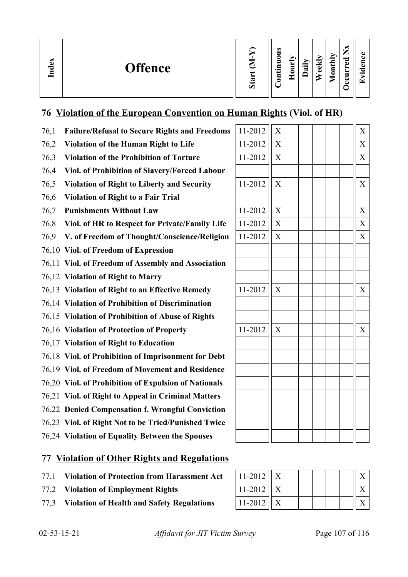| ക<br><b>Offence</b><br>ਣ<br>르 | ∾<br>n | $\omega$<br>0<br>−<br>$\bullet$<br>ᄆ<br>0<br>- - | r.<br>੶ਫ਼<br>$\blacksquare$<br>_ | €<br>ē | onthly<br>▱ | _<br>P<br>ω<br>-<br>c<br>ے | $\overline{\phantom{0}}$<br>$\overline{\phantom{0}}$ |
|-------------------------------|--------|--------------------------------------------------|----------------------------------|--------|-------------|----------------------------|------------------------------------------------------|
|-------------------------------|--------|--------------------------------------------------|----------------------------------|--------|-------------|----------------------------|------------------------------------------------------|

## **76 Violation of the European Convention on Human Rights (Viol. of HR)**

| 76,1 | <b>Failure/Refusal to Secure Rights and Freedoms</b> | 11-2012 | $\mathbf X$ |  | X                |
|------|------------------------------------------------------|---------|-------------|--|------------------|
| 76,2 | Violation of the Human Right to Life                 | 11-2012 | $\mathbf X$ |  | $\mathbf X$      |
| 76,3 | <b>Violation of the Prohibition of Torture</b>       | 11-2012 | $\mathbf X$ |  | $\mathbf X$      |
| 76,4 | Viol. of Prohibition of Slavery/Forced Labour        |         |             |  |                  |
| 76,5 | <b>Violation of Right to Liberty and Security</b>    | 11-2012 | $\mathbf X$ |  | $\boldsymbol{X}$ |
| 76,6 | <b>Violation of Right to a Fair Trial</b>            |         |             |  |                  |
| 76,7 | <b>Punishments Without Law</b>                       | 11-2012 | X           |  | X                |
| 76,8 | Viol. of HR to Respect for Private/Family Life       | 11-2012 | X           |  | X                |
| 76,9 | V. of Freedom of Thought/Conscience/Religion         | 11-2012 | X           |  | X                |
|      | 76,10 Viol. of Freedom of Expression                 |         |             |  |                  |
|      | 76,11 Viol. of Freedom of Assembly and Association   |         |             |  |                  |
|      | 76,12 Violation of Right to Marry                    |         |             |  |                  |
|      | 76,13 Violation of Right to an Effective Remedy      | 11-2012 | X           |  | X                |
|      | 76,14 Violation of Prohibition of Discrimination     |         |             |  |                  |
|      | 76,15 Violation of Prohibition of Abuse of Rights    |         |             |  |                  |
|      | 76,16 Violation of Protection of Property            | 11-2012 | X           |  | X                |
|      | 76,17 Violation of Right to Education                |         |             |  |                  |
|      | 76,18 Viol. of Prohibition of Imprisonment for Debt  |         |             |  |                  |
|      | 76,19 Viol. of Freedom of Movement and Residence     |         |             |  |                  |
|      | 76,20 Viol. of Prohibition of Expulsion of Nationals |         |             |  |                  |
|      | 76,21 Viol. of Right to Appeal in Criminal Matters   |         |             |  |                  |
|      | 76,22 Denied Compensation f. Wrongful Conviction     |         |             |  |                  |
|      | 76,23 Viol. of Right Not to be Tried/Punished Twice  |         |             |  |                  |
|      | 76,24 Violation of Equality Between the Spouses      |         |             |  |                  |
|      |                                                      |         |             |  |                  |

## **77 Violation of Other Rights and Regulations**

- 77,1 Violation of Protection from Harassment Act
- 77,2 Violation of Employment Rights
- 77,3 Violation of Health and Safety Regulations

| $11 - 2012$ |  |  |  |  |
|-------------|--|--|--|--|
| $11 - 2012$ |  |  |  |  |
| $11 - 2012$ |  |  |  |  |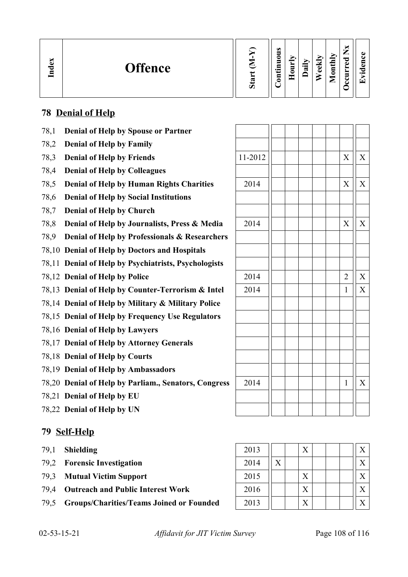| $\mathbf{g}$<br>Ind | <b>Offence</b> | Ø | $\omega$<br>=<br>∊<br>5<br>.특<br>$\mathbf{g}$ |  | $\overline{\phantom{0}}$<br>$\boldsymbol{\sigma}$ | ➤<br>≂<br>Φ<br>ω | onthly<br>◚ | _<br>ರ<br>ω<br>−<br>∼<br>-<br>e<br>ت | . . |
|---------------------|----------------|---|-----------------------------------------------|--|---------------------------------------------------|------------------|-------------|--------------------------------------|-----|
|---------------------|----------------|---|-----------------------------------------------|--|---------------------------------------------------|------------------|-------------|--------------------------------------|-----|

## **78 Denial of Help**

- 78,1 **Denial of Help by Spouse or Partner**
- 78,2 **Denial of Help by Family**
- 78,3 **Denial of Help by Friends**
- 78,4 **Denial of Help by Colleagues**
- 78,5 **Denial of Help by Human Rights Charities**
- 78,6 **Denial of Help by Social Institutions**
- 78,7 **Denial of Help by Church**
- 78,8 **Denial of Help by Journalists, Press & Media**
- 78,9 **Denial of Help by Professionals & Researchers**
- 78,10 **Denial of Help by Doctors and Hospitals**
- 78,11 **Denial of Help by Psychiatrists, Psychologists**
- 78,12 **Denial of Help by Police**
- 78,13 **Denial of Help by Counter-Terrorism & Intel**
- 78,14 **Denial of Help by Military & Military Police**
- 78,15 **Denial of Help by Frequency Use Regulators**
- 78,16 **Denial of Help by Lawyers**
- 78,17 **Denial of Help by Attorney Generals**
- 78,18 **Denial of Help by Courts**
- 78,19 **Denial of Help by Ambassadors**
- 78,20 **Denial of Help by Parliam., Senators, Congress**
- 78,21 **Denial of Help by EU**
- 78,22 **Denial of Help by UN**

#### **79 Self-Help**

- 
- 79,2 **Forensic Investigation**
- 79.3 **Mutual Victim Support**
- 79,4 Outreach and Public Interest Work
- 79,5 Groups/Charities/Teams Joined or Founded

| 11-2012 |  |  | $\overline{X}$ | $\overline{X}$ |
|---------|--|--|----------------|----------------|
|         |  |  |                |                |
| 2014    |  |  | $\mathbf X$    | $\bar{X}$      |
|         |  |  |                |                |
|         |  |  |                |                |
| 2014    |  |  | $\mathbf X$    | $\overline{X}$ |
|         |  |  |                |                |
|         |  |  |                |                |
|         |  |  |                |                |
| 2014    |  |  | $\overline{2}$ | $\mathbf X$    |
| 2014    |  |  | $\mathbf{1}$   | $\bar{X}$      |
|         |  |  |                |                |
|         |  |  |                |                |
|         |  |  |                |                |
|         |  |  |                |                |
|         |  |  |                |                |
|         |  |  |                |                |
| 2014    |  |  | $\mathbf{1}$   | $\bar{X}$      |
|         |  |  |                |                |
|         |  |  |                |                |

| 79,1 | <b>Shielding</b>                                | 2013 |                | X |  | $\mathbf v$  |
|------|-------------------------------------------------|------|----------------|---|--|--------------|
|      | 79,2 Forensic Investigation                     | 2014 | $\overline{X}$ |   |  | $\mathbf{v}$ |
| 79.3 | <b>Mutual Victim Support</b>                    | 2015 |                | X |  | $\mathbf{v}$ |
| 79.4 | <b>Outreach and Public Interest Work</b>        | 2016 |                | X |  | $\mathbf{v}$ |
| 79,5 | <b>Groups/Charities/Teams Joined or Founded</b> | 2013 |                | X |  | $\mathbf{v}$ |

02-53-15-21 *Affidavit for JIT Victim Survey* Page 108 of 116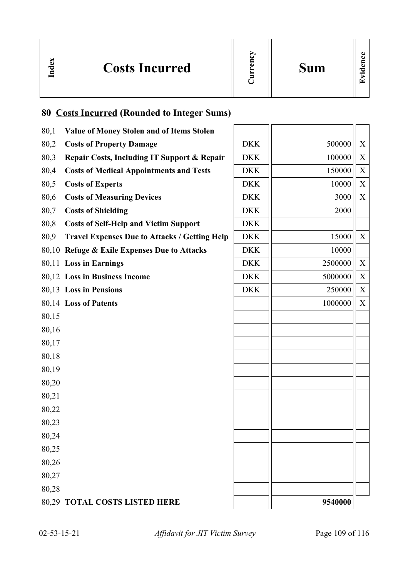

# **80 Costs Incurred (Rounded to Integer Sums)**

**In dex**

| 80,1  | <b>Value of Money Stolen and of Items Stolen</b>     |            |         |   |
|-------|------------------------------------------------------|------------|---------|---|
| 80,2  | <b>Costs of Property Damage</b>                      | <b>DKK</b> | 500000  | X |
| 80,3  | Repair Costs, Including IT Support & Repair          | <b>DKK</b> | 100000  | X |
| 80,4  | <b>Costs of Medical Appointments and Tests</b>       | <b>DKK</b> | 150000  | X |
| 80,5  | <b>Costs of Experts</b>                              | <b>DKK</b> | 10000   | X |
| 80,6  | <b>Costs of Measuring Devices</b>                    | <b>DKK</b> | 3000    | X |
| 80,7  | <b>Costs of Shielding</b>                            | <b>DKK</b> | 2000    |   |
| 80,8  | <b>Costs of Self-Help and Victim Support</b>         | <b>DKK</b> |         |   |
| 80,9  | <b>Travel Expenses Due to Attacks / Getting Help</b> | <b>DKK</b> | 15000   | X |
|       | 80,10 Refuge & Exile Expenses Due to Attacks         | <b>DKK</b> | 10000   |   |
|       | 80,11 Loss in Earnings                               | <b>DKK</b> | 2500000 | X |
|       | 80,12 Loss in Business Income                        | <b>DKK</b> | 5000000 | X |
|       | 80,13 Loss in Pensions                               | <b>DKK</b> | 250000  | X |
|       | 80,14 Loss of Patents                                |            | 1000000 | X |
| 80,15 |                                                      |            |         |   |
| 80,16 |                                                      |            |         |   |
| 80,17 |                                                      |            |         |   |
| 80,18 |                                                      |            |         |   |
| 80,19 |                                                      |            |         |   |
| 80,20 |                                                      |            |         |   |
| 80,21 |                                                      |            |         |   |
| 80,22 |                                                      |            |         |   |
| 80,23 |                                                      |            |         |   |
| 80,24 |                                                      |            |         |   |
| 80,25 |                                                      |            |         |   |
| 80,26 |                                                      |            |         |   |
| 80,27 |                                                      |            |         |   |
| 80,28 |                                                      |            |         |   |
|       | 80,29 TOTAL COSTS LISTED HERE                        |            | 9540000 |   |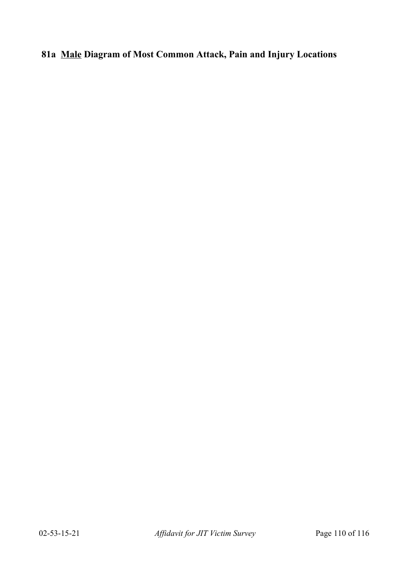## **81a Male Diagram of Most Common Attack, Pain and Injury Locations**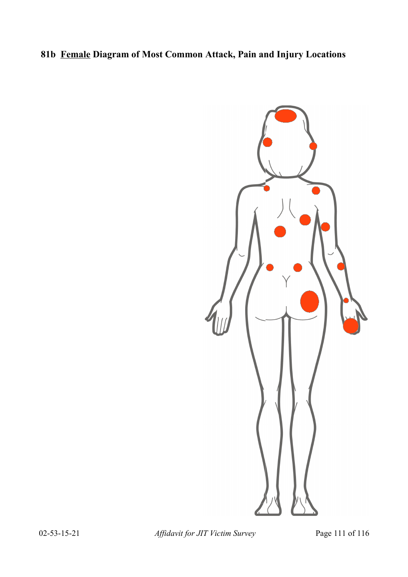## **81b Female Diagram of Most Common Attack, Pain and Injury Locations**



02-53-15-21 *Affidavit for JIT Victim Survey* Page 111 of 116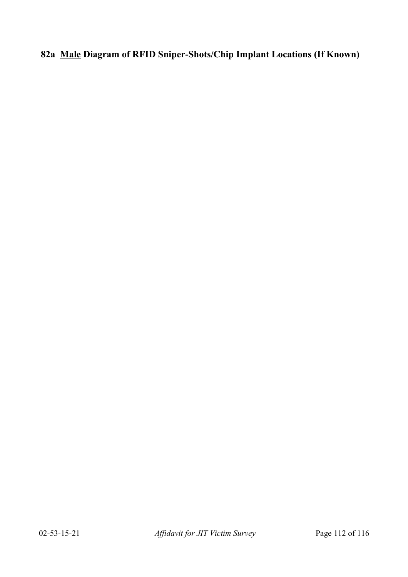## **82a Male Diagram of RFID Sniper-Shots/Chip Implant Locations (If Known)**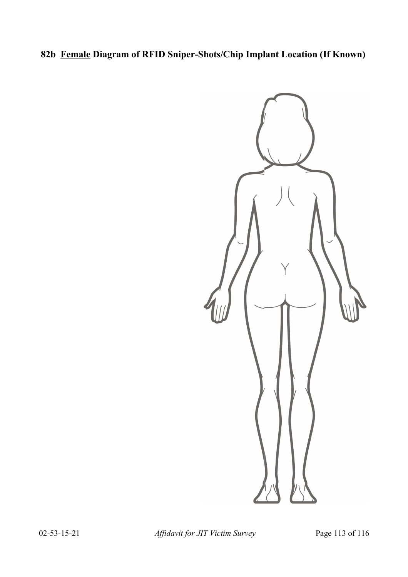## **82b Female Diagram of RFID Sniper-Shots/Chip Implant Location (If Known)**



02-53-15-21 *Affidavit for JIT Victim Survey* Page 113 of 116